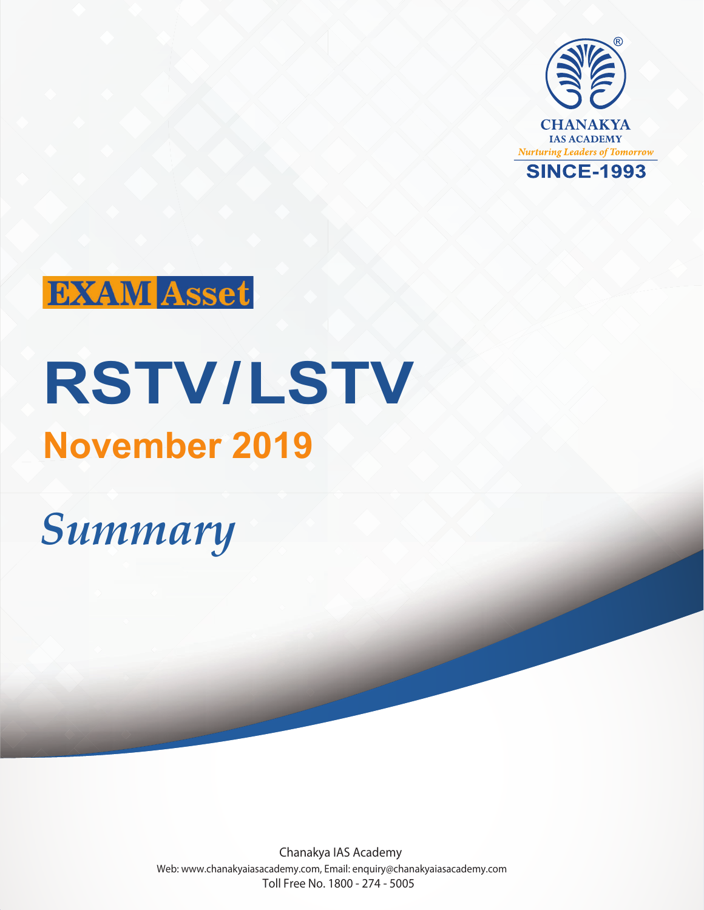



# **RSTV/LSTV November 2019**

## *Summary*

Chanakya IAS Academy Web: www.chanakyaiasacademy.com, Email: enquiry@chanakyaiasacademy.com Toll Free No. 1800 - 274 - 5005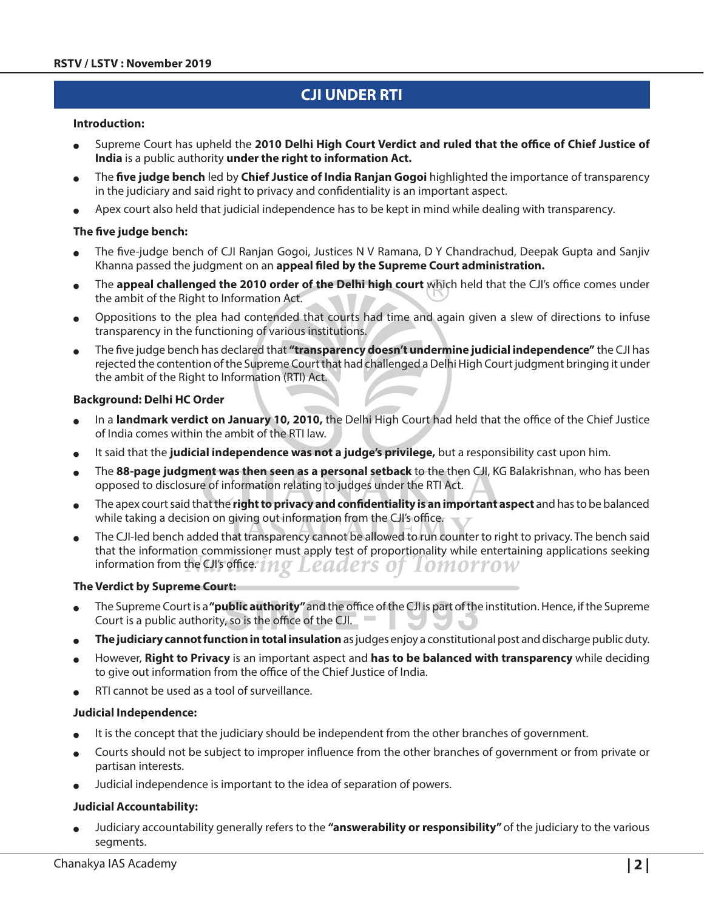## **CJI under RTI**

#### **Introduction:**

- <sup>O</sup> Supreme Court has upheld the **2010 Delhi High Court Verdict and ruled that the office of Chief Justice of India** is a public authority **under the right to information Act.**
- <sup>O</sup> The **five judge bench** led by **Chief Justice of India Ranjan Gogoi** highlighted the importance of transparency in the judiciary and said right to privacy and confidentiality is an important aspect.
- Apex court also held that judicial independence has to be kept in mind while dealing with transparency.

#### **The five judge bench:**

- The five-judge bench of CJI Ranjan Gogoi, Justices N V Ramana, D Y Chandrachud, Deepak Gupta and Sanjiv Khanna passed the judgment on an **appeal filed by the Supreme Court administration.**
- <sup>O</sup> The **appeal challenged the 2010 order of the Delhi high court** which held that the CJI's office comes under the ambit of the Right to Information Act.
- <sup>O</sup> Oppositions to the plea had contended that courts had time and again given a slew of directions to infuse transparency in the functioning of various institutions.
- <sup>O</sup> The five judge bench has declared that **"transparency doesn't undermine judicial independence"** the CJI has rejected the contention of the Supreme Court that had challenged a Delhi High Court judgment bringing it under the ambit of the Right to Information (RTI) Act.

#### **Background: Delhi HC Order**

- In a **landmark verdict on January 10, 2010**, the Delhi High Court had held that the office of the Chief Justice of India comes within the ambit of the RTI law.
- It said that the judicial independence was not a judge's privilege, but a responsibility cast upon him.
- <sup>O</sup> The **88-page judgment was then seen as a personal setback** to the then CJI, KG Balakrishnan, who has been opposed to disclosure of information relating to judges under the RTI Act.
- <sup>O</sup> The apex court said that the **right to privacy and confidentiality is an important aspect** and has to be balanced while taking a decision on giving out information from the CJI's office.
- The CJI-led bench added that transparency cannot be allowed to run counter to right to privacy. The bench said that the information commissioner must apply test of proportionality while entertaining applications seeking information from the CJI's office. *INQ Leaders of Iomorrow*

#### **The Verdict by Supreme Court:**

- <sup>O</sup> The Supreme Court is a **"public authority"** and the office of the CJI is part of the institution. Hence, if the Supreme Court is a public authority, so is the office of the CJI.
- <sup>O</sup> **The judiciary cannot function in total insulation** as judges enjoy a constitutional post and discharge public duty.
- However, Right to Privacy is an important aspect and has to be balanced with transparency while deciding to give out information from the office of the Chief Justice of India.
- RTI cannot be used as a tool of surveillance.

#### **Judicial Independence:**

- It is the concept that the judiciary should be independent from the other branches of government.
- Courts should not be subject to improper influence from the other branches of government or from private or partisan interests.
- Judicial independence is important to the idea of separation of powers.

#### **Judicial Accountability:**

Judiciary accountability generally refers to the "answerability or responsibility" of the judiciary to the various segments.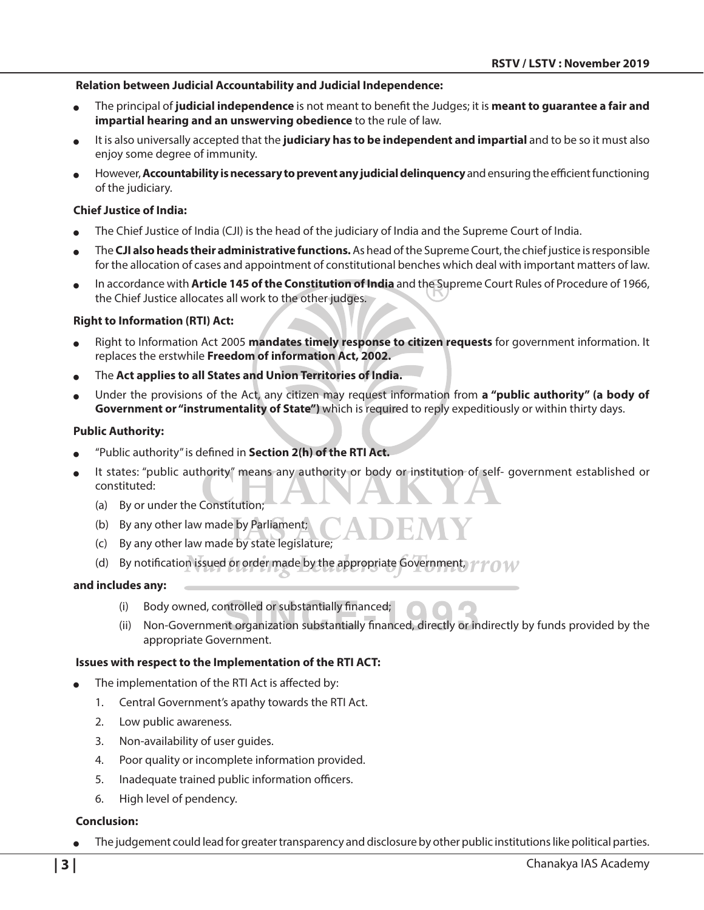#### **Relation between Judicial Accountability and Judicial Independence:**

- <sup>O</sup> The principal of **judicial independence** is not meant to benefit the Judges; it is **meant to guarantee a fair and impartial hearing and an unswerving obedience** to the rule of law.
- <sup>O</sup> It is also universally accepted that the **judiciary has to be independent and impartial** and to be so it must also enjoy some degree of immunity.
- However, **Accountability is necessary to prevent any judicial delinquency** and ensuring the efficient functioning of the judiciary.

#### **Chief Justice of India:**

- The Chief Justice of India (CJI) is the head of the judiciary of India and the Supreme Court of India.
- <sup>O</sup> The **CJI also heads their administrative functions.** As head of the Supreme Court, the chief justice is responsible for the allocation of cases and appointment of constitutional benches which deal with important matters of law.
- <sup>O</sup> In accordance with **Article 145 of the Constitution of India** and the Supreme Court Rules of Procedure of 1966, the Chief Justice allocates all work to the other judges.

#### **Right to Information (RTI) Act:**

- Right to Information Act 2005 mandates timely response to citizen requests for government information. It replaces the erstwhile **Freedom of information Act, 2002.**
- **The Act applies to all States and Union Territories of India.**
- <sup>O</sup> Under the provisions of the Act, any citizen may request information from **a "public authority" (a body of Government or "instrumentality of State")** which is required to reply expeditiously or within thirty days.

#### **Public Authority:**

- "Public authority" is defined in **Section 2(h) of the RTI Act.**
- It states: "public authority" means any authority or body or institution of self- government established or constituted:
	- (a) By or under the Constitution;
	- (b) By any other law made by Parliament;
	- (c) By any other law made by state legislature;
	- (d) By notification issued or order made by the appropriate Government,  $\gamma \gamma \gamma$   $\gamma$

#### **and includes any:**

- (i) Body owned, controlled or substantially financed;
- (ii) Non-Government organization substantially financed, directly or indirectly by funds provided by the appropriate Government.

#### **Issues with respect to the Implementation of the RTI ACT:**

- The implementation of the RTI Act is affected by:
	- 1. Central Government's apathy towards the RTI Act.
	- 2. Low public awareness.
	- 3. Non-availability of user guides.
	- 4. Poor quality or incomplete information provided.
	- 5. Inadequate trained public information officers.
	- 6. High level of pendency.

#### **Conclusion:**

The judgement could lead for greater transparency and disclosure by other public institutions like political parties.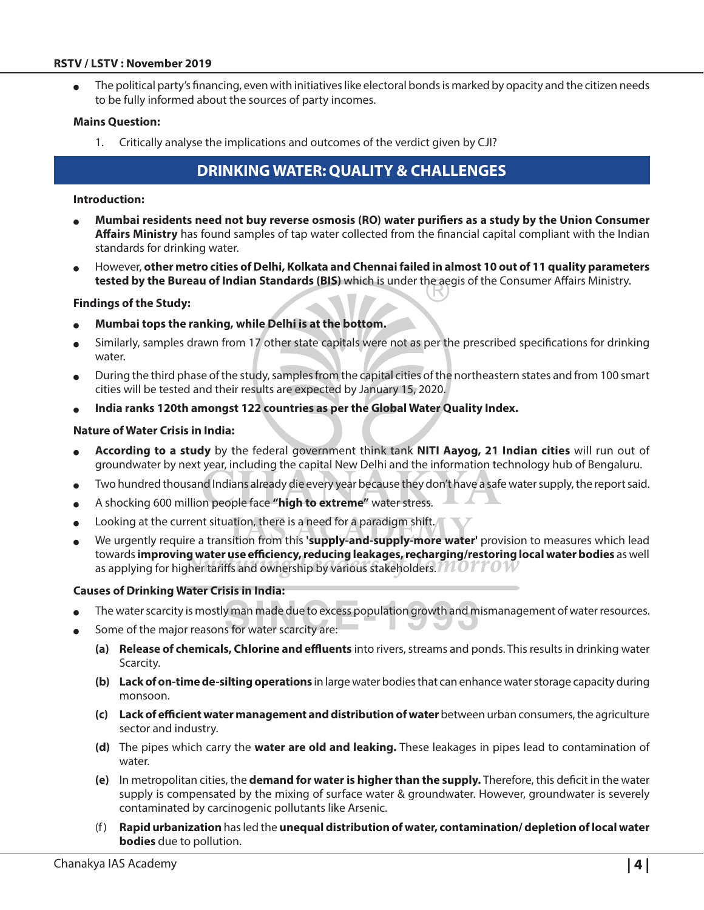#### **RSTV / LSTV : November 2019**

The political party's financing, even with initiatives like electoral bonds is marked by opacity and the citizen needs to be fully informed about the sources of party incomes.

#### **Mains Question:**

1. Critically analyse the implications and outcomes of the verdict given by CJI?

## **Drinking Water: Quality & Challenges**

#### **Introduction:**

- <sup>O</sup> **Mumbai residents need not buy reverse osmosis (RO) water purifiers as a study by the Union Consumer Affairs Ministry** has found samples of tap water collected from the financial capital compliant with the Indian standards for drinking water.
- <sup>O</sup> However, **other metro cities of Delhi, Kolkata and Chennai failed in almost 10 out of 11 quality parameters tested by the Bureau of Indian Standards (BIS)** which is under the aegis of the Consumer Affairs Ministry.

#### **Findings of the Study:**

- Mumbai tops the ranking, while Delhi is at the bottom.
- Similarly, samples drawn from 17 other state capitals were not as per the prescribed specifications for drinking water.
- <sup>O</sup> During the third phase of the study, samples from the capital cities of the northeastern states and from 100 smart cities will be tested and their results are expected by January 15, 2020.
- India ranks 120th amongst 122 countries as per the Global Water Quality Index.

#### **Nature of Water Crisis in India:**

- <sup>O</sup> **According to a study** by the federal government think tank **NITI Aayog, 21 Indian cities** will run out of groundwater by next year, including the capital New Delhi and the information technology hub of Bengaluru.
- Two hundred thousand Indians already die every year because they don't have a safe water supply, the report said.
- <sup>O</sup> A shocking 600 million people face **"high to extreme"** water stress.
- $\bullet$  Looking at the current situation, there is a need for a paradigm shift.
- <sup>O</sup> We urgently require a transition from this **'supply-and-supply-more water'** provision to measures which lead towards **improving water use efficiency, reducing leakages, recharging/restoring local water bodies** as well as applying for higher tariffs and ownership by various stakeholders.  $MOTTOW$

#### **Causes of Drinking Water Crisis in India:**

- The water scarcity is mostly man made due to excess population growth and mismanagement of water resources.
- Some of the major reasons for water scarcity are:
	- **(a) Release of chemicals, Chlorine and effluents** into rivers, streams and ponds. This results in drinking water Scarcity.
	- **(b) Lack of on-time de-silting operations** in large water bodies that can enhance water storage capacity during monsoon.
	- **(c) Lack of efficient water management and distribution of water** between urban consumers, the agriculture sector and industry.
	- **(d)** The pipes which carry the **water are old and leaking.** These leakages in pipes lead to contamination of water.
	- **(e)** In metropolitan cities, the **demand for water is higher than the supply.** Therefore, this deficit in the water supply is compensated by the mixing of surface water & groundwater. However, groundwater is severely contaminated by carcinogenic pollutants like Arsenic.
	- (f) **Rapid urbanization** has led the **unequal distribution of water, contamination/ depletion of local water bodies** due to pollution.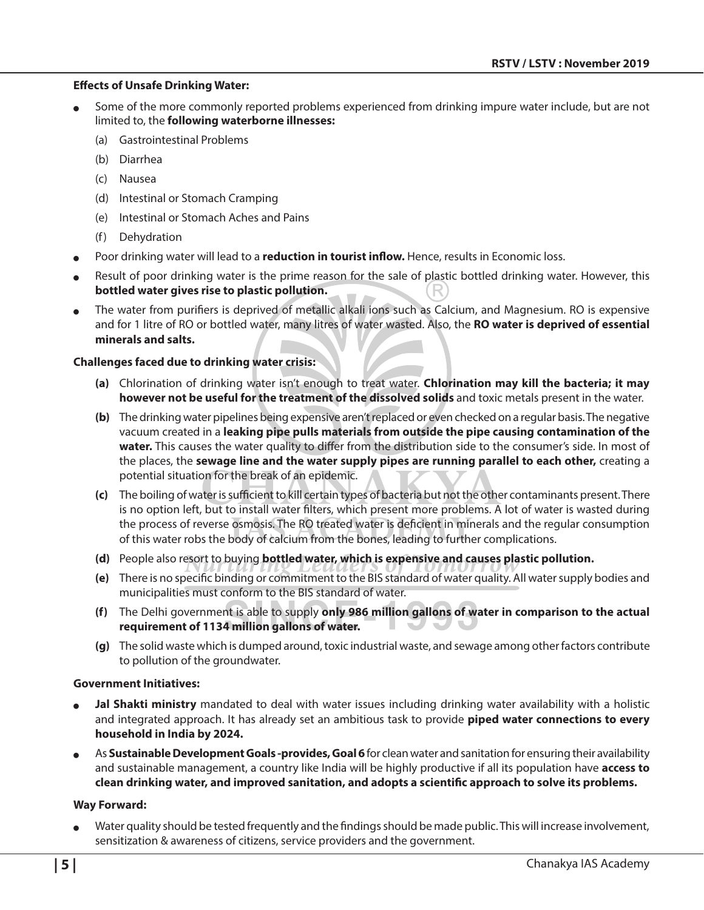#### **Effects of Unsafe Drinking Water:**

- Some of the more commonly reported problems experienced from drinking impure water include, but are not limited to, the **following waterborne illnesses:**
	- (a) Gastrointestinal Problems
	- (b) Diarrhea
	- (c) Nausea
	- (d) Intestinal or Stomach Cramping
	- (e) Intestinal or Stomach Aches and Pains
	- (f) Dehydration
- Poor drinking water will lead to a **reduction in tourist inflow.** Hence, results in Economic loss.
- Result of poor drinking water is the prime reason for the sale of plastic bottled drinking water. However, this **bottled water gives rise to plastic pollution.**
- The water from purifiers is deprived of metallic alkali ions such as Calcium, and Magnesium. RO is expensive and for 1 litre of RO or bottled water, many litres of water wasted. Also, the **RO water is deprived of essential minerals and salts.**

#### **Challenges faced due to drinking water crisis:**

- **(a)** Chlorination of drinking water isn't enough to treat water. **Chlorination may kill the bacteria; it may however not be useful for the treatment of the dissolved solids** and toxic metals present in the water.
- **(b)** The drinking water pipelines being expensive aren't replaced or even checked on a regular basis. The negative vacuum created in a **leaking pipe pulls materials from outside the pipe causing contamination of the water.** This causes the water quality to differ from the distribution side to the consumer's side. In most of the places, the **sewage line and the water supply pipes are running parallel to each other,** creating a potential situation for the break of an epidemic.
- **(c)** The boiling of water is sufficient to kill certain types of bacteria but not the other contaminants present. There is no option left, but to install water filters, which present more problems. A lot of water is wasted during the process of reverse osmosis. The RO treated water is deficient in minerals and the regular consumption of this water robs the body of calcium from the bones, leading to further complications.
- **(d)** People also resort to buying **bottled water, which is expensive and causes plastic pollution.**
- **(e)** There is no specific binding or commitment to the BIS standard of water quality. All water supply bodies and municipalities must conform to the BIS standard of water.
- **(f)** The Delhi government is able to supply **only 986 million gallons of water in comparison to the actual requirement of 1134 million gallons of water.**
- **(g)** The solid waste which is dumped around, toxic industrial waste, and sewage among other factors contribute to pollution of the groundwater.

#### **Government Initiatives:**

- **Jal Shakti ministry** mandated to deal with water issues including drinking water availability with a holistic and integrated approach. It has already set an ambitious task to provide **piped water connections to every household in India by 2024.**
- As Sustainable Development Goals -provides, Goal 6 for clean water and sanitation for ensuring their availability and sustainable management, a country like India will be highly productive if all its population have **access to clean drinking water, and improved sanitation, and adopts a scientific approach to solve its problems.**

#### **Way Forward:**

Water quality should be tested frequently and the findings should be made public. This will increase involvement, sensitization & awareness of citizens, service providers and the government.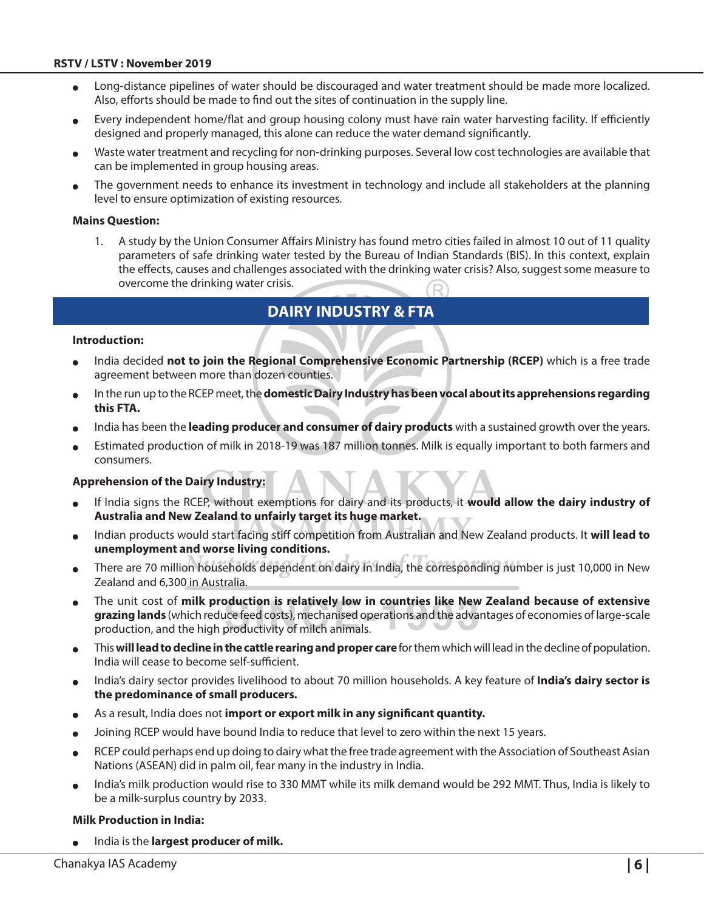- Long-distance pipelines of water should be discouraged and water treatment should be made more localized. Also, efforts should be made to find out the sites of continuation in the supply line.
- Every independent home/flat and group housing colony must have rain water harvesting facility. If efficiently designed and properly managed, this alone can reduce the water demand significantly.
- Waste water treatment and recycling for non-drinking purposes. Several low cost technologies are available that can be implemented in group housing areas.
- The government needs to enhance its investment in technology and include all stakeholders at the planning level to ensure optimization of existing resources.

#### **Mains Question:**

1. A study by the Union Consumer Affairs Ministry has found metro cities failed in almost 10 out of 11 quality parameters of safe drinking water tested by the Bureau of Indian Standards (BIS). In this context, explain the effects, causes and challenges associated with the drinking water crisis? Also, suggest some measure to overcome the drinking water crisis.

## **Dairy Industry & FTA**

#### **Introduction:**

- India decided not to join the Regional Comprehensive Economic Partnership (RCEP) which is a free trade agreement between more than dozen counties.
- In the run up to the RCEP meet, the **domestic Dairy Industry has been vocal about its apprehensions regarding this FTA.**
- India has been the **leading producer and consumer of dairy products** with a sustained growth over the years.
- Estimated production of milk in 2018-19 was 187 million tonnes. Milk is equally important to both farmers and consumers.

#### **Apprehension of the Dairy Industry:**

- <sup>O</sup> If India signs the RCEP, without exemptions for dairy and its products, it **would allow the dairy industry of Australia and New Zealand to unfairly target its huge market.**
- <sup>O</sup> Indian products would start facing stiff competition from Australian and New Zealand products. It **will lead to unemployment and worse living conditions.**
- There are 70 million households dependent on dairy in India, the corresponding number is just 10,000 in New Zealand and 6,300 in Australia.
- **The unit cost of milk production is relatively low in countries like New Zealand because of extensive and in the integration of the United Steams in the cause of extensive grazing lands** (which reduce feed costs), mechanised operations and the advantages of economies of large-scale production, and the high productivity of milch animals.
- <sup>O</sup> This **will lead to decline in the cattle rearing and proper care** for them which will lead in the decline of population. India will cease to become self-sufficient.
- India's dairy sector provides livelihood to about 70 million households. A key feature of **India's dairy sector is the predominance of small producers.**
- As a result, India does not *import or export milk in any significant quantity*.
- Joining RCEP would have bound India to reduce that level to zero within the next 15 years.
- RCEP could perhaps end up doing to dairy what the free trade agreement with the Association of Southeast Asian Nations (ASEAN) did in palm oil, fear many in the industry in India.
- India's milk production would rise to 330 MMT while its milk demand would be 292 MMT. Thus, India is likely to be a milk-surplus country by 2033.

#### **Milk Production in India:**

India is the **largest producer of milk.**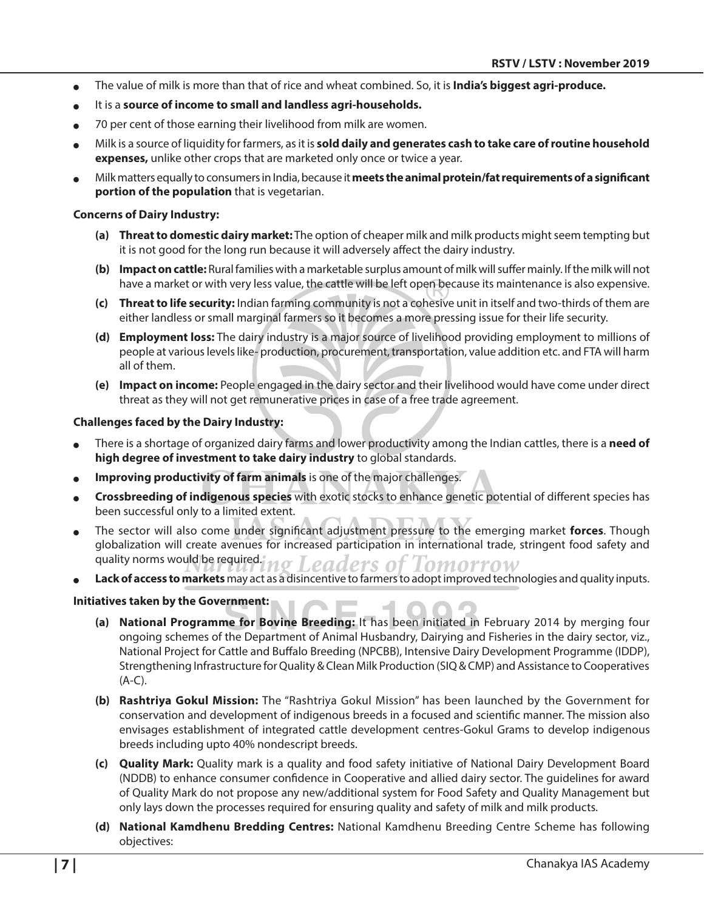- <sup>O</sup> The value of milk is more than that of rice and wheat combined. So, it is **India's biggest agri-produce.**
- It is a **source of income to small and landless agri-households.**
- <sup>O</sup> 70 per cent of those earning their livelihood from milk are women.
- Milk is a source of liquidity for farmers, as it is **sold daily and generates cash to take care of routine household expenses,** unlike other crops that are marketed only once or twice a year.
- <sup>O</sup> Milk matters equally to consumers in India, because it **meets the animal protein/fat requirements of a significant portion of the population** that is vegetarian.

#### **Concerns of Dairy Industry:**

- **(a) Threat to domestic dairy market:** The option of cheaper milk and milk products might seem tempting but it is not good for the long run because it will adversely affect the dairy industry.
- **(b) Impact on cattle:** Rural families with a marketable surplus amount of milk will suffer mainly. If the milk will not have a market or with very less value, the cattle will be left open because its maintenance is also expensive.
- **(c) Threat to life security:** Indian farming community is not a cohesive unit in itself and two-thirds of them are either landless or small marginal farmers so it becomes a more pressing issue for their life security.
- **(d) Employment loss:** The dairy industry is a major source of livelihood providing employment to millions of people at various levels like- production, procurement, transportation, value addition etc. and FTA will harm all of them.
- **(e) Impact on income:** People engaged in the dairy sector and their livelihood would have come under direct threat as they will not get remunerative prices in case of a free trade agreement.

#### **Challenges faced by the Dairy Industry:**

- <sup>O</sup> There is a shortage of organized dairy farms and lower productivity among the Indian cattles, there is a **need of high degree of investment to take dairy industry** to global standards.
- Improving productivity of farm animals is one of the major challenges.
- <sup>O</sup> **Crossbreeding of indigenous species** with exotic stocks to enhance genetic potential of different species has been successful only to a limited extent.
- The sector will also come under significant adjustment pressure to the emerging market **forces**. Though globalization will create avenues for increased participation in international trade, stringent food safety and quality norms would be required. eaders of Lomorrow
- Lack of access to markets may act as a disincentive to farmers to adopt improved technologies and quality inputs.

#### **Initiatives taken by the Government:**

- **(a) National Programme for Bovine Breeding:** It has been initiated in February 2014 by merging four ongoing schemes of the Department of Animal Husbandry, Dairying and Fisheries in the dairy sector, viz., National Project for Cattle and Buffalo Breeding (NPCBB), Intensive Dairy Development Programme (IDDP), Strengthening Infrastructure for Quality & Clean Milk Production (SIQ & CMP) and Assistance to Cooperatives (A-C).
- **(b) Rashtriya Gokul Mission:** The "Rashtriya Gokul Mission" has been launched by the Government for conservation and development of indigenous breeds in a focused and scientific manner. The mission also envisages establishment of integrated cattle development centres-Gokul Grams to develop indigenous breeds including upto 40% nondescript breeds.
- **(c) Quality Mark:** Quality mark is a quality and food safety initiative of National Dairy Development Board (NDDB) to enhance consumer confidence in Cooperative and allied dairy sector. The guidelines for award of Quality Mark do not propose any new/additional system for Food Safety and Quality Management but only lays down the processes required for ensuring quality and safety of milk and milk products.
- **(d) National Kamdhenu Bredding Centres:** National Kamdhenu Breeding Centre Scheme has following objectives: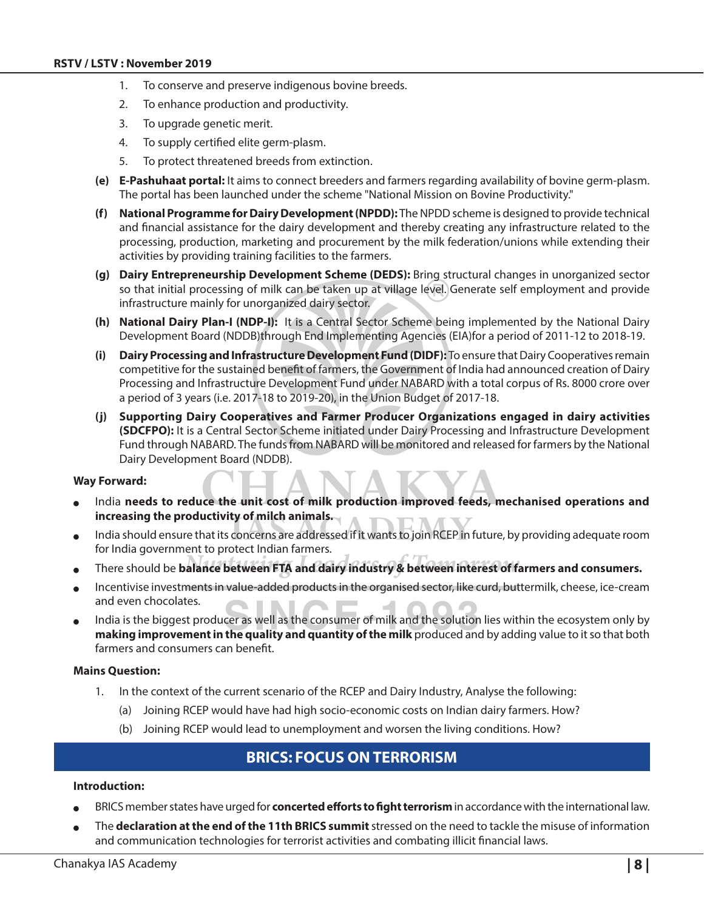- 1. To conserve and preserve indigenous bovine breeds.
- 2. To enhance production and productivity.
- 3. To upgrade genetic merit.
- 4. To supply certified elite germ-plasm.
- 5. To protect threatened breeds from extinction.
- **(e) E-Pashuhaat portal:** It aims to connect breeders and farmers regarding availability of bovine germ-plasm. The portal has been launched under the scheme "National Mission on Bovine Productivity."
- **(f) National Programme for Dairy Development (NPDD):** The NPDD scheme is designed to provide technical and financial assistance for the dairy development and thereby creating any infrastructure related to the processing, production, marketing and procurement by the milk federation/unions while extending their activities by providing training facilities to the farmers.
- **(g) Dairy Entrepreneurship Development Scheme (DEDS):** Bring structural changes in unorganized sector so that initial processing of milk can be taken up at village level. Generate self employment and provide infrastructure mainly for unorganized dairy sector.
- **(h) National Dairy Plan-I (NDP-I):** It is a Central Sector Scheme being implemented by the National Dairy Development Board (NDDB)through End Implementing Agencies (EIA)for a period of 2011-12 to 2018-19.
- **(i) Dairy Processing and Infrastructure Development Fund (DIDF):** To ensure that Dairy Cooperatives remain competitive for the sustained benefit of farmers, the Government of India had announced creation of Dairy Processing and Infrastructure Development Fund under NABARD with a total corpus of Rs. 8000 crore over a period of 3 years (i.e. 2017-18 to 2019-20), in the Union Budget of 2017-18.
- **(j) Supporting Dairy Cooperatives and Farmer Producer Organizations engaged in dairy activities (SDCFPO):** It is a Central Sector Scheme initiated under Dairy Processing and Infrastructure Development Fund through NABARD. The funds from NABARD will be monitored and released for farmers by the National Dairy Development Board (NDDB).

#### **Way Forward:**

- India needs to reduce the unit cost of milk production improved feeds, mechanised operations and **increasing the productivity of milch animals.**
- India should ensure that its concerns are addressed if it wants to join RCEP in future, by providing adequate room for India government to protect Indian farmers.
- There should be **balance between FTA and dairy industry & between interest of farmers and consumers.**
- Incentivise investments in value-added products in the organised sector, like curd, buttermilk, cheese, ice-cream and even chocolates.
- India is the biggest producer as well as the consumer of milk and the solution lies within the ecosystem only by **making improvement in the quality and quantity of the milk** produced and by adding value to it so that both farmers and consumers can benefit.

#### **Mains Question:**

- 1. In the context of the current scenario of the RCEP and Dairy Industry, Analyse the following:
	- (a) Joining RCEP would have had high socio-economic costs on Indian dairy farmers. How?
	- (b) Joining RCEP would lead to unemployment and worsen the living conditions. How?

## **BRICS: Focus on Terrorism**

#### **Introduction:**

- BRICS member states have urged for **concerted efforts to fight terrorism** in accordance with the international law.
- <sup>O</sup> The **declaration at the end of the 11th BRICS summit** stressed on the need to tackle the misuse of information and communication technologies for terrorist activities and combating illicit financial laws.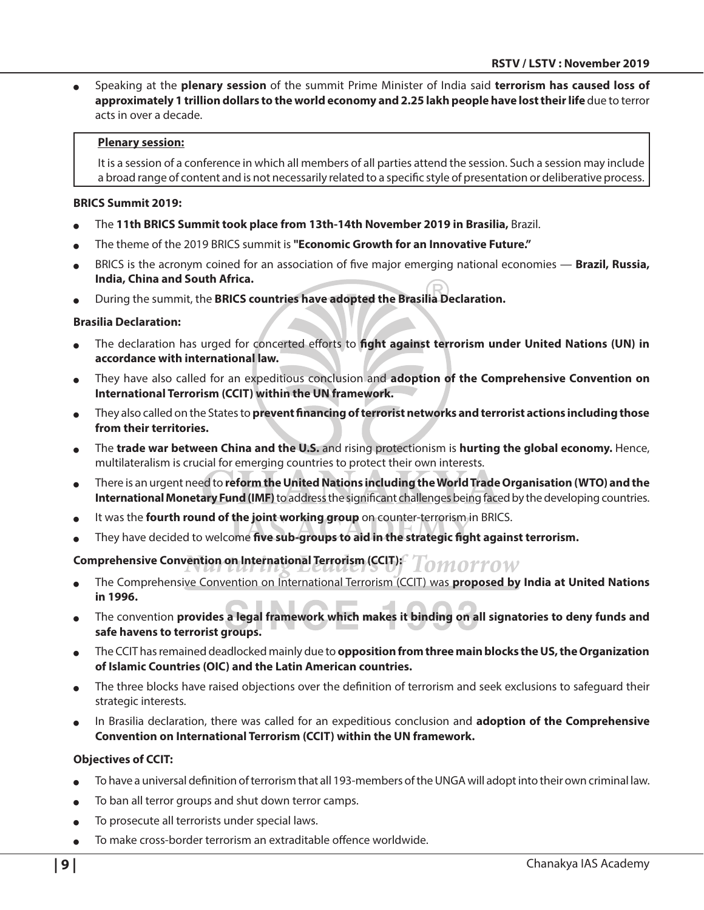<sup>O</sup> Speaking at the **plenary session** of the summit Prime Minister of India said **terrorism has caused loss of approximately 1 trillion dollars to the world economy and 2.25 lakh people have lost their life** due to terror acts in over a decade.

#### **Plenary session:**

It is a session of a conference in which all members of all parties attend the session. Such a session may include a broad range of content and is not necessarily related to a specific style of presentation or deliberative process.

#### **BRICS Summit 2019:**

- <sup>O</sup> The **11th BRICS Summit took place from 13th-14th November 2019 in Brasilia,** Brazil.
- <sup>O</sup> The theme of the 2019 BRICS summit is **"Economic Growth for an Innovative Future."**
- <sup>O</sup> BRICS is the acronym coined for an association of five major emerging national economies **Brazil, Russia, India, China and South Africa.**
- <sup>O</sup> During the summit, the **BRICS countries have adopted the Brasilia Declaration.**

#### **Brasilia Declaration:**

- The declaration has urged for concerted efforts to **fight against terrorism under United Nations (UN) in accordance with international law.**
- They have also called for an expeditious conclusion and **adoption of the Comprehensive Convention on International Terrorism (CCIT) within the UN framework.**
- <sup>O</sup> They also called on the States to **prevent financing of terrorist networks and terrorist actions including those from their territories.**
- <sup>O</sup> The **trade war between China and the U.S.** and rising protectionism is **hurting the global economy.** Hence, multilateralism is crucial for emerging countries to protect their own interests.
- <sup>O</sup> There is an urgent need to **reform the United Nations including the World Trade Organisation (WTO) and the International Monetary Fund (IMF)** to address the significant challenges being faced by the developing countries.
- It was the **fourth round of the joint working group** on counter-terrorism in BRICS.
- They have decided to welcome five sub-groups to aid in the strategic fight against terrorism.

#### **Comprehensive Convention on International Terrorism (CCIT):** Lomorrow

- <sup>O</sup> The Comprehensive Convention on International Terrorism (CCIT) was **proposed by India at United Nations in 1996.**
- <sup>O</sup> The convention **provides a legal framework which makes it binding on all signatories to deny funds and safe havens to terrorist groups.**
- <sup>O</sup> The CCIT has remained deadlocked mainly due to **opposition from three main blocks the US, the Organization of Islamic Countries (OIC) and the Latin American countries.**
- The three blocks have raised objections over the definition of terrorism and seek exclusions to safeguard their strategic interests.
- <sup>O</sup> In Brasilia declaration, there was called for an expeditious conclusion and **adoption of the Comprehensive Convention on International Terrorism (CCIT) within the UN framework.**

#### **Objectives of CCIT:**

- To have a universal definition of terrorism that all 193-members of the UNGA will adopt into their own criminal law.
- To ban all terror groups and shut down terror camps.
- To prosecute all terrorists under special laws.
- <sup>O</sup> To make cross-border terrorism an extraditable offence worldwide.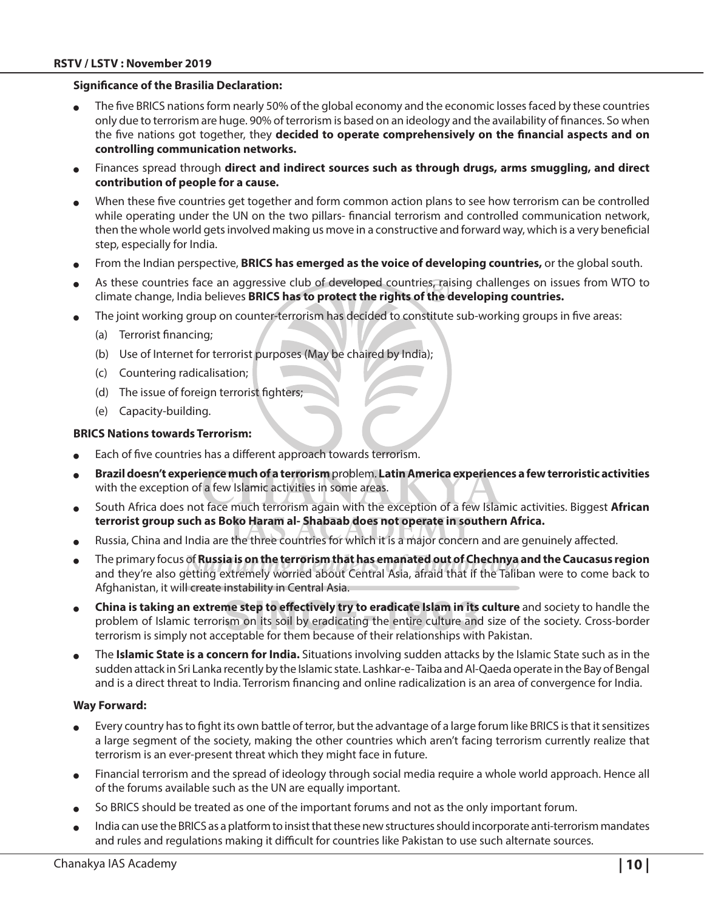#### **Significance of the Brasilia Declaration:**

- The five BRICS nations form nearly 50% of the global economy and the economic losses faced by these countries only due to terrorism are huge. 90% of terrorism is based on an ideology and the availability of finances. So when the five nations got together, they **decided to operate comprehensively on the financial aspects and on controlling communication networks.**
- Finances spread through direct and indirect sources such as through drugs, arms smuggling, and direct **contribution of people for a cause.**
- When these five countries get together and form common action plans to see how terrorism can be controlled while operating under the UN on the two pillars- financial terrorism and controlled communication network, then the whole world gets involved making us move in a constructive and forward way, which is a very beneficial step, especially for India.
- From the Indian perspective, **BRICS has emerged as the voice of developing countries,** or the global south.
- As these countries face an aggressive club of developed countries, raising challenges on issues from WTO to climate change, India believes **BRICS has to protect the rights of the developing countries.**
- The joint working group on counter-terrorism has decided to constitute sub-working groups in five areas:
	- (a) Terrorist financing;
	- (b) Use of Internet for terrorist purposes (May be chaired by India);
	- (c) Countering radicalisation;
	- (d) The issue of foreign terrorist fighters;
	- (e) Capacity-building.

#### **BRICS Nations towards Terrorism:**

- Each of five countries has a different approach towards terrorism.
- <sup>O</sup> **Brazil doesn't experience much of a terrorism** problem. **Latin America experiences a few terroristic activities**  with the exception of a few Islamic activities in some areas.
- <sup>O</sup> South Africa does not face much terrorism again with the exception of a few Islamic activities. Biggest **African terrorist group such as Boko Haram al- Shabaab does not operate in southern Africa.**
- Russia, China and India are the three countries for which it is a major concern and are genuinely affected.
- <sup>O</sup> The primary focus of **Russia is on the terrorism that has emanated out of Chechnya and the Caucasus region**  and they're also getting extremely worried about Central Asia, afraid that if the Taliban were to come back to Afghanistan, it will create instability in Central Asia.
- <sup>O</sup> **China is taking an extreme step to effectively try to eradicate Islam in its culture** and society to handle the problem of Islamic terrorism on its soil by eradicating the entire culture and size of the society. Cross-border terrorism is simply not acceptable for them because of their relationships with Pakistan.
- <sup>O</sup> The **Islamic State is a concern for India.** Situations involving sudden attacks by the Islamic State such as in the sudden attack in Sri Lanka recently by the Islamic state. Lashkar-e- Taiba and Al-Qaeda operate in the Bay of Bengal and is a direct threat to India. Terrorism financing and online radicalization is an area of convergence for India.

#### **Way Forward:**

- Every country has to fight its own battle of terror, but the advantage of a large forum like BRICS is that it sensitizes a large segment of the society, making the other countries which aren't facing terrorism currently realize that terrorism is an ever-present threat which they might face in future.
- Financial terrorism and the spread of ideology through social media require a whole world approach. Hence all of the forums available such as the UN are equally important.
- So BRICS should be treated as one of the important forums and not as the only important forum.
- India can use the BRICS as a platform to insist that these new structures should incorporate anti-terrorism mandates and rules and regulations making it difficult for countries like Pakistan to use such alternate sources.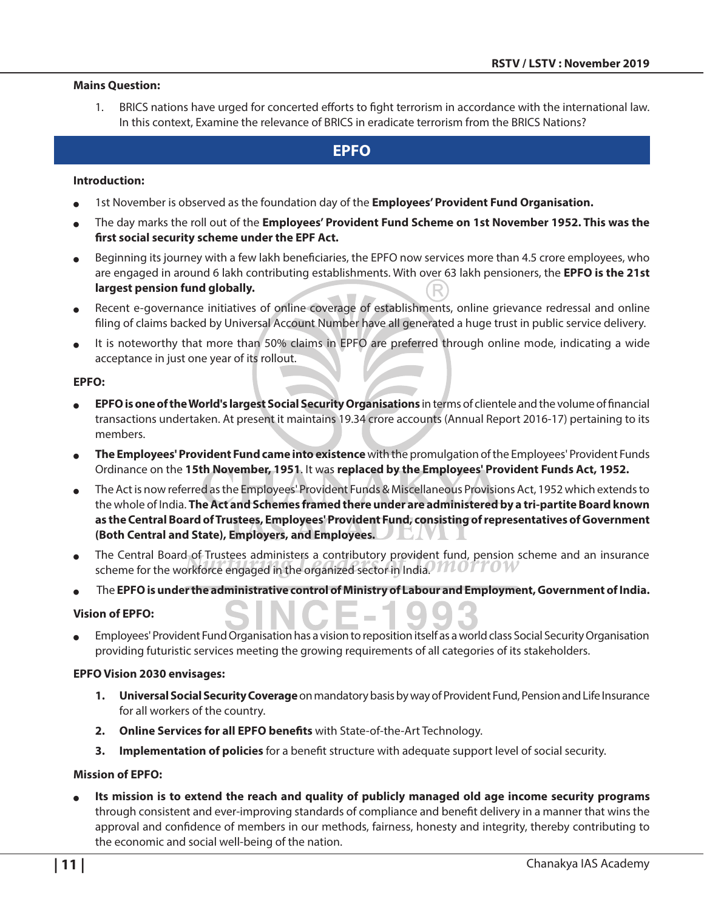#### **Mains Question:**

1. BRICS nations have urged for concerted efforts to fight terrorism in accordance with the international law. In this context, Examine the relevance of BRICS in eradicate terrorism from the BRICS Nations?

## **EPFO**

#### **Introduction:**

- 1st November is observed as the foundation day of the **Employees' Provident Fund Organisation.**
- <sup>O</sup> The day marks the roll out of the **Employees' Provident Fund Scheme on 1st November 1952. This was the first social security scheme under the EPF Act.**
- Beginning its journey with a few lakh beneficiaries, the EPFO now services more than 4.5 crore employees, who are engaged in around 6 lakh contributing establishments. With over 63 lakh pensioners, the **EPFO is the 21st largest pension fund globally.**
- Recent e-governance initiatives of online coverage of establishments, online grievance redressal and online filing of claims backed by Universal Account Number have all generated a huge trust in public service delivery.
- It is noteworthy that more than 50% claims in EPFO are preferred through online mode, indicating a wide acceptance in just one year of its rollout.

#### **EPFO:**

- <sup>O</sup> **EPFO is one of the World's largest Social Security Organisations** in terms of clientele and the volume of financial transactions undertaken. At present it maintains 19.34 crore accounts (Annual Report 2016-17) pertaining to its members.
- <sup>O</sup> **The Employees' Provident Fund came into existence** with the promulgation of the Employees' Provident Funds Ordinance on the **15th November, 1951**. It was **replaced by the Employees' Provident Funds Act, 1952.**
- The Act is now referred as the Employees' Provident Funds & Miscellaneous Provisions Act, 1952 which extends to the whole of India. **The Act and Schemes framed there under are administered by a tri-partite Board known as the Central Board of Trustees, Employees' Provident Fund, consisting of representatives of Government (Both Central and State), Employers, and Employees.** 5 I V I L
- The Central Board of Trustees administers a contributory provident fund, pension scheme and an insurance scheme for the workforce engaged in the organized sector in India. We can be a
- <sup>O</sup> The **EPFO is under the administrative control of Ministry of Labour and Employment, Government of India.**

#### **Vision of EPFO:**

Employees' Provident Fund Organisation has a vision to reposition itself as a world class Social Security Organisation providing futuristic services meeting the growing requirements of all categories of its stakeholders.

#### **EPFO Vision 2030 envisages:**

- **1. Universal Social Security Coverage** on mandatory basis by way of Provident Fund, Pension and Life Insurance for all workers of the country.
- **2. Online Services for all EPFO benefits** with State-of-the-Art Technology.
- **3. Implementation of policies** for a benefit structure with adequate support level of social security.

#### **Mission of EPFO:**

Its mission is to extend the reach and quality of publicly managed old age income security programs through consistent and ever-improving standards of compliance and benefit delivery in a manner that wins the approval and confidence of members in our methods, fairness, honesty and integrity, thereby contributing to the economic and social well-being of the nation.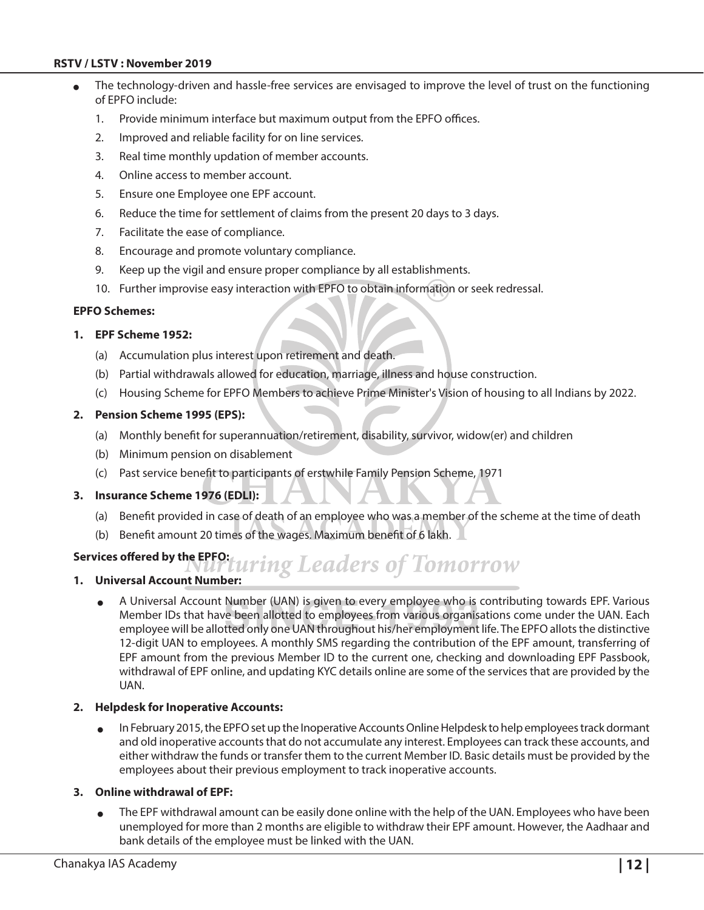#### **RSTV / LSTV : November 2019**

- The technology-driven and hassle-free services are envisaged to improve the level of trust on the functioning of EPFO include:
	- 1. Provide minimum interface but maximum output from the EPFO offices.
	- 2. Improved and reliable facility for on line services.
	- 3. Real time monthly updation of member accounts.
	- 4. Online access to member account.
	- 5. Ensure one Employee one EPF account.
	- 6. Reduce the time for settlement of claims from the present 20 days to 3 days.
	- 7. Facilitate the ease of compliance.
	- 8. Encourage and promote voluntary compliance.
	- 9. Keep up the vigil and ensure proper compliance by all establishments.
	- 10. Further improvise easy interaction with EPFO to obtain information or seek redressal.

#### **EPFO Schemes:**

#### **1. EPF Scheme 1952:**

- (a) Accumulation plus interest upon retirement and death.
- (b) Partial withdrawals allowed for education, marriage, illness and house construction.
- (c) Housing Scheme for EPFO Members to achieve Prime Minister's Vision of housing to all Indians by 2022.

#### **2. Pension Scheme 1995 (EPS):**

- (a) Monthly benefit for superannuation/retirement, disability, survivor, widow(er) and children
- (b) Minimum pension on disablement
- (c) Past service benefit to participants of erstwhile Family Pension Scheme, 1971

#### **3. Insurance Scheme 1976 (EDLI):**

- (a) Benefit provided in case of death of an employee who was a member of the scheme at the time of death
- (b) Benefit amount 20 times of the wages. Maximum benefit of 6 lakh.

#### **Services offered by the EPFO:**

## uring Leaders of Tomorrow **1. Universal Account Number:**

<sup>O</sup> A Universal Account Number (UAN) is given to every employee who is contributing towards EPF. Various Member IDs that have been allotted to employees from various organisations come under the UAN. Each employee will be allotted only one UAN throughout his/her employment life. The EPFO allots the distinctive 12-digit UAN to employees. A monthly SMS regarding the contribution of the EPF amount, transferring of EPF amount from the previous Member ID to the current one, checking and downloading EPF Passbook, withdrawal of EPF online, and updating KYC details online are some of the services that are provided by the UAN.

#### **2. Helpdesk for Inoperative Accounts:**

In February 2015, the EPFO set up the Inoperative Accounts Online Helpdesk to help employees track dormant and old inoperative accounts that do not accumulate any interest. Employees can track these accounts, and either withdraw the funds or transfer them to the current Member ID. Basic details must be provided by the employees about their previous employment to track inoperative accounts.

#### **3. Online withdrawal of EPF:**

The EPF withdrawal amount can be easily done online with the help of the UAN. Employees who have been unemployed for more than 2 months are eligible to withdraw their EPF amount. However, the Aadhaar and bank details of the employee must be linked with the UAN.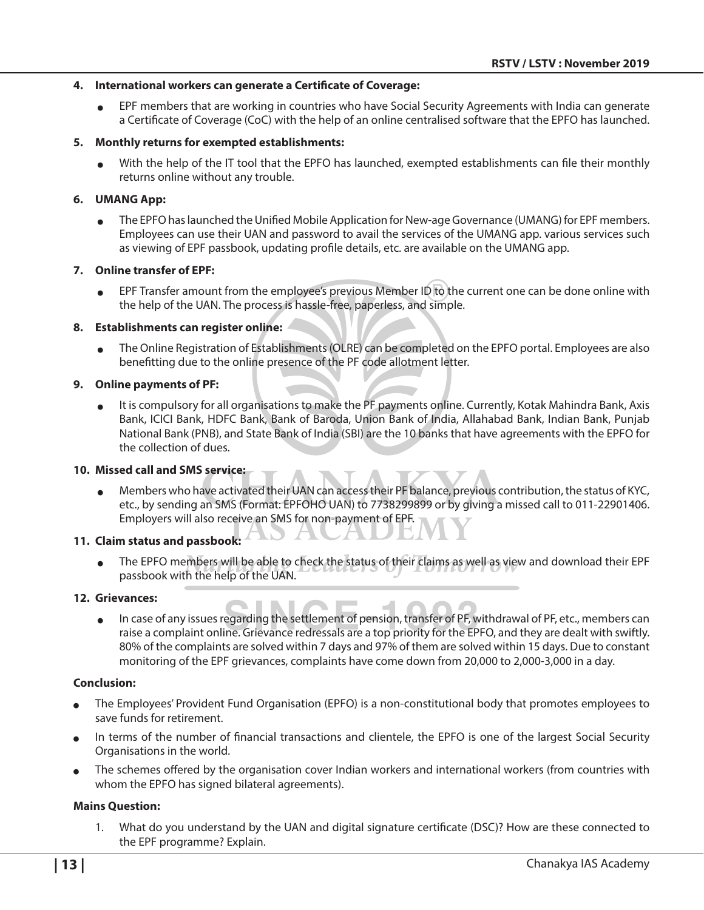#### **4. International workers can generate a Certificate of Coverage:**

<sup>O</sup> EPF members that are working in countries who have Social Security Agreements with India can generate a Certificate of Coverage (CoC) with the help of an online centralised software that the EPFO has launched.

#### **5. Monthly returns for exempted establishments:**

<sup>O</sup> With the help of the IT tool that the EPFO has launched, exempted establishments can file their monthly returns online without any trouble.

#### **6. UMANG App:**

The EPFO has launched the Unified Mobile Application for New-age Governance (UMANG) for EPF members. Employees can use their UAN and password to avail the services of the UMANG app. various services such as viewing of EPF passbook, updating profile details, etc. are available on the UMANG app.

#### **7. Online transfer of EPF:**

EPF Transfer amount from the employee's previous Member ID to the current one can be done online with the help of the UAN. The process is hassle-free, paperless, and simple.

#### **8. Establishments can register online:**

<sup>O</sup> The Online Registration of Establishments (OLRE) can be completed on the EPFO portal. Employees are also benefitting due to the online presence of the PF code allotment letter.

#### **9. Online payments of PF:**

It is compulsory for all organisations to make the PF payments online. Currently, Kotak Mahindra Bank, Axis Bank, ICICI Bank, HDFC Bank, Bank of Baroda, Union Bank of India, Allahabad Bank, Indian Bank, Punjab National Bank (PNB), and State Bank of India (SBI) are the 10 banks that have agreements with the EPFO for the collection of dues.

#### **10. Missed call and SMS service:**

<sup>O</sup> Members who have activated their UAN can access their PF balance, previous contribution, the status of KYC, etc., by sending an SMS (Format: EPFOHO UAN) to 7738299899 or by giving a missed call to 011-22901406. Employers will also receive an SMS for non-payment of EPF.

#### **11. Claim status and passbook:**

The EPFO members will be able to check the status of their claims as well as view and download their EPF passbook with the help of the UAN.

#### **12. Grievances:**

In case of any issues regarding the settlement of pension, transfer of PF, withdrawal of PF, etc., members can raise a complaint online. Grievance redressals are a top priority for the EPFO, and they are dealt with swiftly. 80% of the complaints are solved within 7 days and 97% of them are solved within 15 days. Due to constant monitoring of the EPF grievances, complaints have come down from 20,000 to 2,000-3,000 in a day.

#### **Conclusion:**

- The Employees' Provident Fund Organisation (EPFO) is a non-constitutional body that promotes employees to save funds for retirement.
- In terms of the number of financial transactions and clientele, the EPFO is one of the largest Social Security Organisations in the world.
- <sup>O</sup> The schemes offered by the organisation cover Indian workers and international workers (from countries with whom the EPFO has signed bilateral agreements).

#### **Mains Question:**

1. What do you understand by the UAN and digital signature certificate (DSC)? How are these connected to the EPF programme? Explain.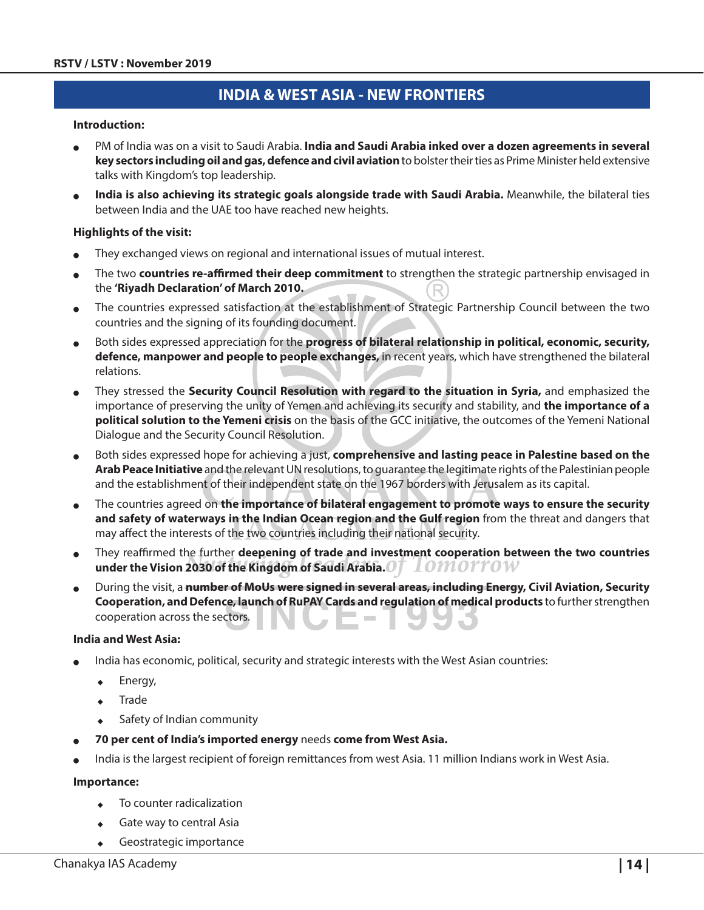## **India & West Asia - New Frontiers**

#### **Introduction:**

- PM of India was on a visit to Saudi Arabia. **India and Saudi Arabia inked over a dozen agreements in several key sectors including oil and gas, defence and civil aviation** to bolster their ties as Prime Minister held extensive talks with Kingdom's top leadership.
- India is also achieving its strategic goals alongside trade with Saudi Arabia. Meanwhile, the bilateral ties between India and the UAE too have reached new heights.

#### **Highlights of the visit:**

- They exchanged views on regional and international issues of mutual interest.
- <sup>O</sup> The two **countries re-affirmed their deep commitment** to strengthen the strategic partnership envisaged in the **'Riyadh Declaration' of March 2010.**
- The countries expressed satisfaction at the establishment of Strategic Partnership Council between the two countries and the signing of its founding document.
- <sup>O</sup> Both sides expressed appreciation for the **progress of bilateral relationship in political, economic, security, defence, manpower and people to people exchanges,** in recent years, which have strengthened the bilateral relations.
- <sup>O</sup> They stressed the **Security Council Resolution with regard to the situation in Syria,** and emphasized the importance of preserving the unity of Yemen and achieving its security and stability, and **the importance of a political solution to the Yemeni crisis** on the basis of the GCC initiative, the outcomes of the Yemeni National Dialogue and the Security Council Resolution.
- Both sides expressed hope for achieving a just, **comprehensive and lasting peace in Palestine based on the Arab Peace Initiative** and the relevant UN resolutions, to guarantee the legitimate rights of the Palestinian people and the establishment of their independent state on the 1967 borders with Jerusalem as its capital.
- <sup>O</sup> The countries agreed on **the importance of bilateral engagement to promote ways to ensure the security and safety of waterways in the Indian Ocean region and the Gulf region** from the threat and dangers that may affect the interests of the two countries including their national security.
- <sup>O</sup> They reaffirmed the further **deepening of trade and investment cooperation between the two countries under the Vision 2030 of the Kingdom of Saudi Arabia.**  Tomorrow
- <sup>O</sup> During the visit, a **number of MoUs were signed in several areas, including Energy, Civil Aviation, Security Cooperation, and Defence, launch of RuPAY Cards and regulation of medical products** to further strengthen cooperation across the sectors.

#### **India and West Asia:**

- India has economic, political, security and strategic interests with the West Asian countries:
	- Energy,
	- $\bullet$  Trade
	- $\triangleleft$  Safety of Indian community
- <sup>O</sup> **70 per cent of India's imported energy** needs **come from West Asia.**
- India is the largest recipient of foreign remittances from west Asia. 11 million Indians work in West Asia.

#### **Importance:**

- To counter radicalization
- Gate way to central Asia
- $\leftarrow$  Geostrategic importance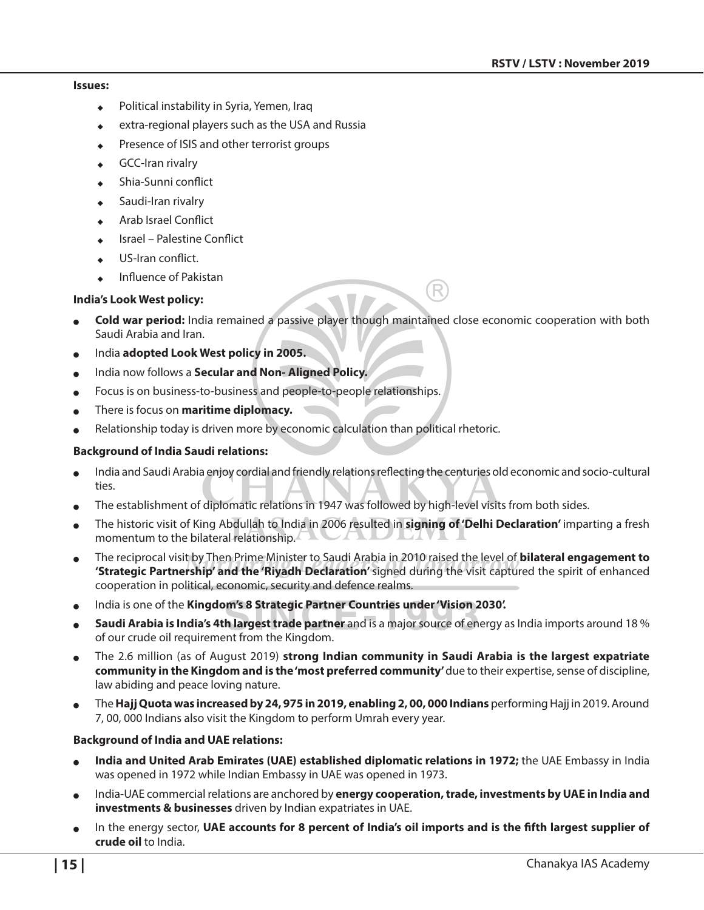#### **Issues:**

- Political instability in Syria, Yemen, Iraq
- extra-regional players such as the USA and Russia
- Presence of ISIS and other terrorist groups
- **GCC-Iran rivalry**
- Shia-Sunni conflict
- Saudi-Iran rivalry
- <sup>X</sup> Arab Israel Conflict
- Israel Palestine Conflict
- US-Iran conflict.
- Influence of Pakistan

#### **India's Look West policy:**

- Cold war period: India remained a passive player though maintained close economic cooperation with both Saudi Arabia and Iran.
- India **adopted Look West policy in 2005.**
- India now follows a **Secular and Non- Aligned Policy.**
- Focus is on business-to-business and people-to-people relationships.
- There is focus on **maritime diplomacy.**
- Relationship today is driven more by economic calculation than political rhetoric.

#### **Background of India Saudi relations:**

- India and Saudi Arabia enjoy cordial and friendly relations reflecting the centuries old economic and socio-cultural ties.
- The establishment of diplomatic relations in 1947 was followed by high-level visits from both sides.
- <sup>O</sup> The historic visit of King Abdullah to India in 2006 resulted in **signing of 'Delhi Declaration'** imparting a fresh momentum to the bilateral relationship.
- <sup>O</sup> The reciprocal visit by Then Prime Minister to Saudi Arabia in 2010 raised the level of **bilateral engagement to 'Strategic Partnership' and the 'Riyadh Declaration'** signed during the visit captured the spirit of enhanced cooperation in political, economic, security and defence realms.
- <sup>O</sup> India is one of the **Kingdom's 8 Strategic Partner Countries under 'Vision 2030'.**
- <sup>O</sup> **Saudi Arabia is India's 4th largest trade partner** and is a major source of energy as India imports around 18 % of our crude oil requirement from the Kingdom.
- <sup>O</sup> The 2.6 million (as of August 2019) **strong Indian community in Saudi Arabia is the largest expatriate community in the Kingdom and is the 'most preferred community'** due to their expertise, sense of discipline, law abiding and peace loving nature.
- <sup>O</sup> The **Hajj Quota was increased by 24, 975 in 2019, enabling 2, 00, 000 Indians** performing Hajj in 2019. Around 7, 00, 000 Indians also visit the Kingdom to perform Umrah every year.

#### **Background of India and UAE relations:**

- **India and United Arab Emirates (UAE) established diplomatic relations in 1972;** the UAE Embassy in India was opened in 1972 while Indian Embassy in UAE was opened in 1973.
- India-UAE commercial relations are anchored by **energy cooperation, trade, investments by UAE in India and investments & businesses** driven by Indian expatriates in UAE.
- In the energy sector, UAE accounts for 8 percent of India's oil imports and is the fifth largest supplier of **crude oil** to India.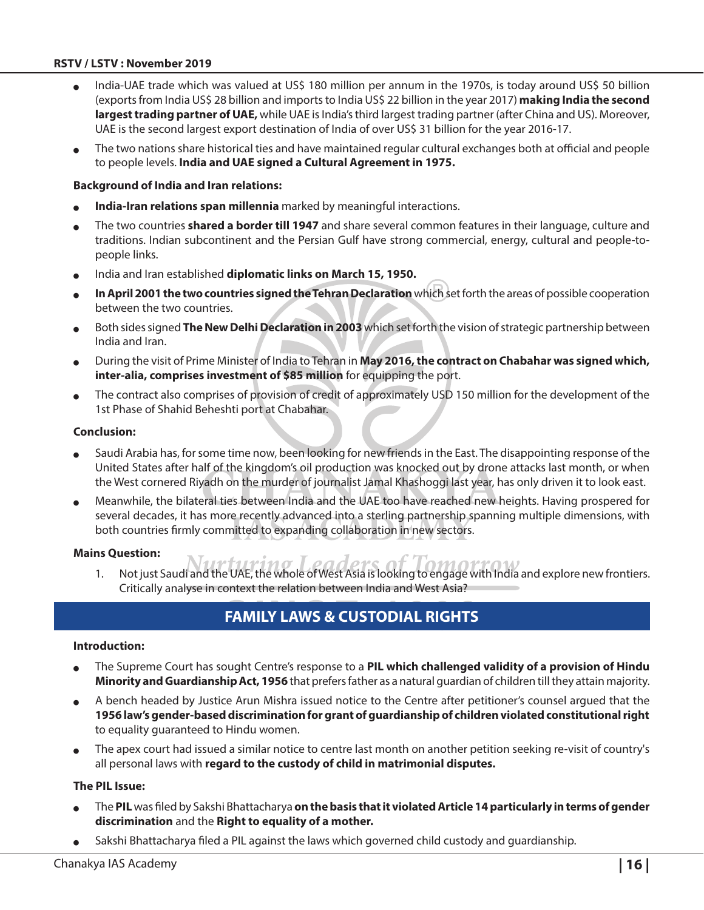#### **RSTV / LSTV : November 2019**

- India-UAE trade which was valued at US\$ 180 million per annum in the 1970s, is today around US\$ 50 billion (exports from India US\$ 28 billion and imports to India US\$ 22 billion in the year 2017) **making India the second largest trading partner of UAE,** while UAE is India's third largest trading partner (after China and US). Moreover, UAE is the second largest export destination of India of over US\$ 31 billion for the year 2016-17.
- The two nations share historical ties and have maintained regular cultural exchanges both at official and people to people levels. **India and UAE signed a Cultural Agreement in 1975.**

#### **Background of India and Iran relations:**

- **India-Iran relations span millennia** marked by meaningful interactions.
- The two countries **shared a border till 1947** and share several common features in their language, culture and traditions. Indian subcontinent and the Persian Gulf have strong commercial, energy, cultural and people-topeople links.
- <sup>O</sup> India and Iran established **diplomatic links on March 15, 1950.**
- In April 2001 the two countries signed the Tehran Declaration which set forth the areas of possible cooperation between the two countries.
- <sup>O</sup> Both sides signed **The New Delhi Declaration in 2003** which set forth the vision of strategic partnership between India and Iran.
- <sup>O</sup> During the visit of Prime Minister of India to Tehran in **May 2016, the contract on Chabahar was signed which, inter-alia, comprises investment of \$85 million** for equipping the port.
- The contract also comprises of provision of credit of approximately USD 150 million for the development of the 1st Phase of Shahid Beheshti port at Chabahar.

#### **Conclusion:**

- Saudi Arabia has, for some time now, been looking for new friends in the East. The disappointing response of the United States after half of the kingdom's oil production was knocked out by drone attacks last month, or when the West cornered Riyadh on the murder of journalist Jamal Khashoggi last year, has only driven it to look east.
- <sup>O</sup> Meanwhile, the bilateral ties between India and the UAE too have reached new heights. Having prospered for several decades, it has more recently advanced into a sterling partnership spanning multiple dimensions, with both countries firmly committed to expanding collaboration in new sectors.

#### **Mains Question:**

1. Not just Saudi and the UAE, the whole of West Asia is looking to engage with India and explore new frontiers. Critically analyse in context the relation between India and West Asia?

## **Family Laws & Custodial Rights**

#### **Introduction:**

- <sup>O</sup> The Supreme Court has sought Centre's response to a **PIL which challenged validity of a provision of Hindu Minority and Guardianship Act, 1956** that prefers father as a natural guardian of children till they attain majority.
- A bench headed by Justice Arun Mishra issued notice to the Centre after petitioner's counsel argued that the **1956 law's gender-based discrimination for grant of guardianship of children violated constitutional right** to equality guaranteed to Hindu women.
- The apex court had issued a similar notice to centre last month on another petition seeking re-visit of country's all personal laws with **regard to the custody of child in matrimonial disputes.**

#### **The PIL Issue:**

- <sup>O</sup> The **PIL** was filed by Sakshi Bhattacharya **on the basis that it violated Article 14 particularly in terms of gender discrimination** and the **Right to equality of a mother.**
- Sakshi Bhattacharya filed a PIL against the laws which governed child custody and guardianship.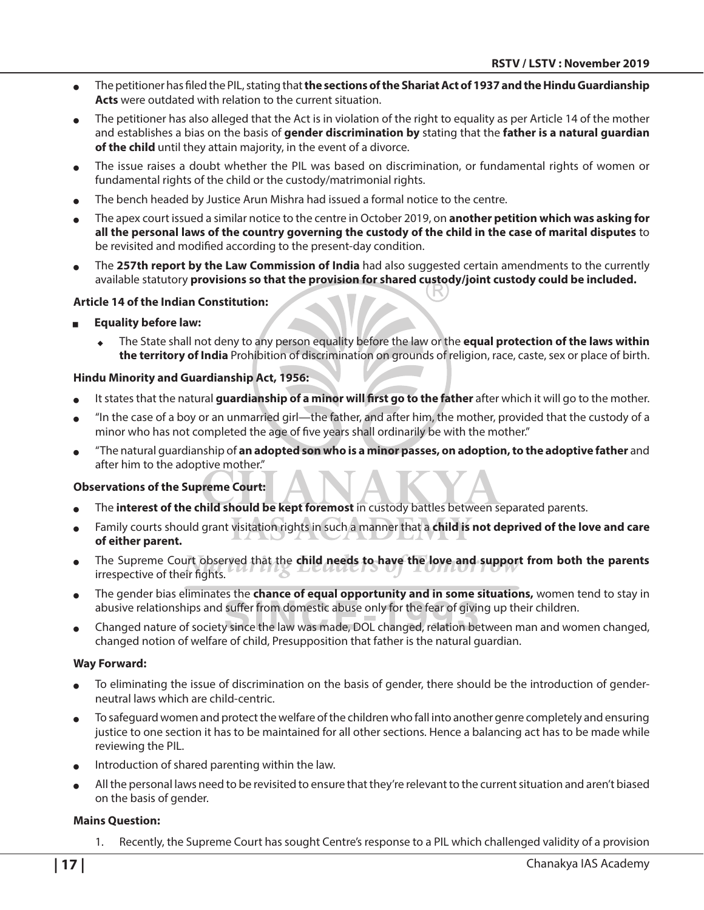- <sup>O</sup> The petitioner has filed the PIL, stating that **the sections of the Shariat Act of 1937 and the Hindu Guardianship Acts** were outdated with relation to the current situation.
- The petitioner has also alleged that the Act is in violation of the right to equality as per Article 14 of the mother and establishes a bias on the basis of **gender discrimination by** stating that the **father is a natural guardian of the child** until they attain majority, in the event of a divorce.
- The issue raises a doubt whether the PIL was based on discrimination, or fundamental rights of women or fundamental rights of the child or the custody/matrimonial rights.
- The bench headed by Justice Arun Mishra had issued a formal notice to the centre.
- <sup>O</sup> The apex court issued a similar notice to the centre in October 2019, on **another petition which was asking for all the personal laws of the country governing the custody of the child in the case of marital disputes** to be revisited and modified according to the present-day condition.
- The 257th report by the Law Commission of India had also suggested certain amendments to the currently available statutory **provisions so that the provision for shared custody/joint custody could be included.**

#### **Article 14 of the Indian Constitution:**

- **Equality before law:** 
	- The State shall not deny to any person equality before the law or the **equal protection of the laws within the territory of India** Prohibition of discrimination on grounds of religion, race, caste, sex or place of birth.

#### **Hindu Minority and Guardianship Act, 1956:**

- It states that the natural **guardianship of a minor will first go to the father** after which it will go to the mother.
- "In the case of a boy or an unmarried girl—the father, and after him, the mother, provided that the custody of a minor who has not completed the age of five years shall ordinarily be with the mother."
- <sup>O</sup> "The natural guardianship of **an adopted son who is a minor passes, on adoption, to the adoptive father** and after him to the adoptive mother."

#### **Observations of the Supreme Court:**

- The **interest of the child should be kept foremost** in custody battles between separated parents.
- Family courts should grant visitation rights in such a manner that a **child is not deprived of the love and care of either parent.**
- The Supreme Court observed that the child needs to have the love and support from both the parents irrespective of their fights.
- The gender bias eliminates the **chance of equal opportunity and in some situations,** women tend to stay in abusive relationships and suffer from domestic abuse only for the fear of giving up their children.
- Changed nature of society since the law was made, DOL changed, relation between man and women changed, changed notion of welfare of child, Presupposition that father is the natural guardian.

#### **Way Forward:**

- To eliminating the issue of discrimination on the basis of gender, there should be the introduction of genderneutral laws which are child-centric.
- To safeguard women and protect the welfare of the children who fall into another genre completely and ensuring justice to one section it has to be maintained for all other sections. Hence a balancing act has to be made while reviewing the PIL.
- Introduction of shared parenting within the law.
- All the personal laws need to be revisited to ensure that they're relevant to the current situation and aren't biased on the basis of gender.

#### **Mains Question:**

1. Recently, the Supreme Court has sought Centre's response to a PIL which challenged validity of a provision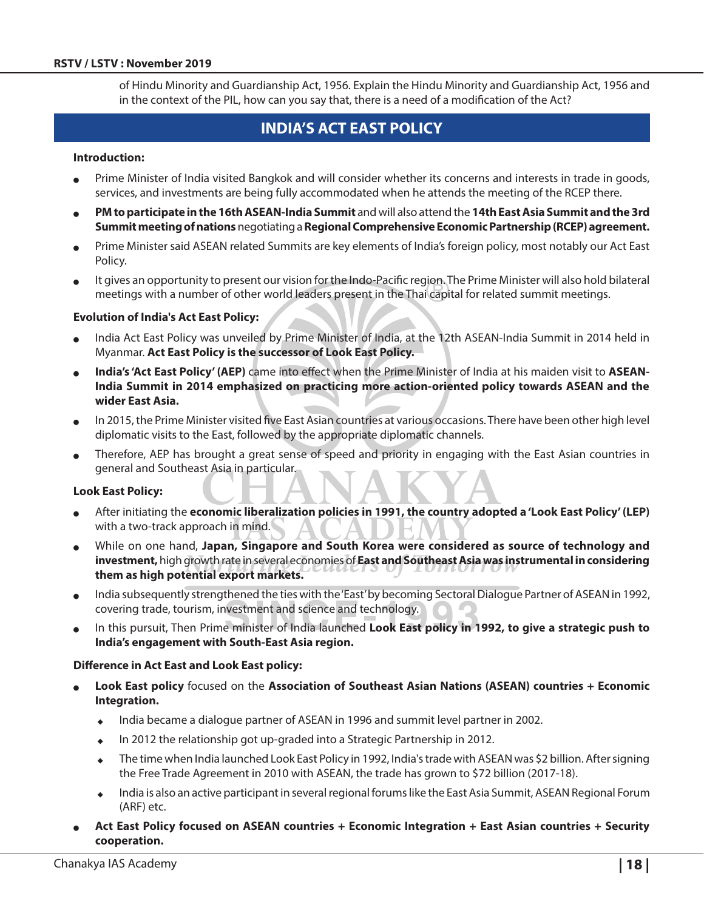of Hindu Minority and Guardianship Act, 1956. Explain the Hindu Minority and Guardianship Act, 1956 and in the context of the PIL, how can you say that, there is a need of a modification of the Act?

## **India's Act East Policy**

#### **Introduction:**

- Prime Minister of India visited Bangkok and will consider whether its concerns and interests in trade in goods, services, and investments are being fully accommodated when he attends the meeting of the RCEP there.
- <sup>O</sup> **PM to participate in the 16th ASEAN-India Summit** and will also attend the **14th East Asia Summit and the 3rd Summit meeting of nations** negotiating a **Regional Comprehensive Economic Partnership (RCEP) agreement.**
- Prime Minister said ASEAN related Summits are key elements of India's foreign policy, most notably our Act East Policy.
- It gives an opportunity to present our vision for the Indo-Pacific region. The Prime Minister will also hold bilateral meetings with a number of other world leaders present in the Thai capital for related summit meetings.

#### **Evolution of India's Act East Policy:**

- India Act East Policy was unveiled by Prime Minister of India, at the 12th ASEAN-India Summit in 2014 held in Myanmar. **Act East Policy is the successor of Look East Policy.**
- India's 'Act East Policy' (AEP) came into effect when the Prime Minister of India at his maiden visit to ASEAN-**India Summit in 2014 emphasized on practicing more action-oriented policy towards ASEAN and the wider East Asia.**
- In 2015, the Prime Minister visited five East Asian countries at various occasions. There have been other high level diplomatic visits to the East, followed by the appropriate diplomatic channels.
- Therefore, AEP has brought a great sense of speed and priority in engaging with the East Asian countries in general and Southeast Asia in particular.

#### **Look East Policy:**

- After initiating the *economic liberalization policies in 1991*, the country adopted a 'Look East Policy' (LEP) with a two-track approach in mind.
- While on one hand, Japan, Singapore and South Korea were considered as source of technology and **investment,** high growth rate in several economies of **East and Southeast Asia was instrumental in considering them as high potential export markets.**
- India subsequently strengthened the ties with the 'East' by becoming Sectoral Dialogue Partner of ASEAN in 1992, covering trade, tourism, investment and science and technology.
- In this pursuit, Then Prime minister of India launched Look East policy in 1992, to give a strategic push to **India's engagement with South-East Asia region.**

#### **Difference in Act East and Look East policy:**

- Look East policy focused on the Association of Southeast Asian Nations (ASEAN) countries + Economic **Integration.**
	- ◆ India became a dialogue partner of ASEAN in 1996 and summit level partner in 2002.
	- In 2012 the relationship got up-graded into a Strategic Partnership in 2012.
	- The time when India launched Look East Policy in 1992, India's trade with ASEAN was \$2 billion. After signing the Free Trade Agreement in 2010 with ASEAN, the trade has grown to \$72 billion (2017-18).
	- ◆ India is also an active participant in several regional forums like the East Asia Summit, ASEAN Regional Forum (ARF) etc.
- Act East Policy focused on ASEAN countries + Economic Integration + East Asian countries + Security **cooperation.**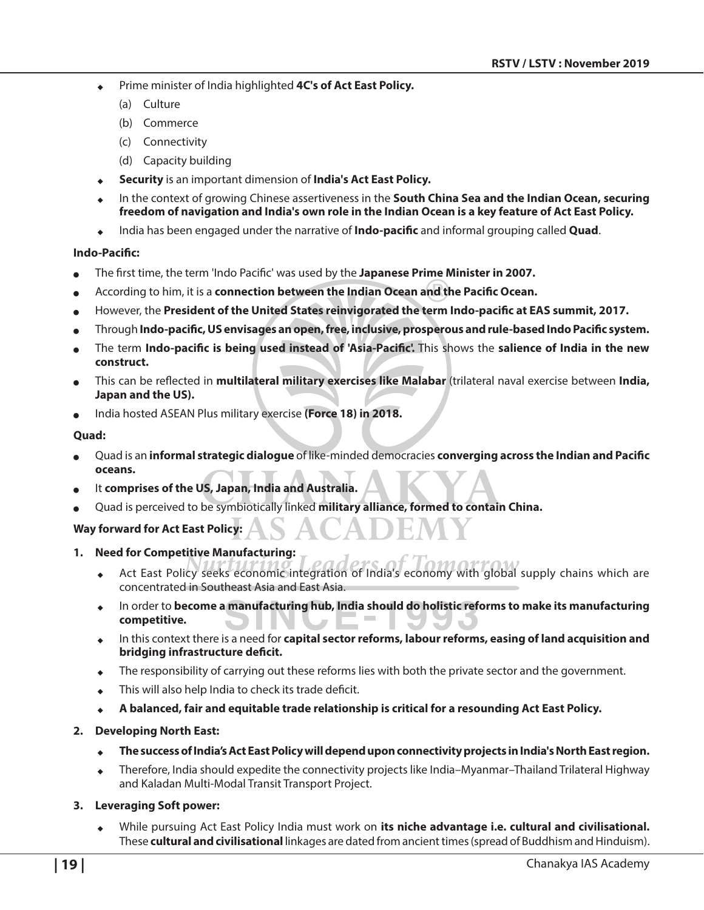- Prime minister of India highlighted **4C's of Act East Policy.** 
	- (a) Culture
	- (b) Commerce
	- (c) Connectivity
	- (d) Capacity building
- <sup>X</sup> **Security** is an important dimension of **India's Act East Policy.**
- In the context of growing Chinese assertiveness in the **South China Sea and the Indian Ocean, securing freedom of navigation and India's own role in the Indian Ocean is a key feature of Act East Policy.**
- <sup>X</sup> India has been engaged under the narrative of **Indo-pacific** and informal grouping called **Quad**.

#### **Indo-Pacific:**

- <sup>O</sup> The first time, the term 'Indo Pacific' was used by the **Japanese Prime Minister in 2007.**
- <sup>O</sup> According to him, it is a **connection between the Indian Ocean and the Pacific Ocean.**
- However, the President of the United States reinvigorated the term Indo-pacific at EAS summit, 2017.
- <sup>O</sup> Through **Indo-pacific, US envisages an open, free, inclusive, prosperous and rule-based Indo Pacific system.**
- <sup>O</sup> The term **Indo-pacific is being used instead of 'Asia-Pacific'.** This shows the **salience of India in the new construct.**
- <sup>O</sup> This can be reflected in **multilateral military exercises like Malabar** (trilateral naval exercise between **India, Japan and the US).**
- India hosted ASEAN Plus military exercise (Force 18) in 2018.

#### **Quad:**

- <sup>O</sup> Quad is an **informal strategic dialogue** of like-minded democracies **converging across the Indian and Pacific oceans.**
- It comprises of the US, Japan, India and Australia.
- <sup>O</sup> Quad is perceived to be symbiotically linked **military alliance, formed to contain China.**

#### **Way forward for Act East Policy:**

- **1. Need for Competitive Manufacturing:**
	- Act East Policy seeks economic integration of India's economy with global supply chains which are concentrated in Southeast Asia and East Asia.
	- <sup>X</sup> In order to **become a manufacturing hub, India should do holistic reforms to make its manufacturing competitive.**
	- In this context there is a need for **capital sector reforms, labour reforms, easing of land acquisition and bridging infrastructure deficit.**
	- The responsibility of carrying out these reforms lies with both the private sector and the government.
	- This will also help India to check its trade deficit.
	- <sup>X</sup> **A balanced, fair and equitable trade relationship is critical for a resounding Act East Policy.**

#### **2. Developing North East:**

- <sup>X</sup> **The success of India's Act East Policy will depend upon connectivity projects in India's North East region.**
- ◆ Therefore, India should expedite the connectivity projects like India–Myanmar–Thailand Trilateral Highway and Kaladan Multi-Modal Transit Transport Project.

#### **3. Leveraging Soft power:**

While pursuing Act East Policy India must work on its niche advantage i.e. cultural and civilisational. These **cultural and civilisational** linkages are dated from ancient times (spread of Buddhism and Hinduism).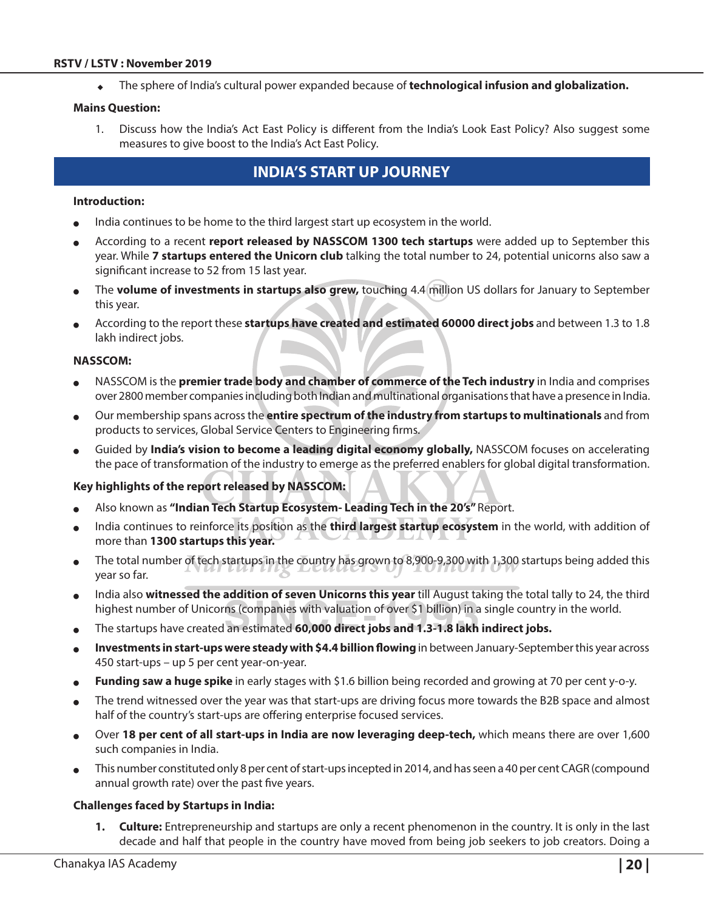#### **RSTV / LSTV : November 2019**

The sphere of India's cultural power expanded because of **technological infusion and globalization.** 

#### **Mains Question:**

1. Discuss how the India's Act East Policy is different from the India's Look East Policy? Also suggest some measures to give boost to the India's Act East Policy.

## **India's Start Up journey**

#### **Introduction:**

- India continues to be home to the third largest start up ecosystem in the world.
- <sup>O</sup> According to a recent **report released by NASSCOM 1300 tech startups** were added up to September this year. While **7 startups entered the Unicorn club** talking the total number to 24, potential unicorns also saw a significant increase to 52 from 15 last year.
- The **volume of investments in startups also grew,** touching 4.4 million US dollars for January to September this year.
- <sup>O</sup> According to the report these **startups have created and estimated 60000 direct jobs** and between 1.3 to 1.8 lakh indirect jobs.

#### **NASSCOM:**

- <sup>O</sup> NASSCOM is the **premier trade body and chamber of commerce of the Tech industry** in India and comprises over 2800 member companies including both Indian and multinational organisations that have a presence in India.
- <sup>O</sup> Our membership spans across the **entire spectrum of the industry from startups to multinationals** and from products to services, Global Service Centers to Engineering firms.
- Guided by **India's vision to become a leading digital economy globally,** NASSCOM focuses on accelerating the pace of transformation of the industry to emerge as the preferred enablers for global digital transformation.

#### **Key highlights of the report released by NASSCOM:**

- <sup>O</sup> Also known as **"Indian Tech Startup Ecosystem- Leading Tech in the 20's"** Report.
- India continues to reinforce its position as the **third largest startup ecosystem** in the world, with addition of more than **1300 startups this year.**
- The total number of tech startups in the country has grown to 8,900-9,300 with 1,300 startups being added this year so far.
- <sup>O</sup> India also **witnessed the addition of seven Unicorns this year** till August taking the total tally to 24, the third highest number of Unicorns (companies with valuation of over \$1 billion) in a single country in the world.
- The startups have created an estimated **60,000 direct jobs and 1.3-1.8 lakh indirect jobs.**
- Investments in start-ups were steady with \$4.4 billion flowing in between January-September this year across 450 start-ups – up 5 per cent year-on-year.
- Funding saw a huge spike in early stages with \$1.6 billion being recorded and growing at 70 per cent y-o-y.
- The trend witnessed over the year was that start-ups are driving focus more towards the B2B space and almost half of the country's start-ups are offering enterprise focused services.
- <sup>O</sup> Over **18 per cent of all start-ups in India are now leveraging deep-tech,** which means there are over 1,600 such companies in India.
- This number constituted only 8 per cent of start-ups incepted in 2014, and has seen a 40 per cent CAGR (compound annual growth rate) over the past five years.

#### **Challenges faced by Startups in India:**

**1. Culture:** Entrepreneurship and startups are only a recent phenomenon in the country. It is only in the last decade and half that people in the country have moved from being job seekers to job creators. Doing a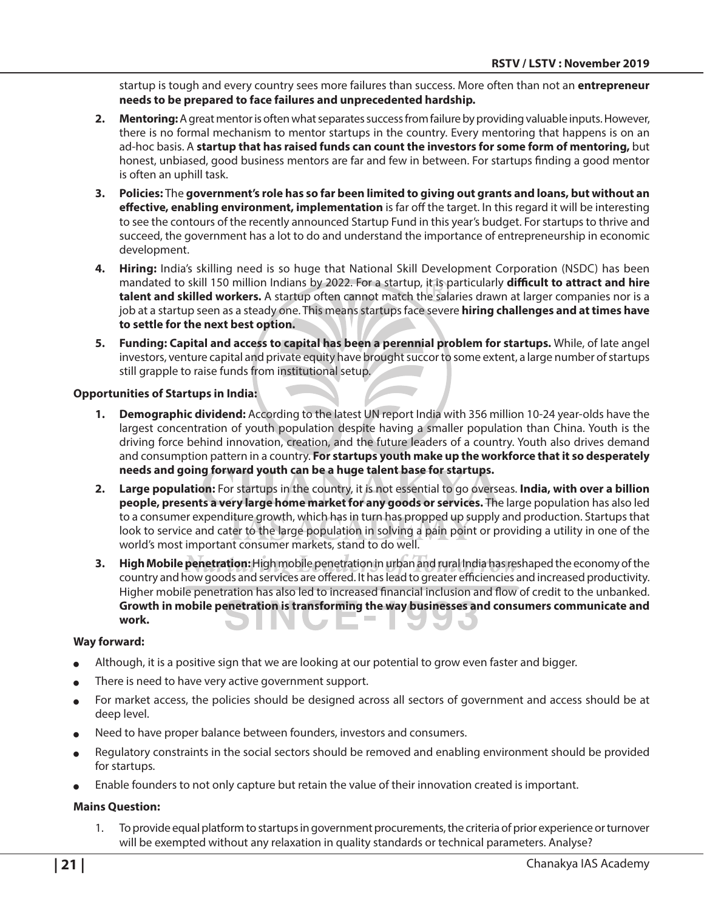startup is tough and every country sees more failures than success. More often than not an **entrepreneur needs to be prepared to face failures and unprecedented hardship.** 

- **2. Mentoring:** A great mentor is often what separates success from failure by providing valuable inputs. However, there is no formal mechanism to mentor startups in the country. Every mentoring that happens is on an ad-hoc basis. A **startup that has raised funds can count the investors for some form of mentoring,** but honest, unbiased, good business mentors are far and few in between. For startups finding a good mentor is often an uphill task.
- **3. Policies:** The **government's role has so far been limited to giving out grants and loans, but without an effective, enabling environment, implementation** is far off the target. In this regard it will be interesting to see the contours of the recently announced Startup Fund in this year's budget. For startups to thrive and succeed, the government has a lot to do and understand the importance of entrepreneurship in economic development.
- **4. Hiring:** India's skilling need is so huge that National Skill Development Corporation (NSDC) has been mandated to skill 150 million Indians by 2022. For a startup, it is particularly **difficult to attract and hire talent and skilled workers.** A startup often cannot match the salaries drawn at larger companies nor is a job at a startup seen as a steady one. This means startups face severe **hiring challenges and at times have to settle for the next best option.**
- **5. Funding: Capital and access to capital has been a perennial problem for startups.** While, of late angel investors, venture capital and private equity have brought succor to some extent, a large number of startups still grapple to raise funds from institutional setup.

#### **Opportunities of Startups in India:**

- **1. Demographic dividend:** According to the latest UN report India with 356 million 10-24 year-olds have the largest concentration of youth population despite having a smaller population than China. Youth is the driving force behind innovation, creation, and the future leaders of a country. Youth also drives demand and consumption pattern in a country. **For startups youth make up the workforce that it so desperately needs and going forward youth can be a huge talent base for startups.**
- **2. Large population:** For startups in the country, it is not essential to go overseas. **India, with over a billion people, presents a very large home market for any goods or services.** The large population has also led to a consumer expenditure growth, which has in turn has propped up supply and production. Startups that look to service and cater to the large population in solving a pain point or providing a utility in one of the world's most important consumer markets, stand to do well.
- **3. High Mobile penetration:** High mobile penetration in urban and rural India has reshaped the economy of the country and how goods and services are offered. It has lead to greater efficiencies and increased productivity. Higher mobile penetration has also led to increased financial inclusion and flow of credit to the unbanked. **Growth in mobile penetration is transforming the way businesses and consumers communicate and work.**

#### **Way forward:**

- Although, it is a positive sign that we are looking at our potential to grow even faster and bigger.
- There is need to have very active government support.
- For market access, the policies should be designed across all sectors of government and access should be at deep level.
- Need to have proper balance between founders, investors and consumers.
- Regulatory constraints in the social sectors should be removed and enabling environment should be provided for startups.
- Enable founders to not only capture but retain the value of their innovation created is important.

#### **Mains Question:**

1. To provide equal platform to startups in government procurements, the criteria of prior experience or turnover will be exempted without any relaxation in quality standards or technical parameters. Analyse?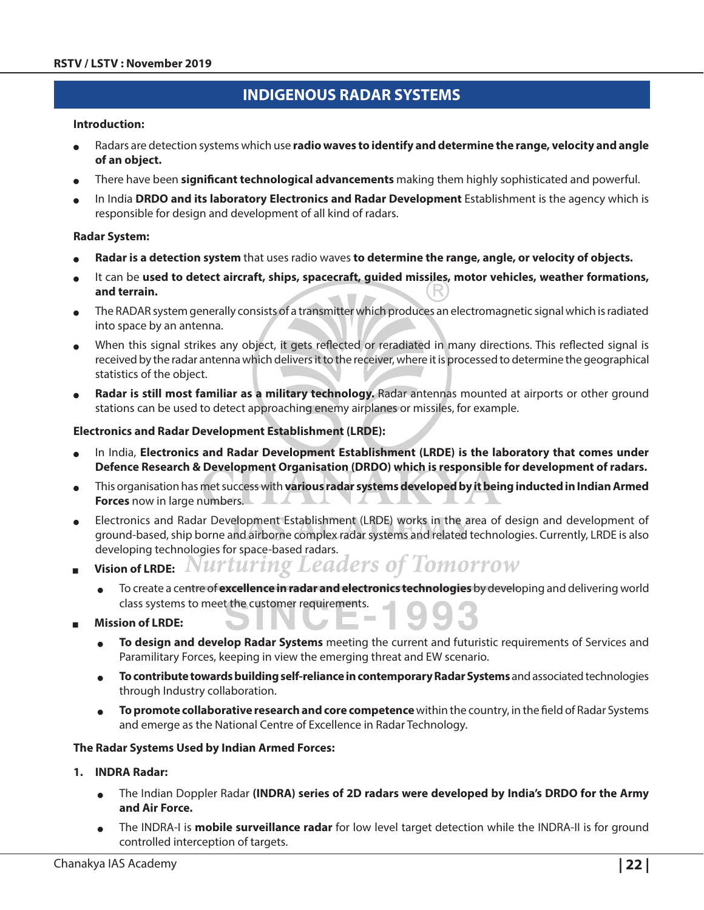## **Indigenous Radar Systems**

#### **Introduction:**

- Radars are detection systems which use **radio waves to identify and determine the range, velocity and angle of an object.**
- <sup>O</sup> There have been **significant technological advancements** making them highly sophisticated and powerful.
- In India DRDO and its laboratory Electronics and Radar Development Establishment is the agency which is responsible for design and development of all kind of radars.

#### **Radar System:**

- Radar is a detection system that uses radio waves to determine the range, angle, or velocity of objects.
- It can be used to detect aircraft, ships, spacecraft, guided missiles, motor vehicles, weather formations, **and terrain.**
- The RADAR system generally consists of a transmitter which produces an electromagnetic signal which is radiated into space by an antenna.
- When this signal strikes any object, it gets reflected or reradiated in many directions. This reflected signal is received by the radar antenna which delivers it to the receiver, where it is processed to determine the geographical statistics of the object.
- Radar is still most familiar as a military technology. Radar antennas mounted at airports or other ground stations can be used to detect approaching enemy airplanes or missiles, for example.

#### **Electronics and Radar Development Establishment (LRDE):**

- In India, Electronics and Radar Development Establishment (LRDE) is the laboratory that comes under **Defence Research & Development Organisation (DRDO) which is responsible for development of radars.**
- This organisation has met success with **various radar systems developed by it being inducted in Indian Armed Forces** now in large numbers.  $\overline{\phantom{a}}$
- Electronics and Radar Development Establishment (LRDE) works in the area of design and development of ground-based, ship borne and airborne complex radar systems and related technologies. Currently, LRDE is also developing technologies for space-based radars.
- Vision of LRDE: Nurturing Leaders of Tomorrow
	- <sup>O</sup> To create a centre of **excellence in radar and electronics technologies** by developing and delivering world class systems to meet the customer requirements.
- <sup>Q</sup> **Mission of LRDE:**
	- <sup>O</sup> **To design and develop Radar Systems** meeting the current and futuristic requirements of Services and Paramilitary Forces, keeping in view the emerging threat and EW scenario.
	- <sup>O</sup> **To contribute towards building self-reliance in contemporary Radar Systems** and associated technologies through Industry collaboration.
	- <sup>O</sup> **To promote collaborative research and core competence** within the country, in the field of Radar Systems and emerge as the National Centre of Excellence in Radar Technology.

#### **The Radar Systems Used by Indian Armed Forces:**

#### **1. INDRA Radar:**

- <sup>O</sup> The Indian Doppler Radar **(INDRA) series of 2D radars were developed by India's DRDO for the Army and Air Force.**
- The INDRA-I is **mobile surveillance radar** for low level target detection while the INDRA-II is for ground controlled interception of targets.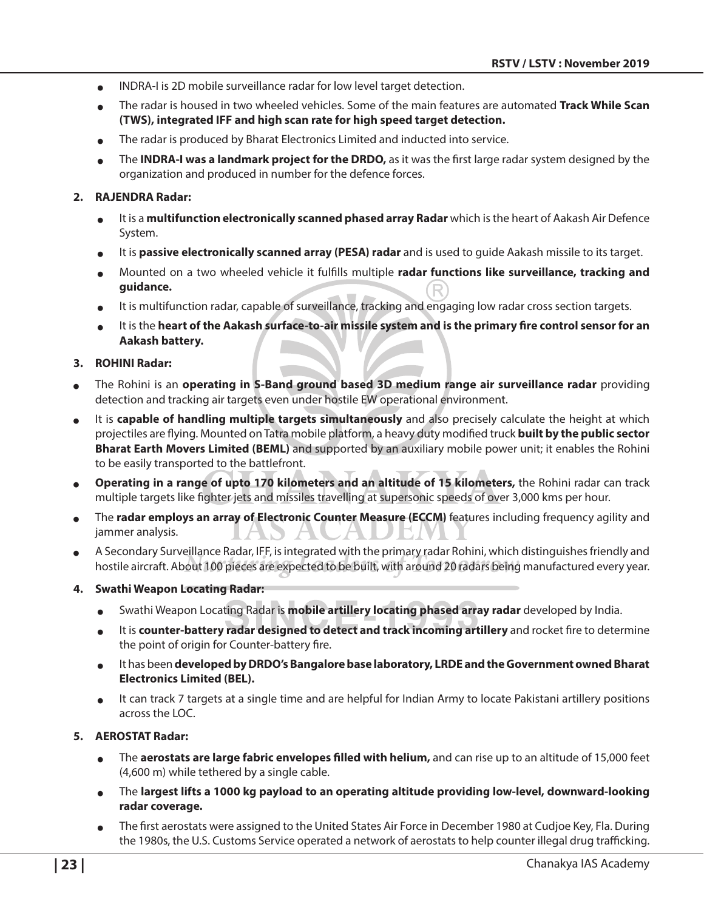- <sup>O</sup> INDRA-I is 2D mobile surveillance radar for low level target detection.
- <sup>O</sup> The radar is housed in two wheeled vehicles. Some of the main features are automated **Track While Scan (TWS), integrated IFF and high scan rate for high speed target detection.**
- The radar is produced by Bharat Electronics Limited and inducted into service.
- <sup>O</sup> The **INDRA-I was a landmark project for the DRDO,** as it was the first large radar system designed by the organization and produced in number for the defence forces.

#### **2. RAJENDRA Radar:**

- It is a **multifunction electronically scanned phased array Radar** which is the heart of Aakash Air Defence System.
- It is **passive electronically scanned array (PESA) radar** and is used to guide Aakash missile to its target.
- Mounted on a two wheeled vehicle it fulfills multiple radar functions like surveillance, tracking and **guidance.**
- It is multifunction radar, capable of surveillance, tracking and engaging low radar cross section targets.
- It is the **heart of the Aakash surface-to-air missile system and is the primary fire control sensor for an Aakash battery.**

#### **3. ROHINI Radar:**

- <sup>O</sup> The Rohini is an **operating in S-Band ground based 3D medium range air surveillance radar** providing detection and tracking air targets even under hostile EW operational environment.
- <sup>O</sup> It is **capable of handling multiple targets simultaneously** and also precisely calculate the height at which projectiles are flying. Mounted on Tatra mobile platform, a heavy duty modified truck **built by the public sector Bharat Earth Movers Limited (BEML)** and supported by an auxiliary mobile power unit; it enables the Rohini to be easily transported to the battlefront.
- <sup>O</sup> **Operating in a range of upto 170 kilometers and an altitude of 15 kilometers,** the Rohini radar can track multiple targets like fighter jets and missiles travelling at supersonic speeds of over 3,000 kms per hour.
- The **radar employs an array of Electronic Counter Measure (ECCM)** features including frequency agility and jammer analysis.
- <sup>O</sup> A Secondary Surveillance Radar, IFF, is integrated with the primary radar Rohini, which distinguishes friendly and hostile aircraft. About 100 pieces are expected to be built, with around 20 radars being manufactured every year.
- **4. Swathi Weapon Locating Radar:**
	- <sup>O</sup> Swathi Weapon Locating Radar is **mobile artillery locating phased array radar** developed by India.
	- <sup>O</sup> It is **counter-battery radar designed to detect and track incoming artillery** and rocket fire to determine the point of origin for Counter-battery fire.
	- <sup>O</sup> It has been **developed by DRDO's Bangalore base laboratory, LRDE and the Government owned Bharat Electronics Limited (BEL).**
	- <sup>O</sup> It can track 7 targets at a single time and are helpful for Indian Army to locate Pakistani artillery positions across the LOC.

#### **5. AEROSTAT Radar:**

- <sup>O</sup> The **aerostats are large fabric envelopes filled with helium,** and can rise up to an altitude of 15,000 feet (4,600 m) while tethered by a single cable.
- <sup>O</sup> The **largest lifts a 1000 kg payload to an operating altitude providing low-level, downward-looking radar coverage.**
- The first aerostats were assigned to the United States Air Force in December 1980 at Cudjoe Key, Fla. During the 1980s, the U.S. Customs Service operated a network of aerostats to help counter illegal drug trafficking.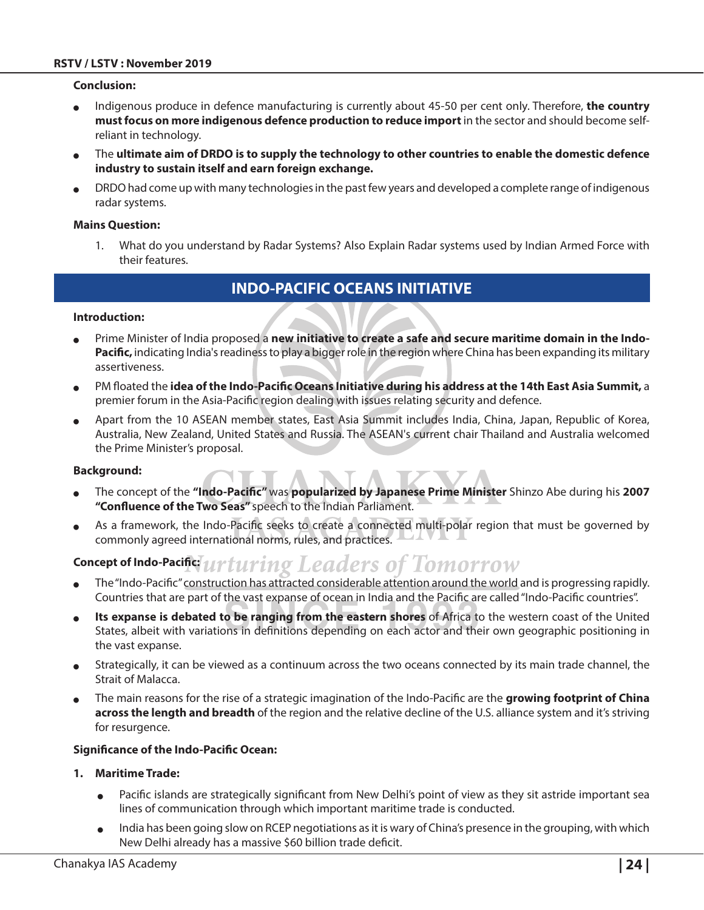#### **Conclusion:**

- <sup>O</sup> Indigenous produce in defence manufacturing is currently about 45-50 per cent only. Therefore, **the country must focus on more indigenous defence production to reduce import** in the sector and should become selfreliant in technology.
- <sup>O</sup> The **ultimate aim of DRDO is to supply the technology to other countries to enable the domestic defence industry to sustain itself and earn foreign exchange.**
- DRDO had come up with many technologies in the past few years and developed a complete range of indigenous radar systems.

#### **Mains Question:**

1. What do you understand by Radar Systems? Also Explain Radar systems used by Indian Armed Force with their features.

## **Indo-Pacific Oceans Initiative**

#### **Introduction:**

- Prime Minister of India proposed a **new initiative to create a safe and secure maritime domain in the Indo-Pacific,** indicating India's readiness to play a bigger role in the region where China has been expanding its military assertiveness.
- <sup>O</sup> PM floated the **idea of the Indo-Pacific Oceans Initiative during his address at the 14th East Asia Summit,** a premier forum in the Asia-Pacific region dealing with issues relating security and defence.
- Apart from the 10 ASEAN member states, East Asia Summit includes India, China, Japan, Republic of Korea, Australia, New Zealand, United States and Russia. The ASEAN's current chair Thailand and Australia welcomed the Prime Minister's proposal.

#### **Background:**

- <sup>O</sup> The concept of the **"Indo-Pacific"** was **popularized by Japanese Prime Minister** Shinzo Abe during his **2007 "Confluence of the Two Seas"** speech to the Indian Parliament.
- <sup>O</sup> As a framework, the Indo-Pacific seeks to create a connected multi-polar region that must be governed by commonly agreed international norms, rules, and practices.

#### irturing Leaders of Tomorrow **Concept of Indo-Pacific:**

- The "Indo-Pacific" construction has attracted considerable attention around the world and is progressing rapidly. Countries that are part of the vast expanse of ocean in India and the Pacific are called "Indo-Pacific countries".
- Its expanse is debated to be ranging from the eastern shores of Africa to the western coast of the United States, albeit with variations in definitions depending on each actor and their own geographic positioning in the vast expanse.
- Strategically, it can be viewed as a continuum across the two oceans connected by its main trade channel, the Strait of Malacca.
- <sup>O</sup> The main reasons for the rise of a strategic imagination of the Indo-Pacific are the **growing footprint of China across the length and breadth** of the region and the relative decline of the U.S. alliance system and it's striving for resurgence.

#### **Significance of the Indo-Pacific Ocean:**

#### **1. Maritime Trade:**

- Pacific islands are strategically significant from New Delhi's point of view as they sit astride important sea lines of communication through which important maritime trade is conducted.
- India has been going slow on RCEP negotiations as it is wary of China's presence in the grouping, with which New Delhi already has a massive \$60 billion trade deficit.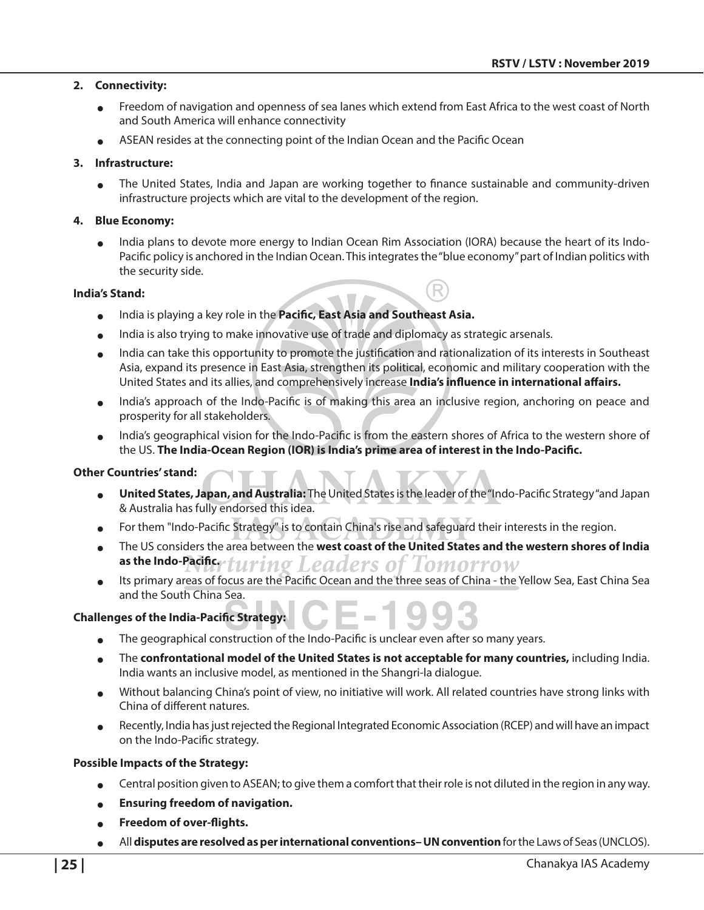#### **2. Connectivity:**

- Freedom of navigation and openness of sea lanes which extend from East Africa to the west coast of North and South America will enhance connectivity
- <sup>O</sup> ASEAN resides at the connecting point of the Indian Ocean and the Pacific Ocean

#### **3. Infrastructure:**

The United States, India and Japan are working together to finance sustainable and community-driven infrastructure projects which are vital to the development of the region.

#### **4. Blue Economy:**

India plans to devote more energy to Indian Ocean Rim Association (IORA) because the heart of its Indo-Pacific policy is anchored in the Indian Ocean. This integrates the "blue economy" part of Indian politics with the security side.

#### **India's Stand:**

- **o** India is playing a key role in the **Pacific, East Asia and Southeast Asia.**
- $\bullet$  India is also trying to make innovative use of trade and diplomacy as strategic arsenals.
- India can take this opportunity to promote the justification and rationalization of its interests in Southeast Asia, expand its presence in East Asia, strengthen its political, economic and military cooperation with the United States and its allies, and comprehensively increase **India's influence in international affairs.**
- India's approach of the Indo-Pacific is of making this area an inclusive region, anchoring on peace and prosperity for all stakeholders.
- India's geographical vision for the Indo-Pacific is from the eastern shores of Africa to the western shore of the US. **The India-Ocean Region (IOR) is India's prime area of interest in the Indo-Pacific.**

#### **Other Countries' stand:**

- United States, Japan, and Australia: The United States is the leader of the "Indo-Pacific Strategy" and Japan & Australia has fully endorsed this idea.
- For them "Indo-Pacific Strategy" is to contain China's rise and safeguard their interests in the region.
- The US considers the area between the **west coast of the United States and the western shores of India as the Indo-Pacifice full rim** ers o Lomorrow
- <sup>O</sup> Its primary areas of focus are the Pacific Ocean and the three seas of China the Yellow Sea, East China Sea and the South China Sea.

#### **Challenges of the India-Pacific Strategy:**

- The geographical construction of the Indo-Pacific is unclear even after so many years.
- The **confrontational model of the United States is not acceptable for many countries, including India.** India wants an inclusive model, as mentioned in the Shangri-la dialogue.
- Without balancing China's point of view, no initiative will work. All related countries have strong links with China of different natures.
- Recently, India has just rejected the Regional Integrated Economic Association (RCEP) and will have an impact on the Indo-Pacific strategy.

#### **Possible Impacts of the Strategy:**

- Central position given to ASEAN; to give them a comfort that their role is not diluted in the region in any way.
- **e** Ensuring freedom of navigation.
- **•** Freedom of over-flights.
- <sup>O</sup> All **disputes are resolved as per international conventions– UN convention** for the Laws of Seas (UNCLOS).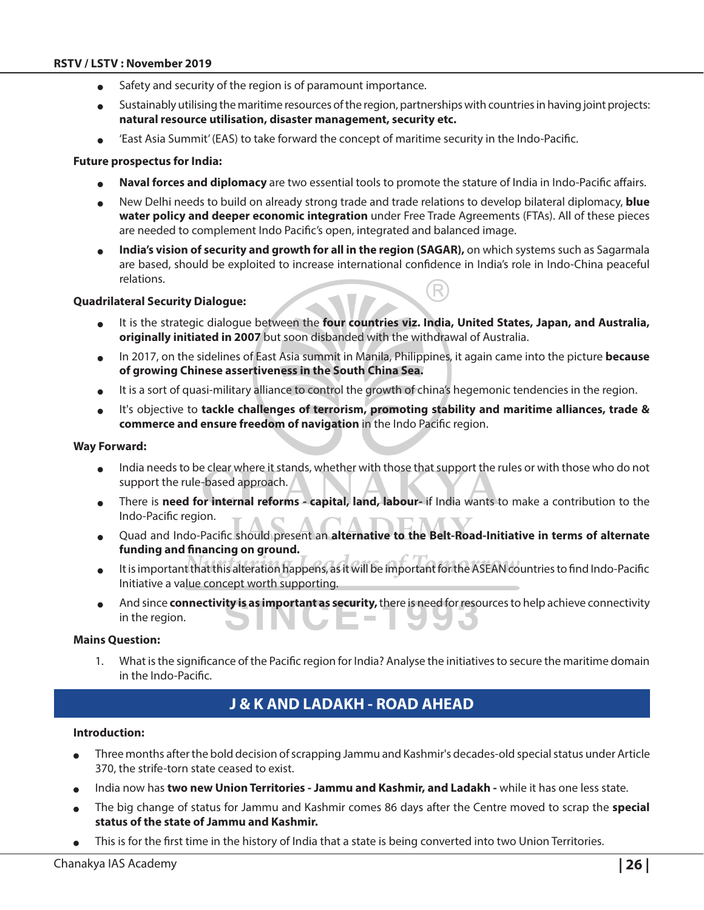- Safety and security of the region is of paramount importance.
- $\bullet$  Sustainably utilising the maritime resources of the region, partnerships with countries in having joint projects: **natural resource utilisation, disaster management, security etc.**
- 'East Asia Summit' (EAS) to take forward the concept of maritime security in the Indo-Pacific.

#### **Future prospectus for India:**

- Naval forces and diplomacy are two essential tools to promote the stature of India in Indo-Pacific affairs.
- <sup>O</sup> New Delhi needs to build on already strong trade and trade relations to develop bilateral diplomacy, **blue water policy and deeper economic integration** under Free Trade Agreements (FTAs). All of these pieces are needed to complement Indo Pacific's open, integrated and balanced image.
- India's vision of security and growth for all in the region (SAGAR), on which systems such as Sagarmala are based, should be exploited to increase international confidence in India's role in Indo-China peaceful relations.

#### **Quadrilateral Security Dialogue:**

- <sup>O</sup> It is the strategic dialogue between the **four countries viz. India, United States, Japan, and Australia, originally initiated in 2007** but soon disbanded with the withdrawal of Australia.
- <sup>O</sup> In 2017, on the sidelines of East Asia summit in Manila, Philippines, it again came into the picture **because of growing Chinese assertiveness in the South China Sea.**
- It is a sort of quasi-military alliance to control the growth of china's hegemonic tendencies in the region.
- <sup>O</sup> It's objective to **tackle challenges of terrorism, promoting stability and maritime alliances, trade & commerce and ensure freedom of navigation** in the Indo Pacific region.

#### **Way Forward:**

- India needs to be clear where it stands, whether with those that support the rules or with those who do not support the rule-based approach.
- <sup>O</sup> There is **need for internal reforms capital, land, labour-** if India wants to make a contribution to the Indo-Pacific region.
- Quad and Indo-Pacific should present an alternative to the Belt-Road-Initiative in terms of alternate **funding and financing on ground.**
- It is important that this alteration happens, as it will be important for the ASEAN countries to find Indo-Pacific Initiative a value concept worth supporting.
- And since **connectivity is as important as security,** there is need for resources to help achieve connectivity in the region.

#### **Mains Question:**

1. What is the significance of the Pacific region for India? Analyse the initiatives to secure the maritime domain in the Indo-Pacific.

## **J & K and Ladakh - Road Ahead**

#### **Introduction:**

- Three months after the bold decision of scrapping Jammu and Kashmir's decades-old special status under Article 370, the strife-torn state ceased to exist.
- India now has **two new Union Territories Jammu and Kashmir, and Ladakh -** while it has one less state.
- <sup>O</sup> The big change of status for Jammu and Kashmir comes 86 days after the Centre moved to scrap the **special status of the state of Jammu and Kashmir.**
- This is for the first time in the history of India that a state is being converted into two Union Territories.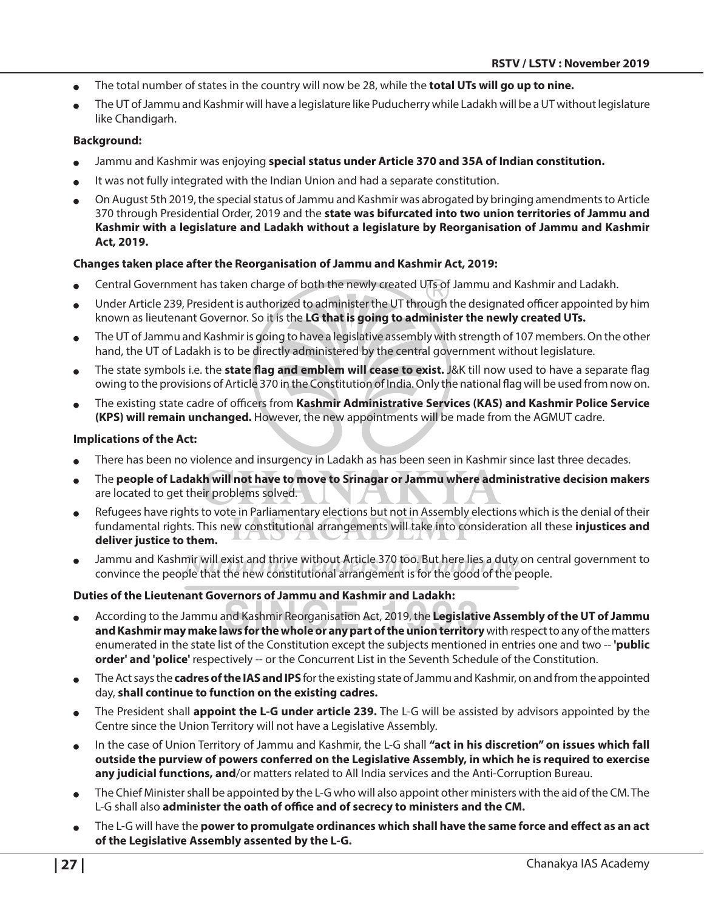- The total number of states in the country will now be 28, while the **total UTs will go up to nine.**
- The UT of Jammu and Kashmir will have a legislature like Puducherry while Ladakh will be a UT without legislature like Chandigarh.

#### **Background:**

- Jammu and Kashmir was enjoying **special status under Article 370 and 35A of Indian constitution.**
- It was not fully integrated with the Indian Union and had a separate constitution.
- <sup>O</sup> On August 5th 2019, the special status of Jammu and Kashmir was abrogated by bringing amendments to Article 370 through Presidential Order, 2019 and the **state was bifurcated into two union territories of Jammu and Kashmir with a legislature and Ladakh without a legislature by Reorganisation of Jammu and Kashmir Act, 2019.**

#### **Changes taken place after the Reorganisation of Jammu and Kashmir Act, 2019:**

- Central Government has taken charge of both the newly created UTs of Jammu and Kashmir and Ladakh.
- Under Article 239, President is authorized to administer the UT through the designated officer appointed by him known as lieutenant Governor. So it is the **LG that is going to administer the newly created UTs.**
- The UT of Jammu and Kashmir is going to have a legislative assembly with strength of 107 members. On the other hand, the UT of Ladakh is to be directly administered by the central government without legislature.
- <sup>O</sup> The state symbols i.e. the **state flag and emblem will cease to exist.** J&K till now used to have a separate flag owing to the provisions of Article 370 in the Constitution of India. Only the national flag will be used from now on.
- <sup>O</sup> The existing state cadre of officers from **Kashmir Administrative Services (KAS) and Kashmir Police Service (KPS) will remain unchanged.** However, the new appointments will be made from the AGMUT cadre.

#### **Implications of the Act:**

- There has been no violence and insurgency in Ladakh as has been seen in Kashmir since last three decades.
- <sup>O</sup> The **people of Ladakh will not have to move to Srinagar or Jammu where administrative decision makers**  are located to get their problems solved.
- Refugees have rights to vote in Parliamentary elections but not in Assembly elections which is the denial of their fundamental rights. This new constitutional arrangements will take into consideration all these **injustices and deliver justice to them.**
- Jammu and Kashmir will exist and thrive without Article 370 too. But here lies a duty on central government to convince the people that the new constitutional arrangement is for the good of the people.

#### **Duties of the Lieutenant Governors of Jammu and Kashmir and Ladakh:**

- <sup>O</sup> According to the Jammu and Kashmir Reorganisation Act, 2019, the **Legislative Assembly of the UT of Jammu and Kashmir may make laws for the whole or any part of the union territory** with respect to any of the matters enumerated in the state list of the Constitution except the subjects mentioned in entries one and two -- **'public order' and 'police'** respectively -- or the Concurrent List in the Seventh Schedule of the Constitution.
- <sup>O</sup> The Act says the **cadres of the IAS and IPS** for the existing state of Jammu and Kashmir, on and from the appointed day, **shall continue to function on the existing cadres.**
- <sup>O</sup> The President shall **appoint the L-G under article 239.** The L-G will be assisted by advisors appointed by the Centre since the Union Territory will not have a Legislative Assembly.
- In the case of Union Territory of Jammu and Kashmir, the L-G shall "act in his discretion" on issues which fall **outside the purview of powers conferred on the Legislative Assembly, in which he is required to exercise any judicial functions, and**/or matters related to All India services and the Anti-Corruption Bureau.
- The Chief Minister shall be appointed by the L-G who will also appoint other ministers with the aid of the CM. The L-G shall also **administer the oath of office and of secrecy to ministers and the CM.**
- The L-G will have the **power to promulgate ordinances which shall have the same force and effect as an act of the Legislative Assembly assented by the L-G.**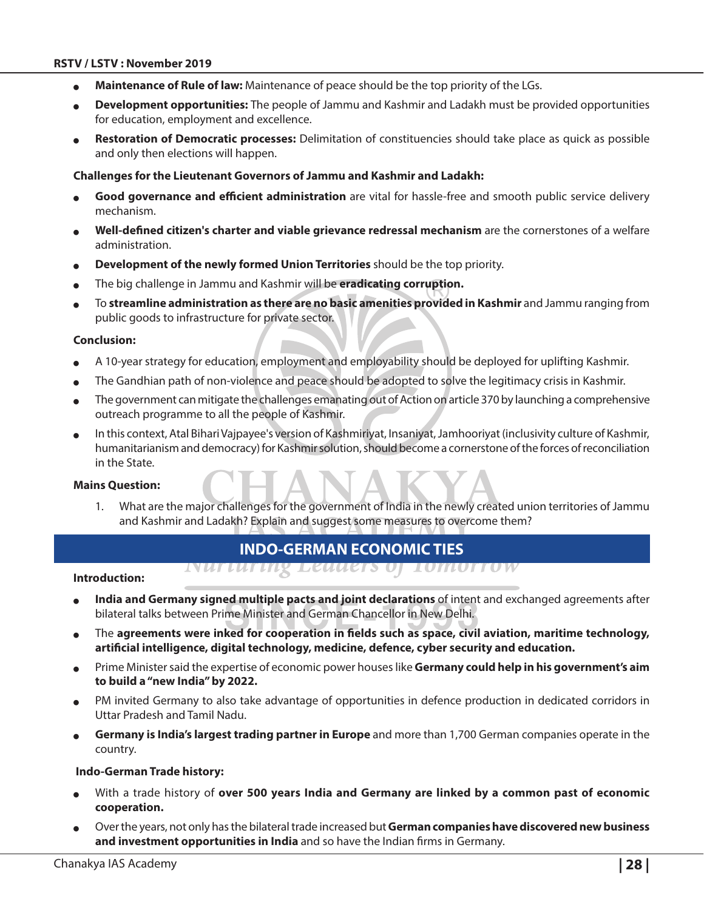- Maintenance of Rule of law: Maintenance of peace should be the top priority of the LGs.
- <sup>O</sup> **Development opportunities:** The people of Jammu and Kashmir and Ladakh must be provided opportunities for education, employment and excellence.
- Restoration of Democratic processes: Delimitation of constituencies should take place as quick as possible and only then elections will happen.

#### **Challenges for the Lieutenant Governors of Jammu and Kashmir and Ladakh:**

- Good governance and efficient administration are vital for hassle-free and smooth public service delivery mechanism.
- <sup>O</sup> **Well-defined citizen's charter and viable grievance redressal mechanism** are the cornerstones of a welfare administration.
- Development of the newly formed Union Territories should be the top priority.
- The big challenge in Jammu and Kashmir will be eradicating corruption.
- <sup>O</sup> To **streamline administration as there are no basic amenities provided in Kashmir** and Jammu ranging from public goods to infrastructure for private sector.

#### **Conclusion:**

- A 10-year strategy for education, employment and employability should be deployed for uplifting Kashmir.
- The Gandhian path of non-violence and peace should be adopted to solve the legitimacy crisis in Kashmir.
- The government can mitigate the challenges emanating out of Action on article 370 by launching a comprehensive outreach programme to all the people of Kashmir.
- In this context, Atal Bihari Vajpayee's version of Kashmiriyat, Insaniyat, Jamhooriyat (inclusivity culture of Kashmir, humanitarianism and democracy) for Kashmir solution, should become a cornerstone of the forces of reconciliation in the State.

#### **Mains Question:**

1. What are the major challenges for the government of India in the newly created union territories of Jammu and Kashmir and Ladakh? Explain and suggest some measures to overcome them?

*TOMOTTOW* 

## **Indo-German Economic Ties**

INUTUITING LEUUETS OF

#### **Introduction:**

- India and Germany signed multiple pacts and joint declarations of intent and exchanged agreements after bilateral talks between Prime Minister and German Chancellor in New Delhi.
- The **agreements were inked for cooperation in fields such as space, civil aviation, maritime technology, artificial intelligence, digital technology, medicine, defence, cyber security and education.**
- <sup>O</sup> Prime Minister said the expertise of economic power houses like **Germany could help in his government's aim to build a "new India" by 2022.**
- PM invited Germany to also take advantage of opportunities in defence production in dedicated corridors in Uttar Pradesh and Tamil Nadu.
- <sup>O</sup> **Germany is India's largest trading partner in Europe** and more than 1,700 German companies operate in the country.

#### **Indo-German Trade history:**

- With a trade history of **over 500 years India and Germany are linked by a common past of economic cooperation.**
- <sup>O</sup> Over the years, not only has the bilateral trade increased but **German companies have discovered new business and investment opportunities in India** and so have the Indian firms in Germany.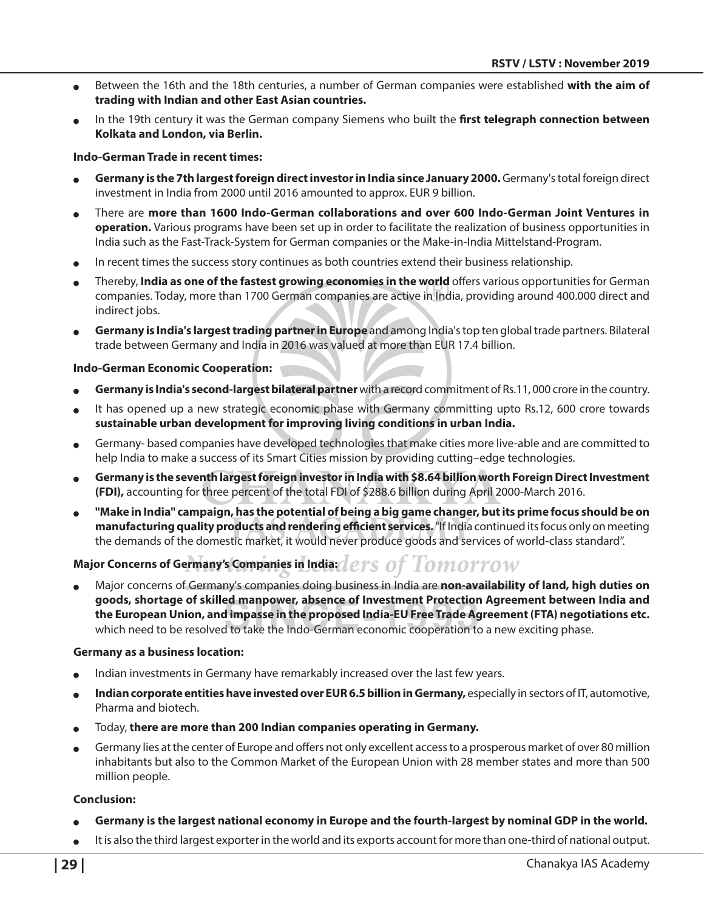- Between the 16th and the 18th centuries, a number of German companies were established **with the aim of trading with Indian and other East Asian countries.**
- In the 19th century it was the German company Siemens who built the **first telegraph connection between Kolkata and London, via Berlin.**

#### **Indo-German Trade in recent times:**

- <sup>O</sup> **Germany is the 7th largest foreign direct investor in India since January 2000.** Germany's total foreign direct investment in India from 2000 until 2016 amounted to approx. EUR 9 billion.
- <sup>O</sup> There are **more than 1600 Indo-German collaborations and over 600 Indo-German Joint Ventures in operation.** Various programs have been set up in order to facilitate the realization of business opportunities in India such as the Fast-Track-System for German companies or the Make-in-India Mittelstand-Program.
- In recent times the success story continues as both countries extend their business relationship.
- <sup>O</sup> Thereby, **India as one of the fastest growing economies in the world** offers various opportunities for German companies. Today, more than 1700 German companies are active in India, providing around 400.000 direct and indirect jobs.
- <sup>O</sup> **Germany is India's largest trading partner in Europe** and among India's top ten global trade partners. Bilateral trade between Germany and India in 2016 was valued at more than EUR 17.4 billion.

#### **Indo-German Economic Cooperation:**

- Germany is India's second-largest bilateral partner with a record commitment of Rs.11,000 crore in the country.
- It has opened up a new strategic economic phase with Germany committing upto Rs.12, 600 crore towards **sustainable urban development for improving living conditions in urban India.**
- <sup>O</sup> Germany- based companies have developed technologies that make cities more live-able and are committed to help India to make a success of its Smart Cities mission by providing cutting–edge technologies.
- <sup>O</sup> **Germany is the seventh largest foreign investor in India with \$8.64 billion worth Foreign Direct Investment (FDI),** accounting for three percent of the total FDI of \$288.6 billion during April 2000-March 2016.
- "Make in India" campaign, has the potential of being a big game changer, but its prime focus should be on **manufacturing quality products and rendering efficient services.** "If India continued its focus only on meeting the demands of the domestic market, it would never produce goods and services of world-class standard".

## **Major Concerns of Germany's Companies in India:** *ets of Tomorrow*

<sup>O</sup> Major concerns of Germany's companies doing business in India are **non-availability of land, high duties on goods, shortage of skilled manpower, absence of Investment Protection Agreement between India and the European Union, and impasse in the proposed India-EU Free Trade Agreement (FTA) negotiations etc.** which need to be resolved to take the Indo-German economic cooperation to a new exciting phase.

#### **Germany as a business location:**

- Indian investments in Germany have remarkably increased over the last few years.
- Indian corporate entities have invested over EUR 6.5 billion in Germany, especially in sectors of IT, automotive, Pharma and biotech.
- <sup>O</sup> Today, **there are more than 200 Indian companies operating in Germany.**
- Germany lies at the center of Europe and offers not only excellent access to a prosperous market of over 80 million inhabitants but also to the Common Market of the European Union with 28 member states and more than 500 million people.

#### **Conclusion:**

- Germany is the largest national economy in Europe and the fourth-largest by nominal GDP in the world.
- It is also the third largest exporter in the world and its exports account for more than one-third of national output.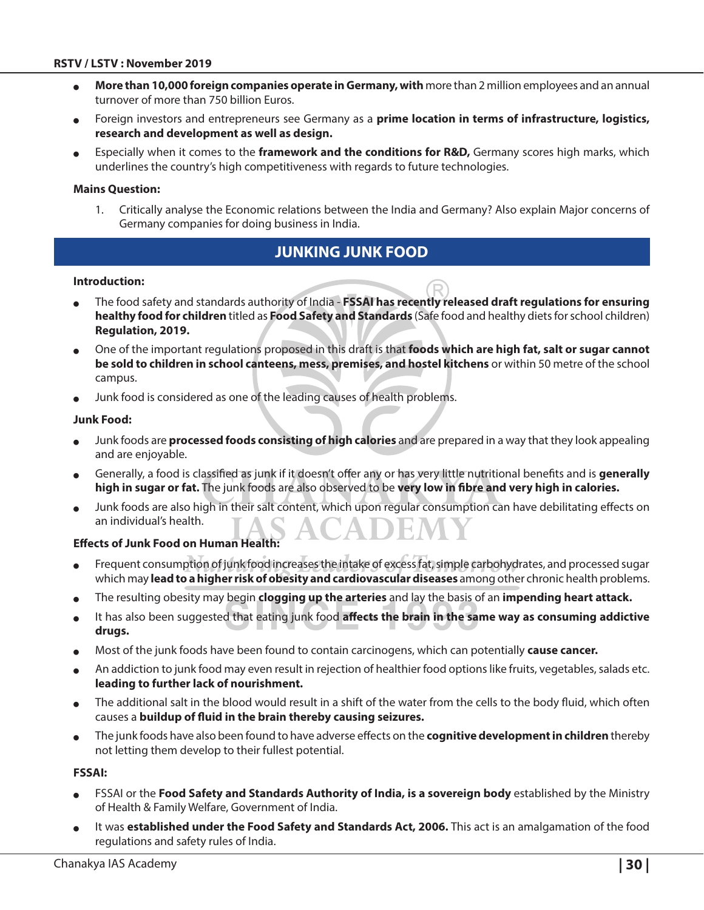#### **RSTV / LSTV : November 2019**

- More than 10,000 foreign companies operate in Germany, with more than 2 million employees and an annual turnover of more than 750 billion Euros.
- Foreign investors and entrepreneurs see Germany as a **prime location in terms of infrastructure, logistics, research and development as well as design.**
- Especially when it comes to the **framework and the conditions for R&D,** Germany scores high marks, which underlines the country's high competitiveness with regards to future technologies.

#### **Mains Question:**

1. Critically analyse the Economic relations between the India and Germany? Also explain Major concerns of Germany companies for doing business in India.

## **Junking Junk Food**

#### **Introduction:**

- <sup>O</sup> The food safety and standards authority of India **FSSAI has recently released draft regulations for ensuring healthy food for children** titled as **Food Safety and Standards** (Safe food and healthy diets for school children) **Regulation, 2019.**
- <sup>O</sup> One of the important regulations proposed in this draft is that **foods which are high fat, salt or sugar cannot be sold to children in school canteens, mess, premises, and hostel kitchens** or within 50 metre of the school campus.
- Junk food is considered as one of the leading causes of health problems.

#### **Junk Food:**

- Junk foods are **processed foods consisting of high calories** and are prepared in a way that they look appealing and are enjoyable.
- <sup>O</sup> Generally, a food is classified as junk if it doesn't offer any or has very little nutritional benefits and is **generally high in sugar or fat.** The junk foods are also observed to be **very low in fibre and very high in calories.**
- Junk foods are also high in their salt content, which upon regular consumption can have debilitating effects on an individual's health.

#### **Effects of Junk Food on Human Health:**

- Frequent consumption of junk food increases the intake of excess fat, simple carbohydrates, and processed sugar which may **lead to a higher risk of obesity and cardiovascular diseases** among other chronic health problems.
- <sup>O</sup> The resulting obesity may begin **clogging up the arteries** and lay the basis of an **impending heart attack.**
- It has also been suggested that eating junk food affects the brain in the same way as consuming addictive **drugs.**
- Most of the junk foods have been found to contain carcinogens, which can potentially **cause cancer.**
- An addiction to junk food may even result in rejection of healthier food options like fruits, vegetables, salads etc. **leading to further lack of nourishment.**
- The additional salt in the blood would result in a shift of the water from the cells to the body fluid, which often causes a **buildup of fluid in the brain thereby causing seizures.**
- <sup>O</sup> The junk foods have also been found to have adverse effects on the **cognitive development in children** thereby not letting them develop to their fullest potential.

#### **FSSAI:**

- FSSAI or the **Food Safety and Standards Authority of India, is a sovereign body** established by the Ministry of Health & Family Welfare, Government of India.
- It was **established under the Food Safety and Standards Act, 2006.** This act is an amalgamation of the food regulations and safety rules of India.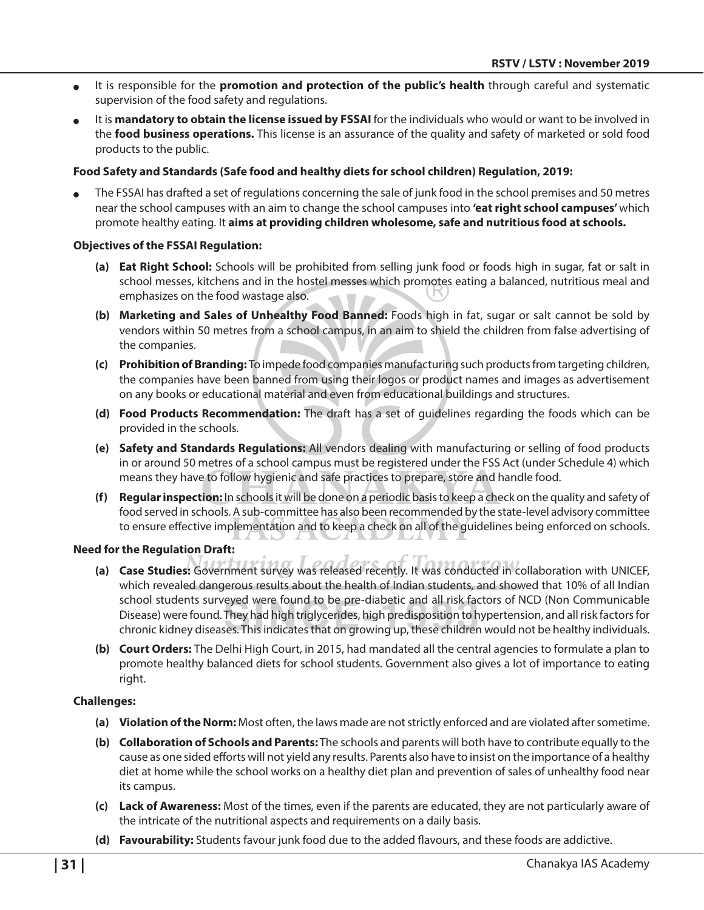- <sup>O</sup> It is responsible for the **promotion and protection of the public's health** through careful and systematic supervision of the food safety and regulations.
- It is **mandatory to obtain the license issued by FSSAI** for the individuals who would or want to be involved in the **food business operations.** This license is an assurance of the quality and safety of marketed or sold food products to the public.

#### **Food Safety and Standards (Safe food and healthy diets for school children) Regulation, 2019:**

The FSSAI has drafted a set of regulations concerning the sale of junk food in the school premises and 50 metres near the school campuses with an aim to change the school campuses into **'eat right school campuses'** which promote healthy eating. It **aims at providing children wholesome, safe and nutritious food at schools.**

#### **Objectives of the FSSAI Regulation:**

- **(a) Eat Right School:** Schools will be prohibited from selling junk food or foods high in sugar, fat or salt in school messes, kitchens and in the hostel messes which promotes eating a balanced, nutritious meal and emphasizes on the food wastage also.
- **(b) Marketing and Sales of Unhealthy Food Banned:** Foods high in fat, sugar or salt cannot be sold by vendors within 50 metres from a school campus, in an aim to shield the children from false advertising of the companies.
- **(c) Prohibition of Branding:** To impede food companies manufacturing such products from targeting children, the companies have been banned from using their logos or product names and images as advertisement on any books or educational material and even from educational buildings and structures.
- **(d) Food Products Recommendation:** The draft has a set of guidelines regarding the foods which can be provided in the schools.
- **(e) Safety and Standards Regulations:** All vendors dealing with manufacturing or selling of food products in or around 50 metres of a school campus must be registered under the FSS Act (under Schedule 4) which means they have to follow hygienic and safe practices to prepare, store and handle food.
- **(f) Regular inspection:** In schools it will be done on a periodic basis to keep a check on the quality and safety of food served in schools. A sub-committee has also been recommended by the state-level advisory committee to ensure effective implementation and to keep a check on all of the guidelines being enforced on schools.

#### **Need for the Regulation Draft:**

- **(a) Case Studies:** Government survey was released recently. It was conducted in collaboration with UNICEF, which revealed dangerous results about the health of Indian students, and showed that 10% of all Indian school students surveyed were found to be pre-diabetic and all risk factors of NCD (Non Communicable Disease) were found. They had high triglycerides, high predisposition to hypertension, and all risk factors for chronic kidney diseases. This indicates that on growing up, these children would not be healthy individuals.
- **(b) Court Orders:** The Delhi High Court, in 2015, had mandated all the central agencies to formulate a plan to promote healthy balanced diets for school students. Government also gives a lot of importance to eating right.

#### **Challenges:**

- **(a) Violation of the Norm:** Most often, the laws made are not strictly enforced and are violated after sometime.
- **(b) Collaboration of Schools and Parents:** The schools and parents will both have to contribute equally to the cause as one sided efforts will not yield any results. Parents also have to insist on the importance of a healthy diet at home while the school works on a healthy diet plan and prevention of sales of unhealthy food near its campus.
- **(c) Lack of Awareness:** Most of the times, even if the parents are educated, they are not particularly aware of the intricate of the nutritional aspects and requirements on a daily basis.
- **(d) Favourability:** Students favour junk food due to the added flavours, and these foods are addictive.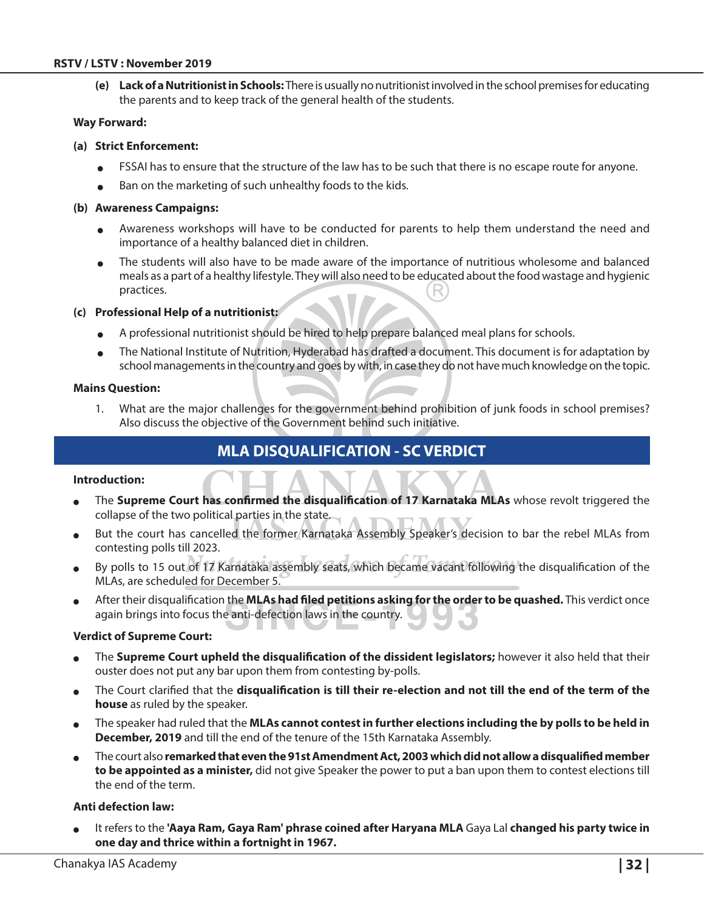#### **RSTV / LSTV : November 2019**

**(e) Lack of a Nutritionist in Schools:** There is usually no nutritionist involved in the school premises for educating the parents and to keep track of the general health of the students.

#### **Way Forward:**

#### **(a) Strict Enforcement:**

- <sup>O</sup> FSSAI has to ensure that the structure of the law has to be such that there is no escape route for anyone.
- $\bullet$  Ban on the marketing of such unhealthy foods to the kids.

#### **(b) Awareness Campaigns:**

- <sup>O</sup> Awareness workshops will have to be conducted for parents to help them understand the need and importance of a healthy balanced diet in children.
- <sup>O</sup> The students will also have to be made aware of the importance of nutritious wholesome and balanced meals as a part of a healthy lifestyle. They will also need to be educated about the food wastage and hygienic practices.

#### **(c) Professional Help of a nutritionist:**

- A professional nutritionist should be hired to help prepare balanced meal plans for schools.
- The National Institute of Nutrition, Hyderabad has drafted a document. This document is for adaptation by school managements in the country and goes by with, in case they do not have much knowledge on the topic.

#### **Mains Question:**

1. What are the major challenges for the government behind prohibition of junk foods in school premises? Also discuss the objective of the Government behind such initiative.

## **MLA Disqualification - SC Verdict**

#### **Introduction:**

- The **Supreme Court has confirmed the disqualification of 17 Karnataka MLAs** whose revolt triggered the collapse of the two political parties in the state.
- But the court has cancelled the former Karnataka Assembly Speaker's decision to bar the rebel MLAs from contesting polls till 2023.
- By polls to 15 out of 17 Karnataka assembly seats, which became vacant following the disqualification of the MLAs, are scheduled for December 5.
- After their disqualification the **MLAs had filed petitions asking for the order to be quashed.** This verdict once again brings into focus the anti-defection laws in the country.

#### **Verdict of Supreme Court:**

- The **Supreme Court upheld the disqualification of the dissident legislators;** however it also held that their ouster does not put any bar upon them from contesting by-polls.
- <sup>O</sup> The Court clarified that the **disqualification is till their re-election and not till the end of the term of the house** as ruled by the speaker.
- <sup>O</sup> The speaker had ruled that the **MLAs cannot contest in further elections including the by polls to be held in December, 2019** and till the end of the tenure of the 15th Karnataka Assembly.
- <sup>O</sup> The court also **remarked that even the 91st Amendment Act, 2003 which did not allow a disqualified member to be appointed as a minister,** did not give Speaker the power to put a ban upon them to contest elections till the end of the term.

#### **Anti defection law:**

It refers to the 'Aaya Ram, Gaya Ram' phrase coined after Haryana MLA Gaya Lal changed his party twice in **one day and thrice within a fortnight in 1967.**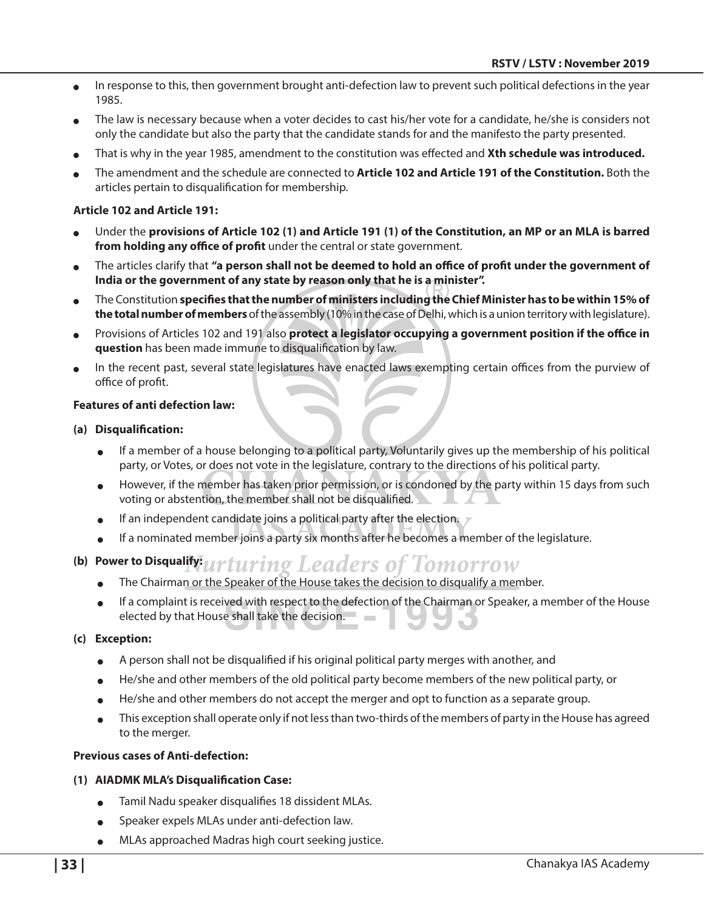- In response to this, then government brought anti-defection law to prevent such political defections in the year 1985.
- The law is necessary because when a voter decides to cast his/her vote for a candidate, he/she is considers not only the candidate but also the party that the candidate stands for and the manifesto the party presented.
- That is why in the year 1985, amendment to the constitution was effected and **Xth schedule was introduced.**
- <sup>O</sup> The amendment and the schedule are connected to **Article 102 and Article 191 of the Constitution.** Both the articles pertain to disqualification for membership.

#### **Article 102 and Article 191:**

- <sup>O</sup> Under the **provisions of Article 102 (1) and Article 191 (1) of the Constitution, an MP or an MLA is barred from holding any office of profit** under the central or state government.
- The articles clarify that "a person shall not be deemed to hold an office of profit under the government of **India or the government of any state by reason only that he is a minister".**
- <sup>O</sup> The Constitution **specifies that the number of ministers including the Chief Minister has to be within 15% of the total number of members** of the assembly (10% in the case of Delhi, which is a union territory with legislature).
- Provisions of Articles 102 and 191 also **protect a legislator occupying a government position if the office in question** has been made immune to disqualification by law.
- In the recent past, several state legislatures have enacted laws exempting certain offices from the purview of office of profit.

#### **Features of anti defection law:**

#### **(a) Disqualification:**

- If a member of a house belonging to a political party, Voluntarily gives up the membership of his political party, or Votes, or does not vote in the legislature, contrary to the directions of his political party.
- However, if the member has taken prior permission, or is condoned by the party within 15 days from such voting or abstention, the member shall not be disqualified.
- If an independent candidate joins a political party after the election.  $\nabla$
- $\bullet$  If a nominated member joins a party six months after he becomes a member of the legislature.

#### **(b) Power to Disqualify:** ing Leaders of Tomorrow

- The Chairman or the Speaker of the House takes the decision to disqualify a member.
- <sup>O</sup> If a complaint is received with respect to the defection of the Chairman or Speaker, a member of the House elected by that House shall take the decision.

#### **(c) Exception:**

- A person shall not be disqualified if his original political party merges with another, and
- He/she and other members of the old political party become members of the new political party, or
- He/she and other members do not accept the merger and opt to function as a separate group.
- This exception shall operate only if not less than two-thirds of the members of party in the House has agreed to the merger.

#### **Previous cases of Anti-defection:**

#### **(1) AIADMK MLA's Disqualification Case:**

- Tamil Nadu speaker disqualifies 18 dissident MLAs.
- Speaker expels MLAs under anti-defection law.
- MLAs approached Madras high court seeking justice.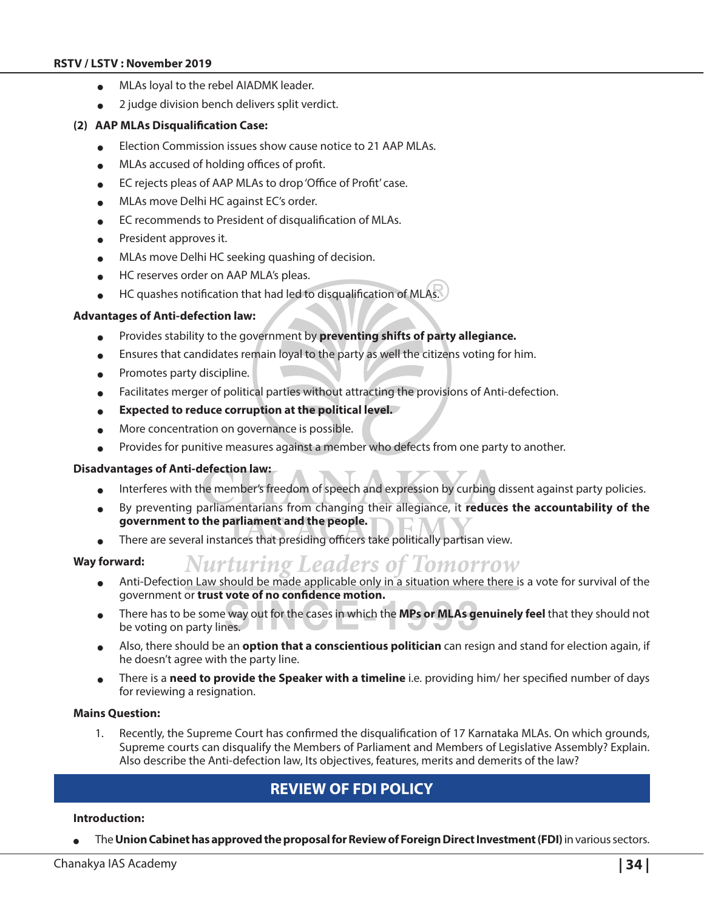#### **RSTV / LSTV : November 2019**

- $\bullet$  MLAs loyal to the rebel AIADMK leader.
- $\bullet$  2 judge division bench delivers split verdict.

#### **(2) AAP MLAs Disqualification Case:**

- Election Commission issues show cause notice to 21 AAP MLAs.
- MLAs accused of holding offices of profit.
- EC rejects pleas of AAP MLAs to drop 'Office of Profit' case.
- MLAs move Delhi HC against EC's order.
- EC recommends to President of disqualification of MLAs.
- President approves it.
- MLAs move Delhi HC seeking quashing of decision.
- HC reserves order on AAP MLA's pleas.
- $\bullet$  HC quashes notification that had led to disqualification of MLAs.

#### **Advantages of Anti-defection law:**

- Provides stability to the government by **preventing shifts of party allegiance.**
- Ensures that candidates remain loyal to the party as well the citizens voting for him.
- Promotes party discipline.
- Facilitates merger of political parties without attracting the provisions of Anti-defection.
- Expected to reduce corruption at the political level.
- More concentration on governance is possible.
- Provides for punitive measures against a member who defects from one party to another.

#### **Disadvantages of Anti-defection law:**

- <sup>O</sup> Interferes with the member's freedom of speech and expression by curbing dissent against party policies.
- By preventing parliamentarians from changing their allegiance, it **reduces the accountability of the government to the parliament and the people.**
- $\bullet$  There are several instances that presiding officers take politically partisan view.
- **Way forward:**
	- Nurturing Leaders of Tomorrow Anti-Defection Law should be made applicable only in a situation where there is a vote for survival of the government or **trust vote of no confidence motion.**
	- There has to be some way out for the cases in which the **MPs or MLAs genuinely feel** that they should not be voting on party lines.
	- Also, there should be an **option that a conscientious politician** can resign and stand for election again, if he doesn't agree with the party line.
	- <sup>O</sup> There is a **need to provide the Speaker with a timeline** i.e. providing him/ her specified number of days for reviewing a resignation.

#### **Mains Question:**

1. Recently, the Supreme Court has confirmed the disqualification of 17 Karnataka MLAs. On which grounds, Supreme courts can disqualify the Members of Parliament and Members of Legislative Assembly? Explain. Also describe the Anti-defection law, Its objectives, features, merits and demerits of the law?

## **Review of FDI Policy**

#### **Introduction:**

The Union Cabinet has approved the proposal for Review of Foreign Direct Investment (FDI) in various sectors.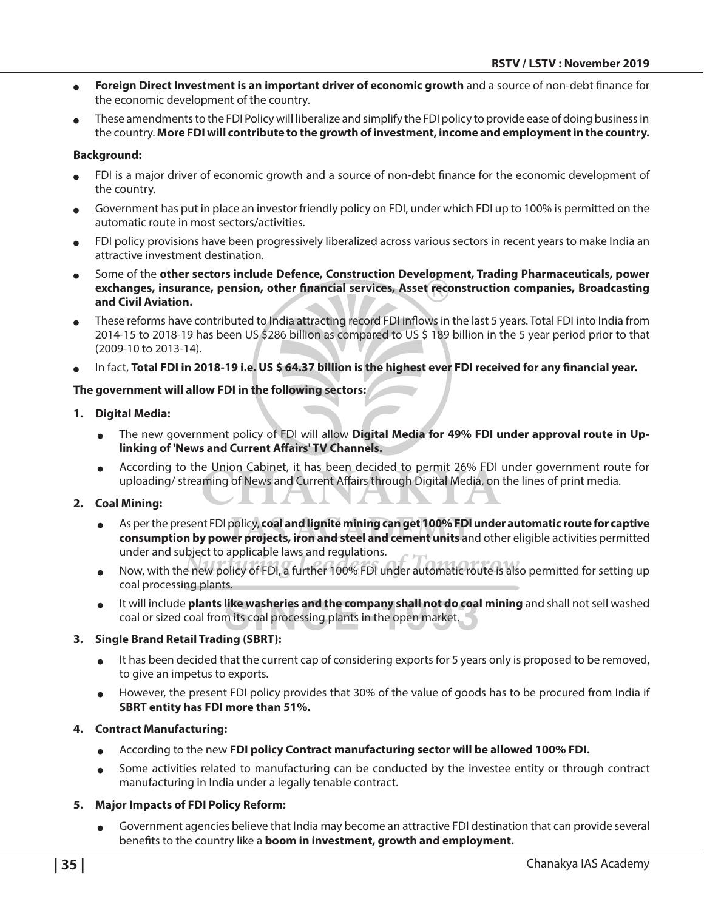- <sup>O</sup> **Foreign Direct Investment is an important driver of economic growth** and a source of non-debt finance for the economic development of the country.
- These amendments to the FDI Policy will liberalize and simplify the FDI policy to provide ease of doing business in the country. **More FDI will contribute to the growth of investment, income and employment in the country.**

#### **Background:**

- FDI is a major driver of economic growth and a source of non-debt finance for the economic development of the country.
- Government has put in place an investor friendly policy on FDI, under which FDI up to 100% is permitted on the automatic route in most sectors/activities.
- FDI policy provisions have been progressively liberalized across various sectors in recent years to make India an attractive investment destination.
- <sup>O</sup> Some of the **other sectors include Defence, Construction Development, Trading Pharmaceuticals, power exchanges, insurance, pension, other financial services, Asset reconstruction companies, Broadcasting and Civil Aviation.**
- These reforms have contributed to India attracting record FDI inflows in the last 5 years. Total FDI into India from 2014-15 to 2018-19 has been US \$286 billion as compared to US \$ 189 billion in the 5 year period prior to that (2009-10 to 2013-14).
- In fact, Total FDI in 2018-19 i.e. US \$ 64.37 billion is the highest ever FDI received for any financial year.

#### **The government will allow FDI in the following sectors:**

#### **1. Digital Media:**

- The new government policy of FDI will allow **Digital Media for 49% FDI under approval route in Uplinking of 'News and Current Affairs' TV Channels.**
- <sup>O</sup> According to the Union Cabinet, it has been decided to permit 26% FDI under government route for uploading/ streaming of News and Current Affairs through Digital Media, on the lines of print media.

#### **2. Coal Mining:**

- As per the present FDI policy, coal and lignite mining can get 100% FDI under automatic route for captive **consumption by power projects, iron and steel and cement units** and other eligible activities permitted under and subject to applicable laws and regulations.
- <sup>O</sup> Now, with the new policy of FDI, a further 100% FDI under automatic route is also permitted for setting up coal processing plants.
- <sup>O</sup> It will include **plants like washeries and the company shall not do coal mining** and shall not sell washed coal or sized coal from its coal processing plants in the open market.

#### **3. Single Brand Retail Trading (SBRT):**

- It has been decided that the current cap of considering exports for 5 years only is proposed to be removed, to give an impetus to exports.
- However, the present FDI policy provides that 30% of the value of goods has to be procured from India if **SBRT entity has FDI more than 51%.**

#### **4. Contract Manufacturing:**

- **OF According to the new FDI policy Contract manufacturing sector will be allowed 100% FDI.**
- <sup>O</sup> Some activities related to manufacturing can be conducted by the investee entity or through contract manufacturing in India under a legally tenable contract.

#### **5. Major Impacts of FDI Policy Reform:**

Government agencies believe that India may become an attractive FDI destination that can provide several benefits to the country like a **boom in investment, growth and employment.**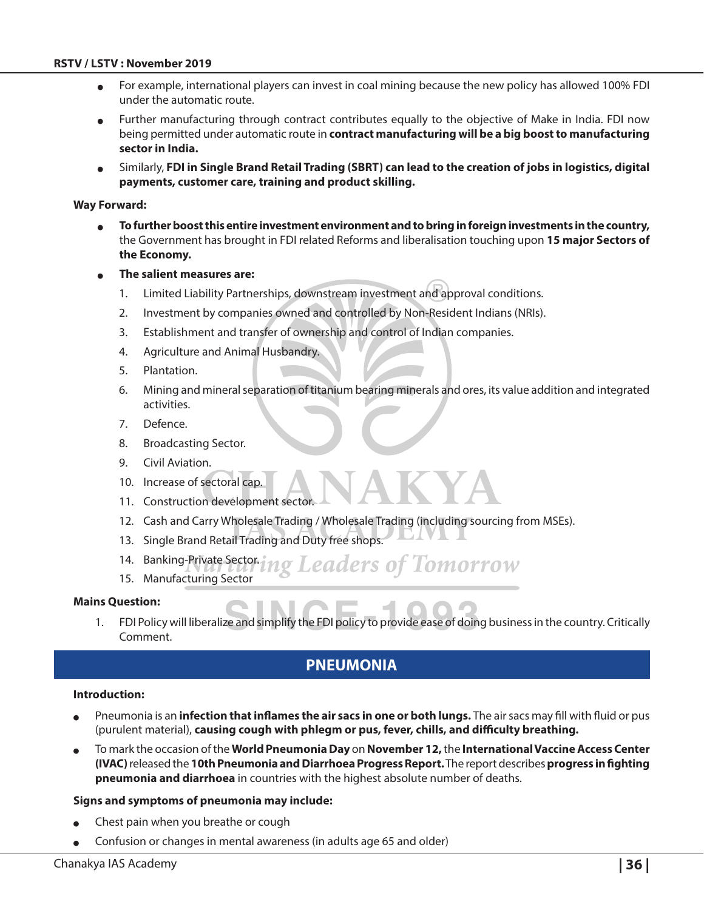- <sup>O</sup> For example, international players can invest in coal mining because the new policy has allowed 100% FDI under the automatic route.
- Further manufacturing through contract contributes equally to the objective of Make in India. FDI now being permitted under automatic route in **contract manufacturing will be a big boost to manufacturing sector in India.**
- <sup>O</sup> Similarly, **FDI in Single Brand Retail Trading (SBRT) can lead to the creation of jobs in logistics, digital payments, customer care, training and product skilling.**

#### **Way Forward:**

- <sup>O</sup> **To further boost this entire investment environment and to bring in foreign investments in the country,** the Government has brought in FDI related Reforms and liberalisation touching upon **15 major Sectors of the Economy.**
- <sup>O</sup> **The salient measures are:**
	- 1. Limited Liability Partnerships, downstream investment and approval conditions.
	- 2. Investment by companies owned and controlled by Non-Resident Indians (NRIs).
	- 3. Establishment and transfer of ownership and control of Indian companies.
	- 4. Agriculture and Animal Husbandry.
	- 5. Plantation.
	- 6. Mining and mineral separation of titanium bearing minerals and ores, its value addition and integrated activities.
	- 7. Defence.
	- 8. Broadcasting Sector.
	- 9. Civil Aviation.
	- 10. Increase of sectoral cap.
	- 11. Construction development sector
	- 12. Cash and Carry Wholesale Trading / Wholesale Trading (including sourcing from MSEs).
	- 13. Single Brand Retail Trading and Duty free shops.
	- 14. Banking-Private Sector. **Leaders of Tomorrow**
	- 15. Manufacturing Sector

#### **Mains Question:**

1. FDI Policy will liberalize and simplify the FDI policy to provide ease of doing business in the country. Critically Comment.

## **Pneumonia**

#### **Introduction:**

- Pneumonia is an *infection that inflames the air sacs in one or both lungs.* The air sacs may fill with fluid or pus (purulent material), **causing cough with phlegm or pus, fever, chills, and difficulty breathing.**
- <sup>O</sup> To mark the occasion of the **World Pneumonia Day** on **November 12,** the **International Vaccine Access Center (IVAC)** released the **10th Pneumonia and Diarrhoea Progress Report.** The report describes **progress in fighting pneumonia and diarrhoea** in countries with the highest absolute number of deaths.

#### **Signs and symptoms of pneumonia may include:**

- Chest pain when you breathe or cough
- Confusion or changes in mental awareness (in adults age 65 and older)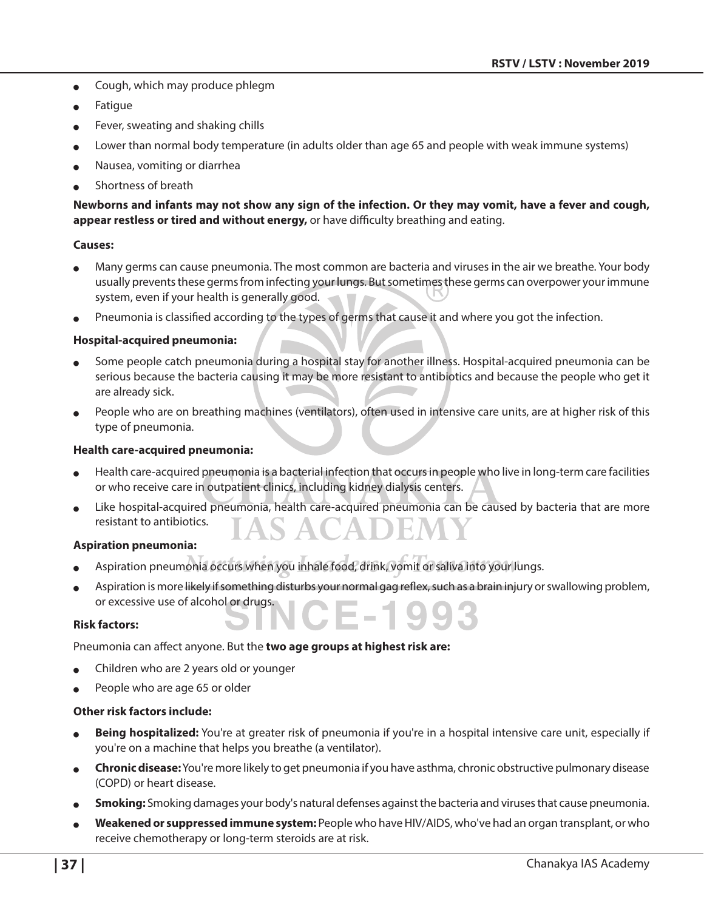- $\bullet$  Cough, which may produce phlegm
- **Fatigue**
- Fever, sweating and shaking chills
- Lower than normal body temperature (in adults older than age 65 and people with weak immune systems)
- Nausea, vomiting or diarrhea
- Shortness of breath

**Newborns and infants may not show any sign of the infection. Or they may vomit, have a fever and cough, appear restless or tired and without energy,** or have difficulty breathing and eating.

#### **Causes:**

- Many germs can cause pneumonia. The most common are bacteria and viruses in the air we breathe. Your body usually prevents these germs from infecting your lungs. But sometimes these germs can overpower your immune system, even if your health is generally good.
- Pneumonia is classified according to the types of germs that cause it and where you got the infection.

#### **Hospital-acquired pneumonia:**

- Some people catch pneumonia during a hospital stay for another illness. Hospital-acquired pneumonia can be serious because the bacteria causing it may be more resistant to antibiotics and because the people who get it are already sick.
- People who are on breathing machines (ventilators), often used in intensive care units, are at higher risk of this type of pneumonia.

#### **Health care-acquired pneumonia:**

- Health care-acquired pneumonia is a bacterial infection that occurs in people who live in long-term care facilities or who receive care in outpatient clinics, including kidney dialysis centers.
- Like hospital-acquired pneumonia, health care-acquired pneumonia can be caused by bacteria that are more resistant to antibiotics.

#### **Aspiration pneumonia:**

- Aspiration pneumonia occurs when you inhale food, drink, vomit or saliva into your lungs.
- Aspiration is more likely if something disturbs your normal gag reflex, such as a brain injury or swallowing problem, or excessive use of alcohol or drugs.

#### **Risk factors:**

Pneumonia can affect anyone. But the **two age groups at highest risk are:**

- Children who are 2 years old or younger
- People who are age 65 or older

#### **Other risk factors include:**

- Being hospitalized: You're at greater risk of pneumonia if you're in a hospital intensive care unit, especially if you're on a machine that helps you breathe (a ventilator).
- <sup>O</sup> **Chronic disease:** You're more likely to get pneumonia if you have asthma, chronic obstructive pulmonary disease (COPD) or heart disease.
- **Smoking:** Smoking damages your body's natural defenses against the bacteria and viruses that cause pneumonia.
- <sup>O</sup> **Weakened or suppressed immune system:** People who have HIV/AIDS, who've had an organ transplant, or who receive chemotherapy or long-term steroids are at risk.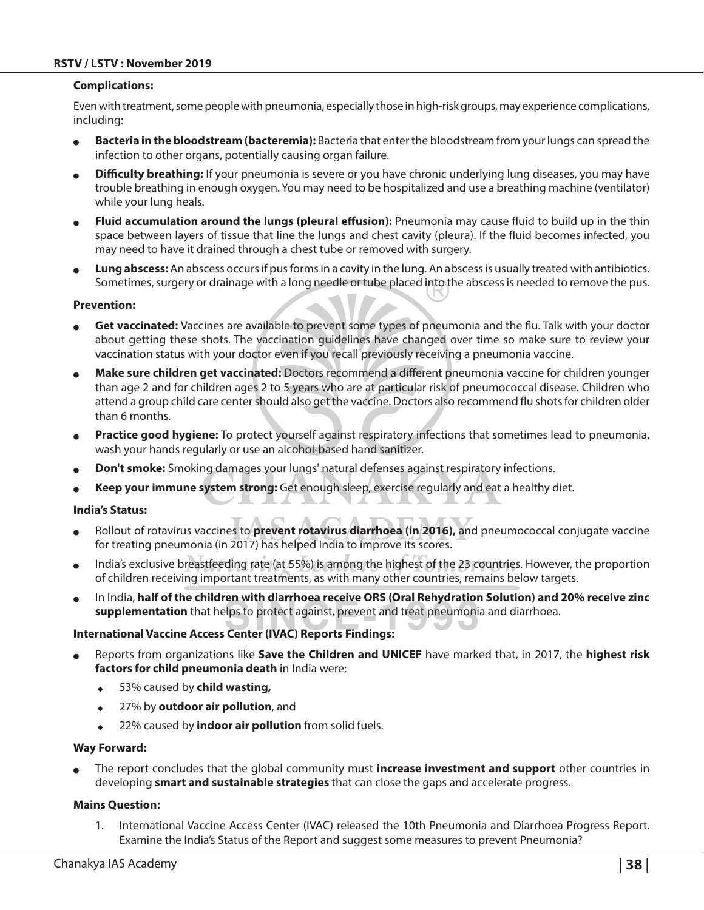#### **Complications:**

Even with treatment, some people with pneumonia, especially those in high-risk groups, may experience complications, including:

- **Bacteria in the bloodstream (bacteremia):** Bacteria that enter the bloodstream from your lungs can spread the infection to other organs, potentially causing organ failure.
- **Difficulty breathing:** If your pneumonia is severe or you have chronic underlying lung diseases, you may have trouble breathing in enough oxygen. You may need to be hospitalized and use a breathing machine (ventilator) while your lung heals.
- Fluid accumulation around the lungs (pleural effusion): Pneumonia may cause fluid to build up in the thin space between layers of tissue that line the lungs and chest cavity (pleura). If the fluid becomes infected, you may need to have it drained through a chest tube or removed with surgery.
- Lung abscess: An abscess occurs if pus forms in a cavity in the lung. An abscess is usually treated with antibiotics. Sometimes, surgery or drainage with a long needle or tube placed into the abscess is needed to remove the pus.

#### **Prevention:**

- Get vaccinated: Vaccines are available to prevent some types of pneumonia and the flu. Talk with your doctor about getting these shots. The vaccination guidelines have changed over time so make sure to review your vaccination status with your doctor even if you recall previously receiving a pneumonia vaccine.
- Make sure children get vaccinated: Doctors recommend a different pneumonia vaccine for children younger than age 2 and for children ages 2 to 5 years who are at particular risk of pneumococcal disease. Children who attend a group child care center should also get the vaccine. Doctors also recommend flu shots for children older than 6 months.
- Practice good hygiene: To protect yourself against respiratory infections that sometimes lead to pneumonia, wash your hands regularly or use an alcohol-based hand sanitizer.
- <sup>O</sup> **Don't smoke:** Smoking damages your lungs' natural defenses against respiratory infections.
- Keep your immune system strong: Get enough sleep, exercise regularly and eat a healthy diet.

#### **India's Status:**

- Rollout of rotavirus vaccines to **prevent rotavirus diarrhoea (in 2016)**, and pneumococcal conjugate vaccine for treating pneumonia (in 2017) has helped India to improve its scores.
- India's exclusive breastfeeding rate (at 55%) is among the highest of the 23 countries. However, the proportion of children receiving important treatments, as with many other countries, remains below targets.
- <sup>O</sup> In India, **half of the children with diarrhoea receive ORS (Oral Rehydration Solution) and 20% receive zinc supplementation** that helps to protect against, prevent and treat pneumonia and diarrhoea.

#### **International Vaccine Access Center (IVAC) Reports Findings:**

- <sup>O</sup> Reports from organizations like **Save the Children and UNICEF** have marked that, in 2017, the **highest risk factors for child pneumonia death** in India were:
	- ◆ 53% caused by **child wasting,**
	- ◆ 27% by **outdoor air pollution**, and
	- <sup>X</sup> 22% caused by **indoor air pollution** from solid fuels.

#### **Way Forward:**

<sup>O</sup> The report concludes that the global community must **increase investment and support** other countries in developing **smart and sustainable strategies** that can close the gaps and accelerate progress.

#### **Mains Question:**

1. International Vaccine Access Center (IVAC) released the 10th Pneumonia and Diarrhoea Progress Report. Examine the India's Status of the Report and suggest some measures to prevent Pneumonia?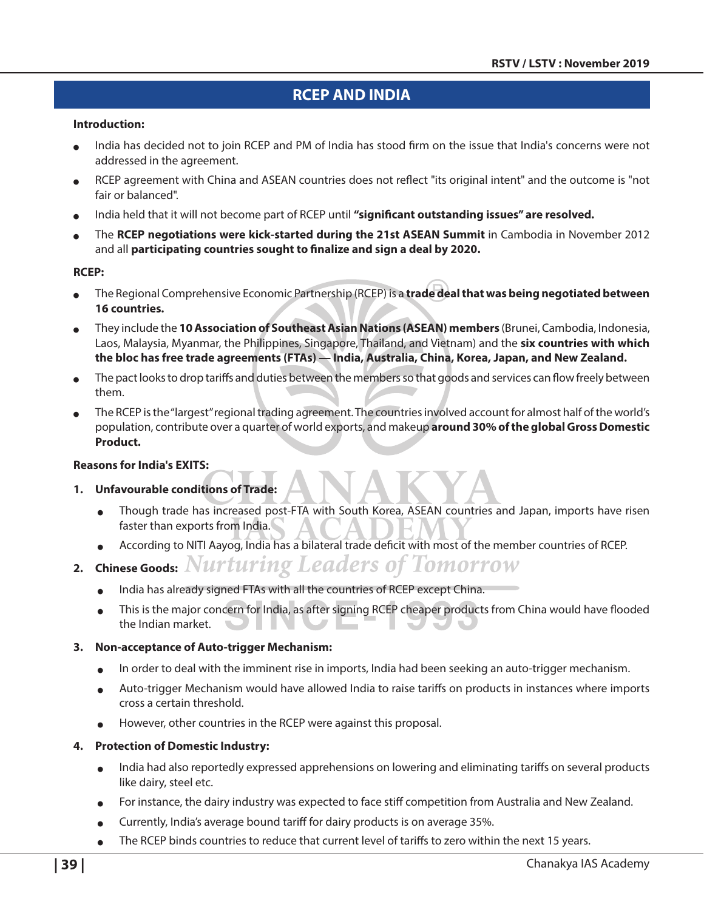## **RCEP and India**

#### **Introduction:**

- India has decided not to join RCEP and PM of India has stood firm on the issue that India's concerns were not addressed in the agreement.
- RCEP agreement with China and ASEAN countries does not reflect "its original intent" and the outcome is "not fair or balanced".
- India held that it will not become part of RCEP until "significant outstanding issues" are resolved.
- <sup>O</sup> The **RCEP negotiations were kick-started during the 21st ASEAN Summit** in Cambodia in November 2012 and all **participating countries sought to finalize and sign a deal by 2020.**

#### **RCEP:**

- <sup>O</sup> The Regional Comprehensive Economic Partnership (RCEP) is a **trade deal that was being negotiated between 16 countries.**
- <sup>O</sup> They include the **10 Association of Southeast Asian Nations (ASEAN) members** (Brunei, Cambodia, Indonesia, Laos, Malaysia, Myanmar, the Philippines, Singapore, Thailand, and Vietnam) and the **six countries with which the bloc has free trade agreements (FTAs) — India, Australia, China, Korea, Japan, and New Zealand.**
- The pact looks to drop tariffs and duties between the members so that goods and services can flow freely between them.
- The RCEP is the "largest" regional trading agreement. The countries involved account for almost half of the world's population, contribute over a quarter of world exports, and makeup **around 30% of the global Gross Domestic Product.**

#### **Reasons for India's EXITS:**

#### **1. Unfavourable conditions of Trade:**

- Though trade has increased post-FTA with South Korea, ASEAN countries and Japan, imports have risen faster than exports from India.
- According to NITI Aayog, India has a bilateral trade deficit with most of the member countries of RCEP.
- **2. Chinese Goods:**
	- $\bullet$  India has already signed FTAs with all the countries of RCEP except China.
	- <sup>O</sup> This is the major concern for India, as after signing RCEP cheaper products from China would have flooded the Indian market.

#### **3. Non-acceptance of Auto-trigger Mechanism:**

- In order to deal with the imminent rise in imports, India had been seeking an auto-trigger mechanism.
- <sup>O</sup> Auto-trigger Mechanism would have allowed India to raise tariffs on products in instances where imports cross a certain threshold.
- However, other countries in the RCEP were against this proposal.

#### **4. Protection of Domestic Industry:**

- <sup>O</sup> India had also reportedly expressed apprehensions on lowering and eliminating tariffs on several products like dairy, steel etc.
- For instance, the dairy industry was expected to face stiff competition from Australia and New Zealand.
- $\bullet$  Currently, India's average bound tariff for dairy products is on average 35%.
- The RCEP binds countries to reduce that current level of tariffs to zero within the next 15 years.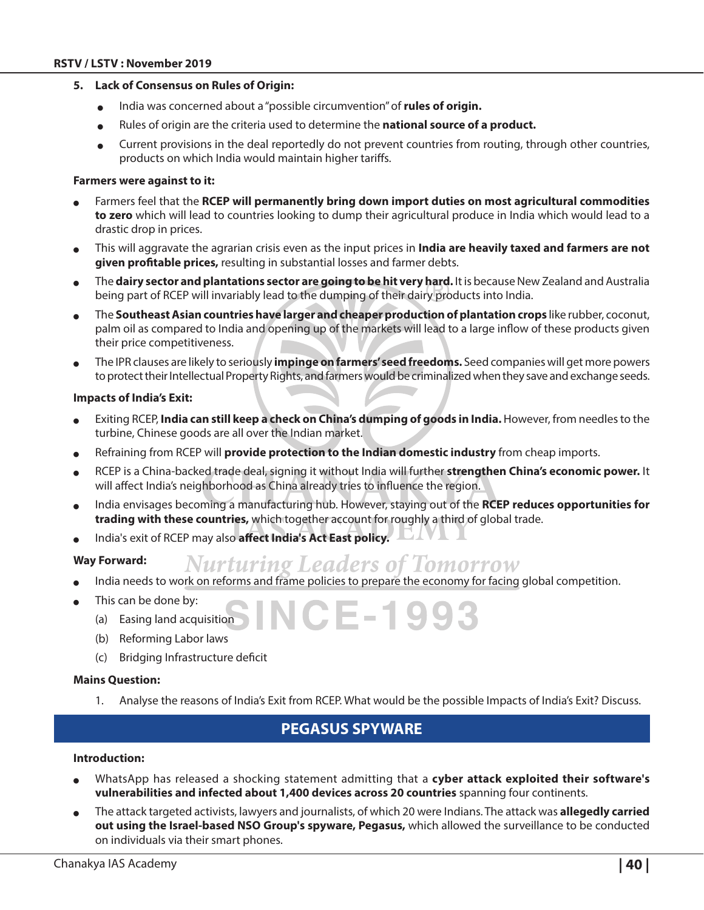#### **5. Lack of Consensus on Rules of Origin:**

- **o** India was concerned about a "possible circumvention" of **rules of origin.**
- $\bullet$  Rules of origin are the criteria used to determine the **national source of a product.**
- Current provisions in the deal reportedly do not prevent countries from routing, through other countries, products on which India would maintain higher tariffs.

#### **Farmers were against to it:**

- Farmers feel that the RCEP will permanently bring down import duties on most agricultural commodities **to zero** which will lead to countries looking to dump their agricultural produce in India which would lead to a drastic drop in prices.
- <sup>O</sup> This will aggravate the agrarian crisis even as the input prices in **India are heavily taxed and farmers are not given profitable prices,** resulting in substantial losses and farmer debts.
- <sup>O</sup> The **dairy sector and plantations sector are going to be hit very hard.** It is because New Zealand and Australia being part of RCEP will invariably lead to the dumping of their dairy products into India.
- The **Southeast Asian countries have larger and cheaper production of plantation crops like rubber, coconut,** palm oil as compared to India and opening up of the markets will lead to a large inflow of these products given their price competitiveness.
- <sup>O</sup> The IPR clauses are likely to seriously **impinge on farmers' seed freedoms.** Seed companies will get more powers to protect their Intellectual Property Rights, and farmers would be criminalized when they save and exchange seeds.

#### **Impacts of India's Exit:**

- Exiting RCEP, **India can still keep a check on China's dumping of goods in India.** However, from needles to the turbine, Chinese goods are all over the Indian market.
- Refraining from RCEP will **provide protection to the Indian domestic industry** from cheap imports.
- RCEP is a China-backed trade deal, signing it without India will further strengthen China's economic power. It will affect India's neighborhood as China already tries to influence the region.
- India envisages becoming a manufacturing hub. However, staying out of the **RCEP reduces opportunities for trading with these countries,** which together account for roughly a third of global trade.
- India's exit of RCEP may also **affect India's Act East policy.**

#### **Way Forward:**

- **Nurturing Leaders of Tomorrow**
- India needs to work on reforms and frame policies to prepare the economy for facing global competition.
- This can be done by:
	- (a) Easing land acquisition
	- (b) Reforming Labor laws
	- (c) Bridging Infrastructure deficit

#### **Mains Question:**

1. Analyse the reasons of India's Exit from RCEP. What would be the possible Impacts of India's Exit? Discuss.

——1 9 C

## **Pegasus Spyware**

#### **Introduction:**

- WhatsApp has released a shocking statement admitting that a **cyber attack exploited their software's vulnerabilities and infected about 1,400 devices across 20 countries** spanning four continents.
- <sup>O</sup> The attack targeted activists, lawyers and journalists, of which 20 were Indians. The attack was **allegedly carried out using the Israel-based NSO Group's spyware, Pegasus,** which allowed the surveillance to be conducted on individuals via their smart phones.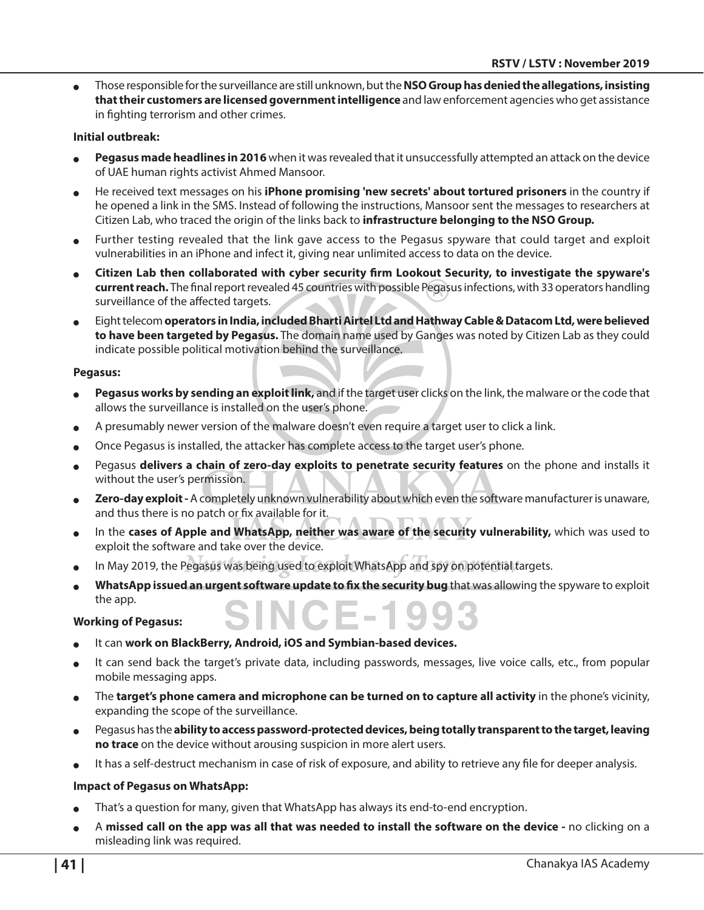<sup>O</sup> Those responsible for the surveillance are still unknown, but the **NSO Group has denied the allegations, insisting that their customers are licensed government intelligence** and law enforcement agencies who get assistance in fighting terrorism and other crimes.

#### **Initial outbreak:**

- Pegasus made headlines in 2016 when it was revealed that it unsuccessfully attempted an attack on the device of UAE human rights activist Ahmed Mansoor.
- <sup>O</sup> He received text messages on his **iPhone promising 'new secrets' about tortured prisoners** in the country if he opened a link in the SMS. Instead of following the instructions, Mansoor sent the messages to researchers at Citizen Lab, who traced the origin of the links back to **infrastructure belonging to the NSO Group.**
- Further testing revealed that the link gave access to the Pegasus spyware that could target and exploit vulnerabilities in an iPhone and infect it, giving near unlimited access to data on the device.
- <sup>O</sup> **Citizen Lab then collaborated with cyber security firm Lookout Security, to investigate the spyware's current reach.** The final report revealed 45 countries with possible Pegasus infections, with 33 operators handling surveillance of the affected targets.
- <sup>O</sup> Eight telecom **operators in India, included Bharti Airtel Ltd and Hathway Cable & Datacom Ltd, were believed to have been targeted by Pegasus.** The domain name used by Ganges was noted by Citizen Lab as they could indicate possible political motivation behind the surveillance.

#### **Pegasus:**

- Pegasus works by sending an exploit link, and if the target user clicks on the link, the malware or the code that allows the surveillance is installed on the user's phone.
- A presumably newer version of the malware doesn't even require a target user to click a link.
- <sup>O</sup> Once Pegasus is installed, the attacker has complete access to the target user's phone.
- Pegasus **delivers a chain of zero-day exploits to penetrate security features** on the phone and installs it without the user's permission.
- Zero-day exploit A completely unknown vulnerability about which even the software manufacturer is unaware, and thus there is no patch or fix available for it.
- In the **cases of Apple and WhatsApp, neither was aware of the security vulnerability, which was used to** exploit the software and take over the device.
- In May 2019, the Pegasus was being used to exploit WhatsApp and spy on potential targets.
- WhatsApp issued an urgent software update to fix the security bug that was allowing the spyware to exploit the app.

#### **Working of Pegasus:**

- It can work on BlackBerry, Android, iOS and Symbian-based devices.
- It can send back the target's private data, including passwords, messages, live voice calls, etc., from popular mobile messaging apps.
- The **target's phone camera and microphone can be turned on to capture all activity** in the phone's vicinity, expanding the scope of the surveillance.
- <sup>O</sup> Pegasus has the **ability to access password-protected devices, being totally transparent to the target, leaving no trace** on the device without arousing suspicion in more alert users.
- It has a self-destruct mechanism in case of risk of exposure, and ability to retrieve any file for deeper analysis.

#### **Impact of Pegasus on WhatsApp:**

- That's a question for many, given that WhatsApp has always its end-to-end encryption.
- <sup>O</sup> A **missed call on the app was all that was needed to install the software on the device** no clicking on a misleading link was required.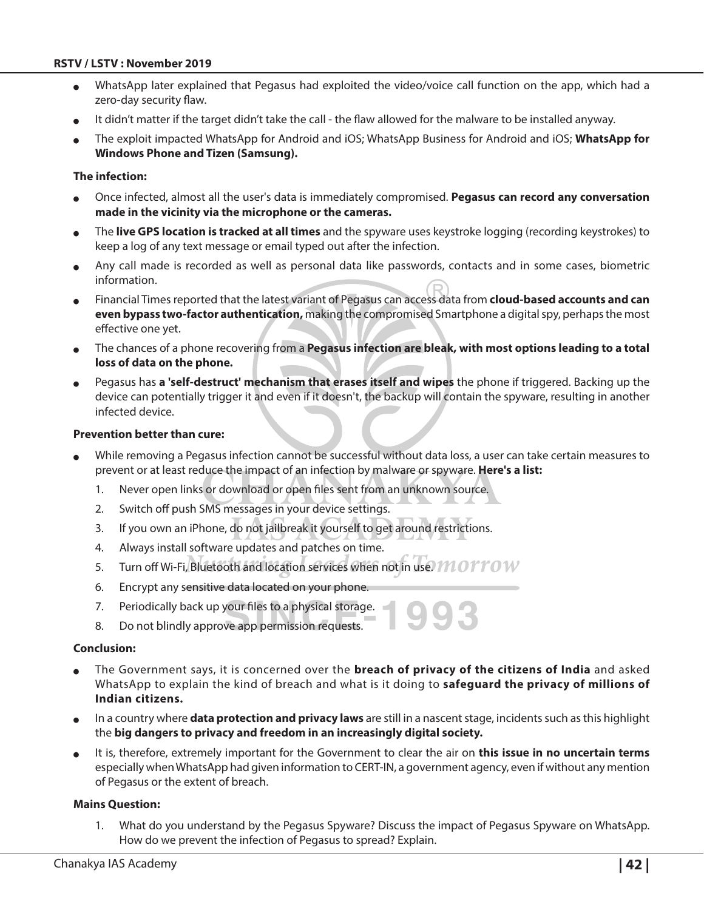#### **RSTV / LSTV : November 2019**

- WhatsApp later explained that Pegasus had exploited the video/voice call function on the app, which had a zero-day security flaw.
- It didn't matter if the target didn't take the call the flaw allowed for the malware to be installed anyway.
- <sup>O</sup> The exploit impacted WhatsApp for Android and iOS; WhatsApp Business for Android and iOS; **WhatsApp for Windows Phone and Tizen (Samsung).**

#### **The infection:**

- <sup>O</sup> Once infected, almost all the user's data is immediately compromised. **Pegasus can record any conversation made in the vicinity via the microphone or the cameras.**
- <sup>O</sup> The **live GPS location is tracked at all times** and the spyware uses keystroke logging (recording keystrokes) to keep a log of any text message or email typed out after the infection.
- Any call made is recorded as well as personal data like passwords, contacts and in some cases, biometric information.
- <sup>O</sup> Financial Times reported that the latest variant of Pegasus can access data from **cloud-based accounts and can even bypass two-factor authentication,** making the compromised Smartphone a digital spy, perhaps the most effective one yet.
- <sup>O</sup> The chances of a phone recovering from a **Pegasus infection are bleak, with most options leading to a total loss of data on the phone.**
- <sup>O</sup> Pegasus has **a 'self-destruct' mechanism that erases itself and wipes** the phone if triggered. Backing up the device can potentially trigger it and even if it doesn't, the backup will contain the spyware, resulting in another infected device.

#### **Prevention better than cure:**

- While removing a Pegasus infection cannot be successful without data loss, a user can take certain measures to prevent or at least reduce the impact of an infection by malware or spyware. **Here's a list:**
	- 1. Never open links or download or open files sent from an unknown source.
	- 2. Switch off push SMS messages in your device settings.
	- 3. If you own an iPhone, do not jailbreak it yourself to get around restrictions.
	- 4. Always install software updates and patches on time.
	- 5. Turn off Wi-Fi, Bluetooth and location services when not in use.  $1100^{\circ}10^{\circ}$
	- 6. Encrypt any sensitive data located on your phone.
	- 7. Periodically back up your files to a physical storage.
	- 8. Do not blindly approve app permission requests.

#### **Conclusion:**

- <sup>O</sup> The Government says, it is concerned over the **breach of privacy of the citizens of India** and asked WhatsApp to explain the kind of breach and what is it doing to **safeguard the privacy of millions of Indian citizens.**
- <sup>O</sup> In a country where **data protection and privacy laws** are still in a nascent stage, incidents such as this highlight the **big dangers to privacy and freedom in an increasingly digital society.**
- It is, therefore, extremely important for the Government to clear the air on **this issue in no uncertain terms** especially when WhatsApp had given information to CERT-IN, a government agency, even if without any mention of Pegasus or the extent of breach.

#### **Mains Question:**

1. What do you understand by the Pegasus Spyware? Discuss the impact of Pegasus Spyware on WhatsApp. How do we prevent the infection of Pegasus to spread? Explain.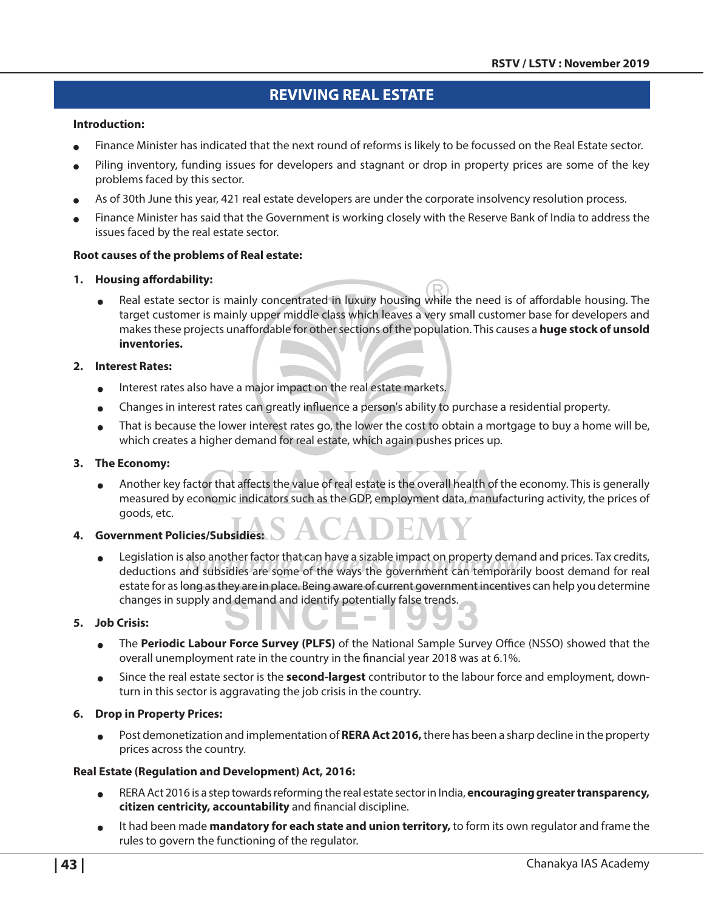## **Reviving Real Estate**

#### **Introduction:**

- Finance Minister has indicated that the next round of reforms is likely to be focussed on the Real Estate sector.
- Piling inventory, funding issues for developers and stagnant or drop in property prices are some of the key problems faced by this sector.
- As of 30th June this year, 421 real estate developers are under the corporate insolvency resolution process.
- Finance Minister has said that the Government is working closely with the Reserve Bank of India to address the issues faced by the real estate sector.

#### **Root causes of the problems of Real estate:**

#### **1. Housing affordability:**

• Real estate sector is mainly concentrated in luxury housing while the need is of affordable housing. The target customer is mainly upper middle class which leaves a very small customer base for developers and makes these projects unaffordable for other sections of the population. This causes a **huge stock of unsold inventories.**

#### **2. Interest Rates:**

- Interest rates also have a major impact on the real estate markets.
- Changes in interest rates can greatly influence a person's ability to purchase a residential property.
- That is because the lower interest rates go, the lower the cost to obtain a mortgage to buy a home will be, which creates a higher demand for real estate, which again pushes prices up.

#### **3. The Economy:**

Another key factor that affects the value of real estate is the overall health of the economy. This is generally measured by economic indicators such as the GDP, employment data, manufacturing activity, the prices of goods, etc.

#### **4. Government Policies/Subsidies:**

Legislation is also another factor that can have a sizable impact on property demand and prices. Tax credits, deductions and subsidies are some of the ways the government can temporarily boost demand for real estate for as long as they are in place. Being aware of current government incentives can help you determine changes in supply and demand and identify potentially false trends.

#### **5. Job Crisis:**

- <sup>O</sup> The **Periodic Labour Force Survey (PLFS)** of the National Sample Survey Office (NSSO) showed that the overall unemployment rate in the country in the financial year 2018 was at 6.1%.
- <sup>O</sup> Since the real estate sector is the **second-largest** contributor to the labour force and employment, downturn in this sector is aggravating the job crisis in the country.

#### **6. Drop in Property Prices:**

**OF** Post demonetization and implementation of **RERA Act 2016**, there has been a sharp decline in the property prices across the country.

#### **Real Estate (Regulation and Development) Act, 2016:**

- RERA Act 2016 is a step towards reforming the real estate sector in India, **encouraging greater transparency, citizen centricity, accountability** and financial discipline.
- It had been made **mandatory for each state and union territory,** to form its own regulator and frame the rules to govern the functioning of the regulator.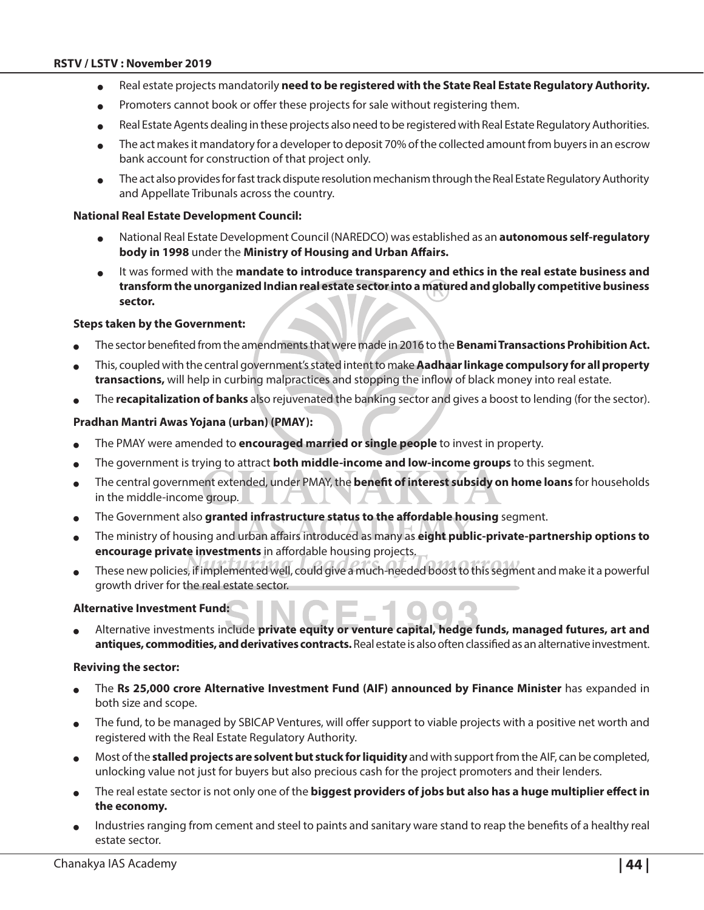- <sup>O</sup> Real estate projects mandatorily **need to be registered with the State Real Estate Regulatory Authority.**
- Promoters cannot book or offer these projects for sale without registering them.
- Real Estate Agents dealing in these projects also need to be registered with Real Estate Regulatory Authorities.
- The act makes it mandatory for a developer to deposit 70% of the collected amount from buyers in an escrow bank account for construction of that project only.
- The act also provides for fast track dispute resolution mechanism through the Real Estate Regulatory Authority and Appellate Tribunals across the country.

#### **National Real Estate Development Council:**

- <sup>O</sup> National Real Estate Development Council (NAREDCO) was established as an **autonomous self-regulatory body in 1998** under the **Ministry of Housing and Urban Affairs.**
- It was formed with the **mandate to introduce transparency and ethics in the real estate business and transform the unorganized Indian real estate sector into a matured and globally competitive business sector.**

#### **Steps taken by the Government:**

- <sup>O</sup> The sector benefited from the amendments that were made in 2016 to the **Benami Transactions Prohibition Act.**
- <sup>O</sup> This, coupled with the central government's stated intent to make **Aadhaar linkage compulsory for all property transactions,** will help in curbing malpractices and stopping the inflow of black money into real estate.
- The **recapitalization of banks** also rejuvenated the banking sector and gives a boost to lending (for the sector).

#### **Pradhan Mantri Awas Yojana (urban) (PMAY):**

- <sup>O</sup> The PMAY were amended to **encouraged married or single people** to invest in property.
- The government is trying to attract **both middle-income and low-income groups** to this segment.
- <sup>O</sup> The central government extended, under PMAY, the **benefit of interest subsidy on home loans** for households in the middle-income group.
- The Government also granted infrastructure status to the affordable housing segment.
- <sup>O</sup> The ministry of housing and urban affairs introduced as many as **eight public-private-partnership options to encourage private investments** in affordable housing projects.
- These new policies, if implemented well, could give a much-needed boost to this segment and make it a powerful growth driver for the real estate sector.

#### **Alternative Investment Fund:**

<sup>O</sup> Alternative investments include **private equity or venture capital, hedge funds, managed futures, art and antiques, commodities, and derivatives contracts.** Real estate is also often classified as an alternative investment.

#### **Reviving the sector:**

- The Rs 25,000 crore Alternative Investment Fund (AIF) announced by Finance Minister has expanded in both size and scope.
- The fund, to be managed by SBICAP Ventures, will offer support to viable projects with a positive net worth and registered with the Real Estate Regulatory Authority.
- <sup>O</sup> Most of the **stalled projects are solvent but stuck for liquidity** and with support from the AIF, can be completed, unlocking value not just for buyers but also precious cash for the project promoters and their lenders.
- The real estate sector is not only one of the **biggest providers of jobs but also has a huge multiplier effect in the economy.**
- Industries ranging from cement and steel to paints and sanitary ware stand to reap the benefits of a healthy real estate sector.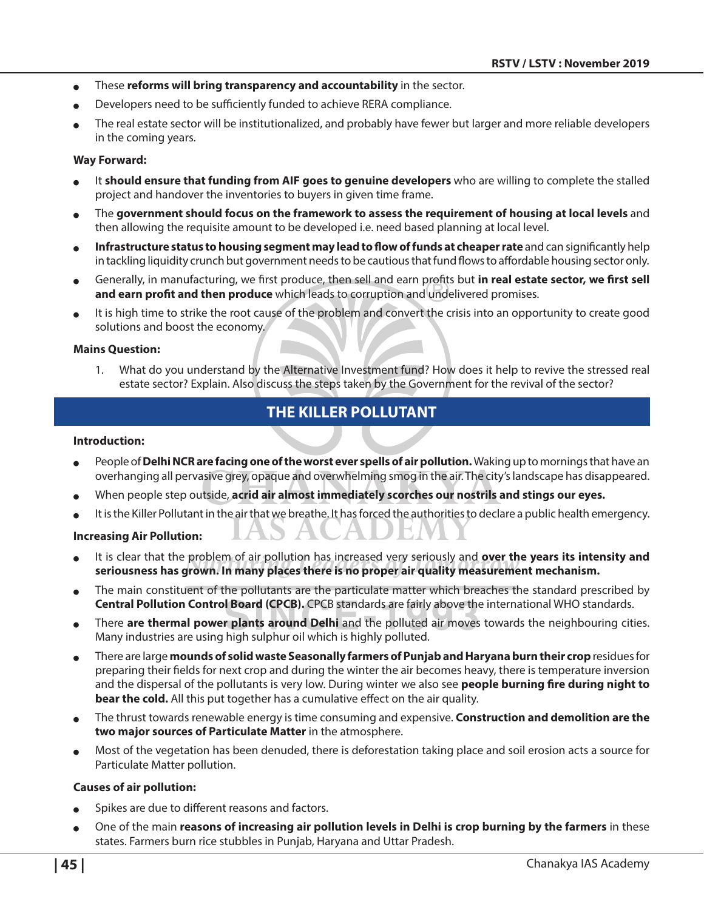- **o** These **reforms will bring transparency and accountability** in the sector.
- Developers need to be sufficiently funded to achieve RERA compliance.
- The real estate sector will be institutionalized, and probably have fewer but larger and more reliable developers in the coming years.

#### **Way Forward:**

- It **should ensure that funding from AIF goes to genuine developers** who are willing to complete the stalled project and handover the inventories to buyers in given time frame.
- The government should focus on the framework to assess the requirement of housing at local levels and then allowing the requisite amount to be developed i.e. need based planning at local level.
- Infrastructure status to housing segment may lead to flow of funds at cheaper rate and can significantly help in tackling liquidity crunch but government needs to be cautious that fund flows to affordable housing sector only.
- <sup>O</sup> Generally, in manufacturing, we first produce, then sell and earn profits but **in real estate sector, we first sell and earn profit and then produce** which leads to corruption and undelivered promises.
- It is high time to strike the root cause of the problem and convert the crisis into an opportunity to create good solutions and boost the economy.

#### **Mains Question:**

1. What do you understand by the Alternative Investment fund? How does it help to revive the stressed real estate sector? Explain. Also discuss the steps taken by the Government for the revival of the sector?

## **The Killer Pollutant**

#### **Introduction:**

- People of **Delhi NCR are facing one of the worst ever spells of air pollution.** Waking up to mornings that have an overhanging all pervasive grey, opaque and overwhelming smog in the air. The city's landscape has disappeared.
- When people step outside, **acrid air almost immediately scorches our nostrils and stings our eyes.**
- It is the Killer Pollutant in the air that we breathe. It has forced the authorities to declare a public health emergency.

#### **Increasing Air Pollution:**

- It is clear that the problem of air pollution has increased very seriously and **over the years its intensity and seriousness has grown. In many places there is no proper air quality measurement mechanism.**
- The main constituent of the pollutants are the particulate matter which breaches the standard prescribed by **Central Pollution Control Board (CPCB).** CPCB standards are fairly above the international WHO standards.
- There **are thermal power plants around Delhi** and the polluted air moves towards the neighbouring cities. Many industries are using high sulphur oil which is highly polluted.
- There are large **mounds of solid waste Seasonally farmers of Punjab and Haryana burn their crop** residues for preparing their fields for next crop and during the winter the air becomes heavy, there is temperature inversion and the dispersal of the pollutants is very low. During winter we also see **people burning fire during night to bear the cold.** All this put together has a cumulative effect on the air quality.
- <sup>O</sup> The thrust towards renewable energy is time consuming and expensive. **Construction and demolition are the two major sources of Particulate Matter** in the atmosphere.
- Most of the vegetation has been denuded, there is deforestation taking place and soil erosion acts a source for Particulate Matter pollution.

#### **Causes of air pollution:**

- Spikes are due to different reasons and factors.
- <sup>O</sup> One of the main **reasons of increasing air pollution levels in Delhi is crop burning by the farmers** in these states. Farmers burn rice stubbles in Punjab, Haryana and Uttar Pradesh.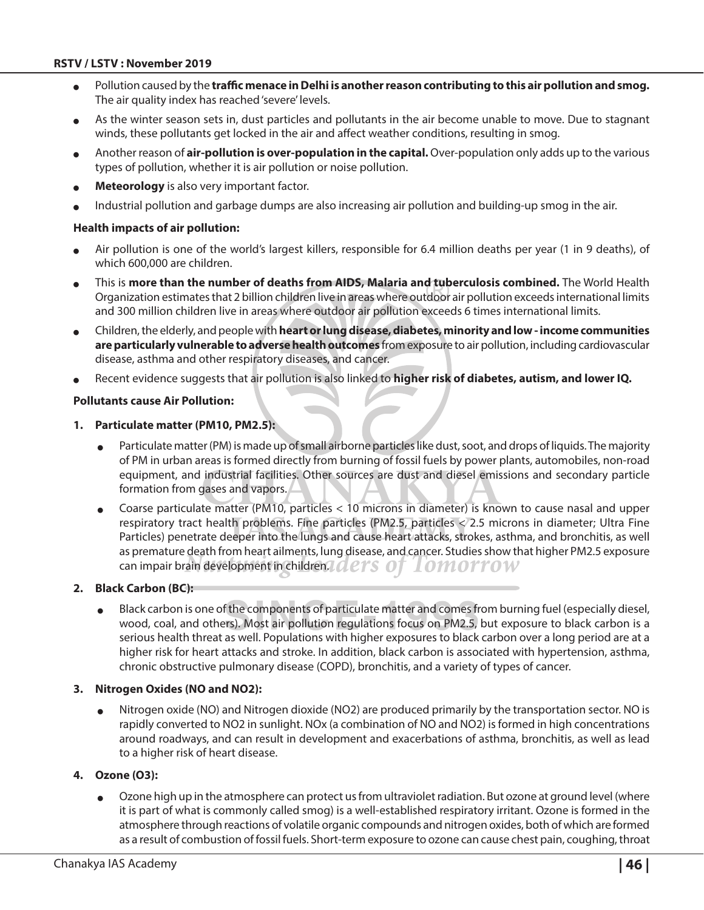#### **RSTV / LSTV : November 2019**

- Pollution caused by the **traffic menace in Delhi is another reason contributing to this air pollution and smog.** The air quality index has reached 'severe' levels.
- As the winter season sets in, dust particles and pollutants in the air become unable to move. Due to stagnant winds, these pollutants get locked in the air and affect weather conditions, resulting in smog.
- Another reason of **air-pollution is over-population in the capital.** Over-population only adds up to the various types of pollution, whether it is air pollution or noise pollution.
- **Meteorology** is also very important factor.
- Industrial pollution and garbage dumps are also increasing air pollution and building-up smog in the air.

#### **Health impacts of air pollution:**

- Air pollution is one of the world's largest killers, responsible for 6.4 million deaths per year (1 in 9 deaths), of which 600,000 are children.
- <sup>O</sup> This is **more than the number of deaths from AIDS, Malaria and tuberculosis combined.** The World Health Organization estimates that 2 billion children live in areas where outdoor air pollution exceeds international limits and 300 million children live in areas where outdoor air pollution exceeds 6 times international limits.
- <sup>O</sup> Children, the elderly, and people with **heart or lung disease, diabetes, minority and low income communities are particularly vulnerable to adverse health outcomes** from exposure to air pollution, including cardiovascular disease, asthma and other respiratory diseases, and cancer.
- Recent evidence suggests that air pollution is also linked to **higher risk of diabetes, autism, and lower IQ.**

#### **Pollutants cause Air Pollution:**

- **1. Particulate matter (PM10, PM2.5):**
	- Particulate matter (PM) is made up of small airborne particles like dust, soot, and drops of liquids. The majority of PM in urban areas is formed directly from burning of fossil fuels by power plants, automobiles, non-road equipment, and industrial facilities. Other sources are dust and diesel emissions and secondary particle formation from gases and vapors.
	- Coarse particulate matter (PM10, particles < 10 microns in diameter) is known to cause nasal and upper respiratory tract health problems. Fine particles (PM2.5, particles < 2.5 microns in diameter; Ultra Fine Particles) penetrate deeper into the lungs and cause heart attacks, strokes, asthma, and bronchitis, as well as premature death from heart ailments, lung disease, and cancer. Studies show that higher PM2.5 exposure can impair brain development in children. LOLETS OT 10MOTTOW

#### **2. Black Carbon (BC):**

<sup>O</sup> Black carbon is one of the components of particulate matter and comes from burning fuel (especially diesel, wood, coal, and others). Most air pollution regulations focus on PM2.5, but exposure to black carbon is a serious health threat as well. Populations with higher exposures to black carbon over a long period are at a higher risk for heart attacks and stroke. In addition, black carbon is associated with hypertension, asthma, chronic obstructive pulmonary disease (COPD), bronchitis, and a variety of types of cancer.

#### **3. Nitrogen Oxides (NO and NO2):**

 $\bullet$  Nitrogen oxide (NO) and Nitrogen dioxide (NO2) are produced primarily by the transportation sector. NO is rapidly converted to NO2 in sunlight. NOx (a combination of NO and NO2) is formed in high concentrations around roadways, and can result in development and exacerbations of asthma, bronchitis, as well as lead to a higher risk of heart disease.

#### **4. Ozone (O3):**

Ozone high up in the atmosphere can protect us from ultraviolet radiation. But ozone at ground level (where it is part of what is commonly called smog) is a well-established respiratory irritant. Ozone is formed in the atmosphere through reactions of volatile organic compounds and nitrogen oxides, both of which are formed as a result of combustion of fossil fuels. Short-term exposure to ozone can cause chest pain, coughing, throat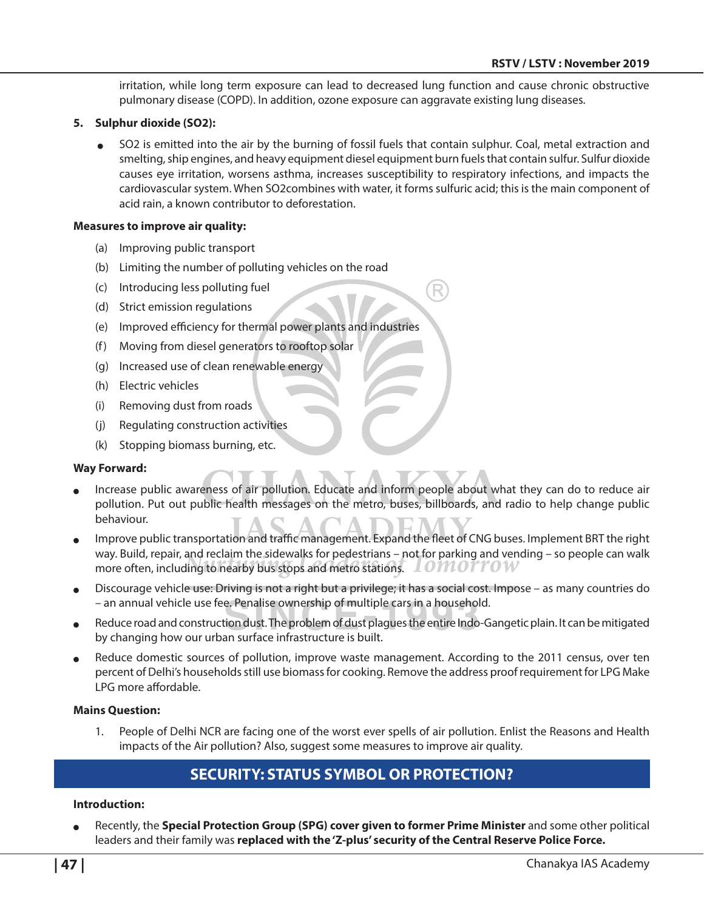irritation, while long term exposure can lead to decreased lung function and cause chronic obstructive pulmonary disease (COPD). In addition, ozone exposure can aggravate existing lung diseases.

#### **5. Sulphur dioxide (SO2):**

SO2 is emitted into the air by the burning of fossil fuels that contain sulphur. Coal, metal extraction and smelting, ship engines, and heavy equipment diesel equipment burn fuels that contain sulfur. Sulfur dioxide causes eye irritation, worsens asthma, increases susceptibility to respiratory infections, and impacts the cardiovascular system. When SO2combines with water, it forms sulfuric acid; this is the main component of acid rain, a known contributor to deforestation.

#### **Measures to improve air quality:**

- (a) Improving public transport
- (b) Limiting the number of polluting vehicles on the road
- (c) Introducing less polluting fuel
- (d) Strict emission regulations
- (e) Improved efficiency for thermal power plants and industries
- (f) Moving from diesel generators to rooftop solar
- (g) Increased use of clean renewable energy
- (h) Electric vehicles
- (i) Removing dust from roads
- (j) Regulating construction activities
- (k) Stopping biomass burning, etc.

#### **Way Forward:**

- Increase public awareness of air pollution. Educate and inform people about what they can do to reduce air pollution. Put out public health messages on the metro, buses, billboards, and radio to help change public behaviour.
- Improve public transportation and traffic management. Expand the fleet of CNG buses. Implement BRT the right way. Build, repair, and reclaim the sidewalks for pedestrians – not for parking and vending – so people can walk more often, including to nearby bus stops and metro stations.  $\Box$  OM OTTOW
- Discourage vehicle use: Driving is not a right but a privilege; it has a social cost. Impose as many countries do – an annual vehicle use fee. Penalise ownership of multiple cars in a household.
- Reduce road and construction dust. The problem of dust plagues the entire Indo-Gangetic plain. It can be mitigated by changing how our urban surface infrastructure is built.
- Reduce domestic sources of pollution, improve waste management. According to the 2011 census, over ten percent of Delhi's households still use biomass for cooking. Remove the address proof requirement for LPG Make LPG more affordable.

#### **Mains Question:**

1. People of Delhi NCR are facing one of the worst ever spells of air pollution. Enlist the Reasons and Health impacts of the Air pollution? Also, suggest some measures to improve air quality.

## **Security: Status Symbol or Protection?**

#### **Introduction:**

Recently, the **Special Protection Group (SPG) cover given to former Prime Minister** and some other political leaders and their family was **replaced with the 'Z-plus' security of the Central Reserve Police Force.**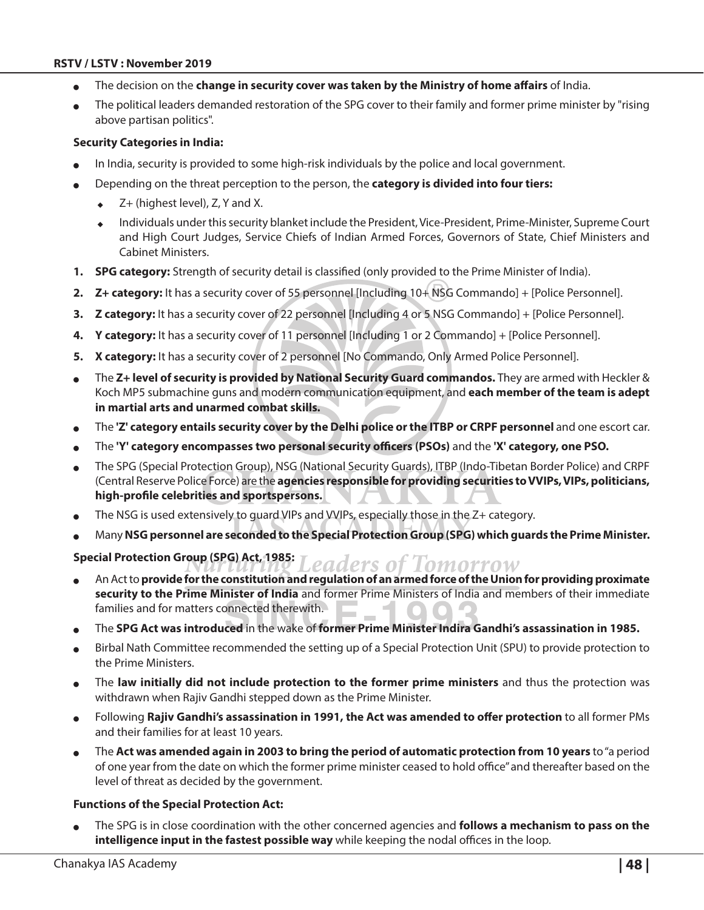#### **RSTV / LSTV : November 2019**

- The decision on the **change in security cover was taken by the Ministry of home affairs** of India.
- The political leaders demanded restoration of the SPG cover to their family and former prime minister by "rising above partisan politics".

#### **Security Categories in India:**

- In India, security is provided to some high-risk individuals by the police and local government.
- <sup>O</sup> Depending on the threat perception to the person, the **category is divided into four tiers:** 
	- $\blacktriangleright$  Z+ (highest level), Z, Y and X.
	- <sup>X</sup> Individuals under this security blanket include the President, Vice-President, Prime-Minister, Supreme Court and High Court Judges, Service Chiefs of Indian Armed Forces, Governors of State, Chief Ministers and Cabinet Ministers.
- **1. SPG category:** Strength of security detail is classified (only provided to the Prime Minister of India).
- **2. Z+ category:** It has a security cover of 55 personnel [Including 10+ NSG Commando] + [Police Personnel].
- **3. Z category:** It has a security cover of 22 personnel [Including 4 or 5 NSG Commando] + [Police Personnel].
- **4. Y category:** It has a security cover of 11 personnel [Including 1 or 2 Commando] + [Police Personnel].
- **5.** X category: It has a security cover of 2 personnel [No Commando, Only Armed Police Personnel].
- The Z+ level of security is provided by National Security Guard commandos. They are armed with Heckler & Koch MP5 submachine guns and modern communication equipment, and **each member of the team is adept in martial arts and unarmed combat skills.**
- <sup>O</sup> The **'Z' category entails security cover by the Delhi police or the ITBP or CRPF personnel** and one escort car.
- <sup>O</sup> The **'Y' category encompasses two personal security officers (PSOs)** and the **'X' category, one PSO.**
- The SPG (Special Protection Group), NSG (National Security Guards), ITBP (Indo-Tibetan Border Police) and CRPF (Central Reserve Police Force) are the **agencies responsible for providing securities to VVIPs, VIPs, politicians, high-profile celebrities and sportspersons.**
- The NSG is used extensively to guard VIPs and VVIPs, especially those in the Z+ category.
- <sup>O</sup> Many **NSG personnel are seconded to the Special Protection Group (SPG) which guards the Prime Minister.**

#### **Special Protection Group (SPG) Act, 1985:** eaders of

- An Act to **provide for the constitution and regulation of an armed force of the Union for providing proximate security to the Prime Minister of India** and former Prime Ministers of India and members of their immediate families and for matters connected therewith.
- <sup>O</sup> The **SPG Act was introduced** in the wake of **former Prime Minister Indira Gandhi's assassination in 1985.**
- Birbal Nath Committee recommended the setting up of a Special Protection Unit (SPU) to provide protection to the Prime Ministers.
- <sup>O</sup> The **law initially did not include protection to the former prime ministers** and thus the protection was withdrawn when Rajiv Gandhi stepped down as the Prime Minister.
- Following Rajiv Gandhi's assassination in 1991, the Act was amended to offer protection to all former PMs and their families for at least 10 years.
- The Act was amended again in 2003 to bring the period of automatic protection from 10 years to "a period of one year from the date on which the former prime minister ceased to hold office" and thereafter based on the level of threat as decided by the government.

#### **Functions of the Special Protection Act:**

The SPG is in close coordination with the other concerned agencies and **follows a mechanism to pass on the intelligence input in the fastest possible way** while keeping the nodal offices in the loop.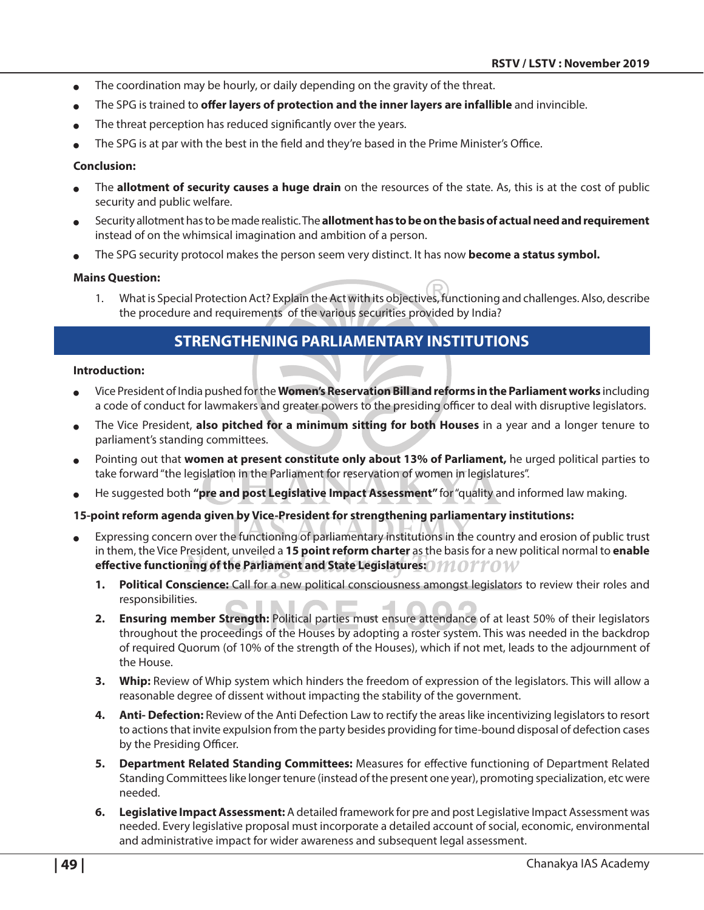- $\bullet$  The coordination may be hourly, or daily depending on the gravity of the threat.
- The SPG is trained to **offer layers of protection and the inner layers are infallible** and invincible.
- The threat perception has reduced significantly over the years.
- The SPG is at par with the best in the field and they're based in the Prime Minister's Office.

#### **Conclusion:**

- <sup>O</sup> The **allotment of security causes a huge drain** on the resources of the state. As, this is at the cost of public security and public welfare.
- <sup>O</sup> Security allotment has to be made realistic. The **allotment has to be on the basis of actual need and requirement**  instead of on the whimsical imagination and ambition of a person.
- The SPG security protocol makes the person seem very distinct. It has now **become a status symbol.**

#### **Mains Question:**

1. What is Special Protection Act? Explain the Act with its objectives, functioning and challenges. Also, describe the procedure and requirements of the various securities provided by India?

## **Strengthening Parliamentary Institutions**

#### **Introduction:**

- <sup>O</sup> Vice President of India pushed for the **Women's Reservation Bill and reforms in the Parliament works** including a code of conduct for lawmakers and greater powers to the presiding officer to deal with disruptive legislators.
- <sup>O</sup> The Vice President, **also pitched for a minimum sitting for both Houses** in a year and a longer tenure to parliament's standing committees.
- Pointing out that women at present constitute only about 13% of Parliament, he urged political parties to take forward "the legislation in the Parliament for reservation of women in legislatures".
- He suggested both "pre and post Legislative Impact Assessment" for "quality and informed law making.

#### **15-point reform agenda given by Vice-President for strengthening parliamentary institutions:**

- Expressing concern over the functioning of parliamentary institutions in the country and erosion of public trust in them, the Vice President, unveiled a **15 point reform charter** as the basis for a new political normal to **enable effective functioning of the Parliament and State Legislatures:**
	- **1. Political Conscience:** Call for a new political consciousness amongst legislators to review their roles and responsibilities.
	- **2. Ensuring member Strength:** Political parties must ensure attendance of at least 50% of their legislators throughout the proceedings of the Houses by adopting a roster system. This was needed in the backdrop of required Quorum (of 10% of the strength of the Houses), which if not met, leads to the adjournment of the House.
	- **3. Whip:** Review of Whip system which hinders the freedom of expression of the legislators. This will allow a reasonable degree of dissent without impacting the stability of the government.
	- **4. Anti- Defection:** Review of the Anti Defection Law to rectify the areas like incentivizing legislators to resort to actions that invite expulsion from the party besides providing for time-bound disposal of defection cases by the Presiding Officer.
	- **5. Department Related Standing Committees:** Measures for effective functioning of Department Related Standing Committees like longer tenure (instead of the present one year), promoting specialization, etc were needed.
	- **6. Legislative Impact Assessment:** A detailed framework for pre and post Legislative Impact Assessment was needed. Every legislative proposal must incorporate a detailed account of social, economic, environmental and administrative impact for wider awareness and subsequent legal assessment.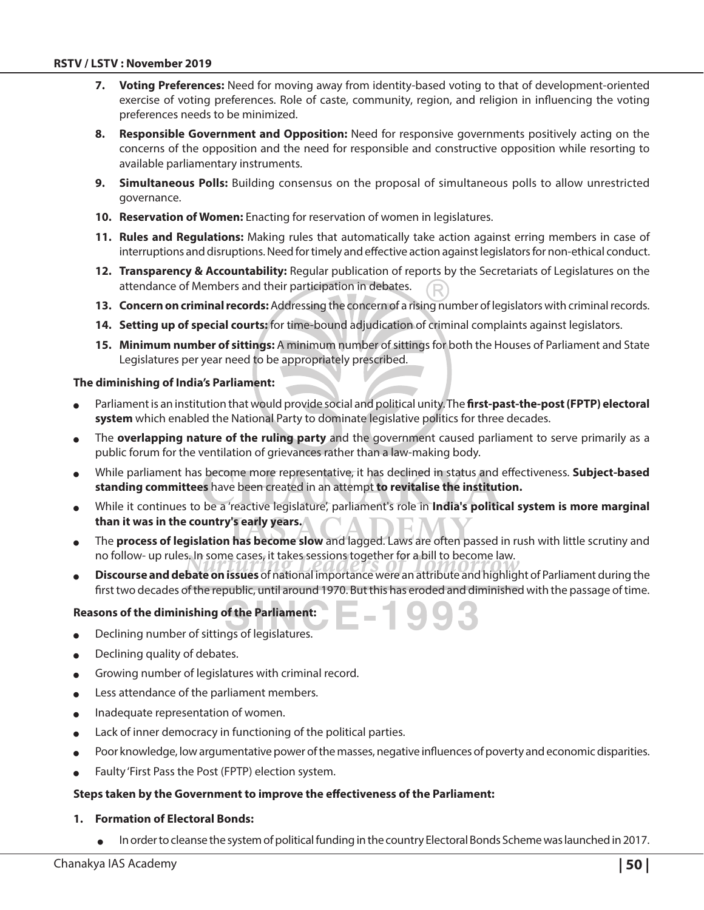- **7. Voting Preferences:** Need for moving away from identity-based voting to that of development-oriented exercise of voting preferences. Role of caste, community, region, and religion in influencing the voting preferences needs to be minimized.
- **8. Responsible Government and Opposition:** Need for responsive governments positively acting on the concerns of the opposition and the need for responsible and constructive opposition while resorting to available parliamentary instruments.
- **9. Simultaneous Polls:** Building consensus on the proposal of simultaneous polls to allow unrestricted governance.
- **10. Reservation of Women:** Enacting for reservation of women in legislatures.
- **11. Rules and Regulations:** Making rules that automatically take action against erring members in case of interruptions and disruptions. Need for timely and effective action against legislators for non-ethical conduct.
- **12. Transparency & Accountability:** Regular publication of reports by the Secretariats of Legislatures on the attendance of Members and their participation in debates.
- **13. Concern on criminal records:** Addressing the concern of a rising number of legislators with criminal records.
- **14. Setting up of special courts:** for time-bound adjudication of criminal complaints against legislators.
- **15. Minimum number of sittings:** A minimum number of sittings for both the Houses of Parliament and State Legislatures per year need to be appropriately prescribed.

#### **The diminishing of India's Parliament:**

- Parliament is an institution that would provide social and political unity. The first-past-the-post (FPTP) electoral **system** which enabled the National Party to dominate legislative politics for three decades.
- The **overlapping nature of the ruling party** and the government caused parliament to serve primarily as a public forum for the ventilation of grievances rather than a law-making body.
- <sup>O</sup> While parliament has become more representative, it has declined in status and effectiveness. **Subject‐based standing committees** have been created in an attempt **to revitalise the institution.**
- While it continues to be a 'reactive legislature', parliament's role in **India's political system is more marginal than it was in the country's early years.**
- <sup>O</sup> The **process of legislation has become slow** and lagged. Laws are often passed in rush with little scrutiny and no follow- up rules. In some cases, it takes sessions together for a bill to become law.
- Discourse and debate on issues of national importance were an attribute and highlight of Parliament during the first two decades of the republic, until around 1970. But this has eroded and diminished with the passage of time.

#### **Reasons of the diminishing of the Parliament:**

- Declining number of sittings of legislatures.
- Declining quality of debates.
- $\bullet$  Growing number of legislatures with criminal record.
- Less attendance of the parliament members.
- Inadequate representation of women.
- Lack of inner democracy in functioning of the political parties.
- Poor knowledge, low argumentative power of the masses, negative influences of poverty and economic disparities.
- Faulty 'First Pass the Post (FPTP) election system.

#### **Steps taken by the Government to improve the effectiveness of the Parliament:**

#### **1. Formation of Electoral Bonds:**

In order to cleanse the system of political funding in the country Electoral Bonds Scheme was launched in 2017.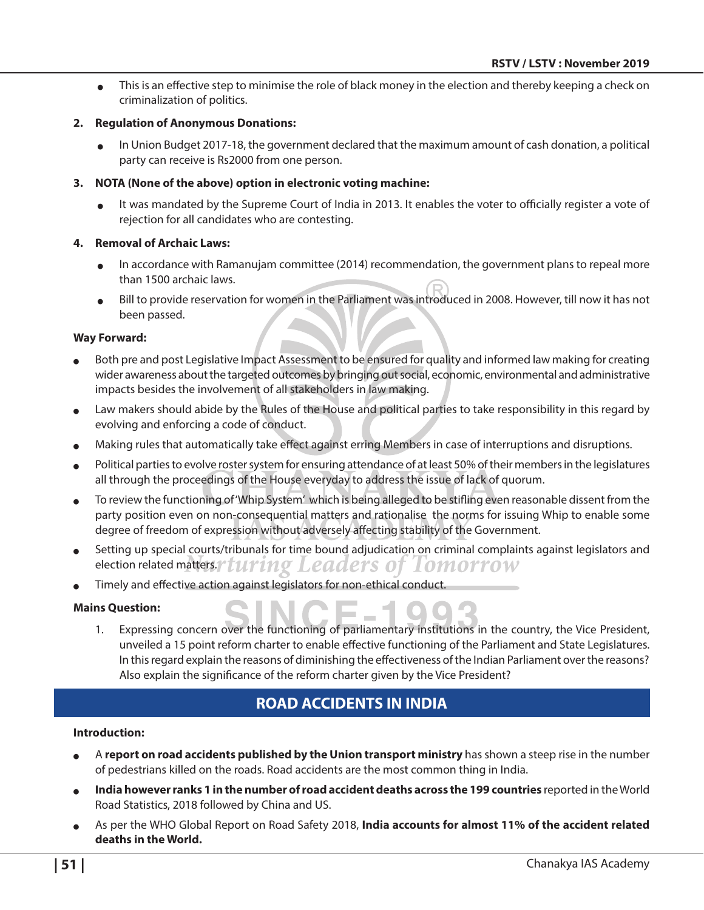• This is an effective step to minimise the role of black money in the election and thereby keeping a check on criminalization of politics.

#### **2. Regulation of Anonymous Donations:**

In Union Budget 2017-18, the government declared that the maximum amount of cash donation, a political party can receive is Rs2000 from one person.

#### **3. NOTA (None of the above) option in electronic voting machine:**

<sup>O</sup> It was mandated by the Supreme Court of India in 2013. It enables the voter to officially register a vote of rejection for all candidates who are contesting.

#### **4. Removal of Archaic Laws:**

- <sup>O</sup> In accordance with Ramanujam committee (2014) recommendation, the government plans to repeal more than 1500 archaic laws.
- Bill to provide reservation for women in the Parliament was introduced in 2008. However, till now it has not been passed.

#### **Way Forward:**

- Both pre and post Legislative Impact Assessment to be ensured for quality and informed law making for creating wider awareness about the targeted outcomes by bringing out social, economic, environmental and administrative impacts besides the involvement of all stakeholders in law making.
- Law makers should abide by the Rules of the House and political parties to take responsibility in this regard by evolving and enforcing a code of conduct.
- Making rules that automatically take effect against erring Members in case of interruptions and disruptions.
- Political parties to evolve roster system for ensuring attendance of at least 50% of their members in the legislatures all through the proceedings of the House everyday to address the issue of lack of quorum.
- <sup>O</sup> To review the functioning of 'Whip System' which is being alleged to be stifling even reasonable dissent from the party position even on non-consequential matters and rationalise the norms for issuing Whip to enable some degree of freedom of expression without adversely affecting stability of the Government.
- Setting up special courts/tribunals for time bound adjudication on criminal complaints against legislators and election related matters. Turing Leaders of Iomorrow
- Timely and effective action against legislators for non-ethical conduct.

#### **Mains Question:**

1. Expressing concern over the functioning of parliamentary institutions in the country, the Vice President, unveiled a 15 point reform charter to enable effective functioning of the Parliament and State Legislatures. In this regard explain the reasons of diminishing the effectiveness of the Indian Parliament over the reasons? Also explain the significance of the reform charter given by the Vice President?

## **Road Accidents in India**

#### **Introduction:**

- <sup>O</sup> A **report on road accidents published by the Union transport ministry** has shown a steep rise in the number of pedestrians killed on the roads. Road accidents are the most common thing in India.
- India however ranks 1 in the number of road accident deaths across the 199 countries reported in the World Road Statistics, 2018 followed by China and US.
- As per the WHO Global Report on Road Safety 2018, **India accounts for almost 11% of the accident related deaths in the World.**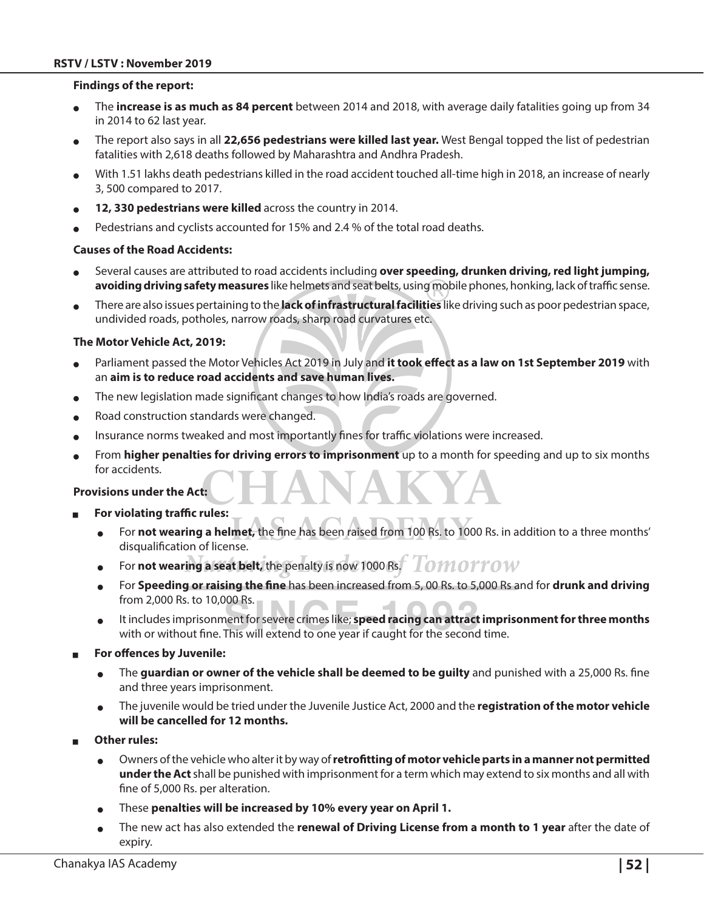#### **RSTV / LSTV : November 2019**

#### **Findings of the report:**

- <sup>O</sup> The **increase is as much as 84 percent** between 2014 and 2018, with average daily fatalities going up from 34 in 2014 to 62 last year.
- <sup>O</sup> The report also says in all **22,656 pedestrians were killed last year.** West Bengal topped the list of pedestrian fatalities with 2,618 deaths followed by Maharashtra and Andhra Pradesh.
- With 1.51 lakhs death pedestrians killed in the road accident touched all-time high in 2018, an increase of nearly 3, 500 compared to 2017.
- 12, 330 pedestrians were killed across the country in 2014.
- Pedestrians and cyclists accounted for 15% and 2.4 % of the total road deaths.

#### **Causes of the Road Accidents:**

- <sup>O</sup> Several causes are attributed to road accidents including **over speeding, drunken driving, red light jumping, avoiding driving safety measures** like helmets and seat belts, using mobile phones, honking, lack of traffic sense.
- <sup>O</sup> There are also issues pertaining to the **lack of infrastructural facilities** like driving such as poor pedestrian space, undivided roads, potholes, narrow roads, sharp road curvatures etc.

#### **The Motor Vehicle Act, 2019:**

- Parliament passed the Motor Vehicles Act 2019 in July and it took effect as a law on 1st September 2019 with an **aim is to reduce road accidents and save human lives.**
- The new legislation made significant changes to how India's roads are governed.
- Road construction standards were changed.
- Insurance norms tweaked and most importantly fines for traffic violations were increased.
- From **higher penalties for driving errors to imprisonment** up to a month for speeding and up to six months for accidents.

#### **Provisions under the Act:**

- For violating traffic rules:
	- <sup>O</sup> For **not wearing a helmet,** the fine has been raised from 100 Rs. to 1000 Rs. in addition to a three months' disqualification of license.
	- For **not wearing a seat belt,** the penalty is now 1000 Rs. I OMOTTOW
	- <sup>O</sup> For **Speeding or raising the fine** has been increased from 5, 00 Rs. to 5,000 Rs and for **drunk and driving**  from 2,000 Rs. to 10,000 Rs.
	- It includes imprisonment for severe crimes like; **speed racing can attract imprisonment for three months** with or without fine. This will extend to one year if caught for the second time.
- <sup>Q</sup> **For offences by Juvenile:**
	- The **guardian or owner of the vehicle shall be deemed to be guilty** and punished with a 25,000 Rs. fine and three years imprisonment.
	- <sup>O</sup> The juvenile would be tried under the Juvenile Justice Act, 2000 and the **registration of the motor vehicle will be cancelled for 12 months.**
- **Other rules:** 
	- <sup>O</sup> Owners of the vehicle who alter it by way of **retrofitting of motor vehicle parts in a manner not permitted under the Act** shall be punished with imprisonment for a term which may extend to six months and all with fine of 5,000 Rs. per alteration.
	- These penalties will be increased by 10% every year on April 1.
	- The new act has also extended the **renewal of Driving License from a month to 1 year** after the date of expiry.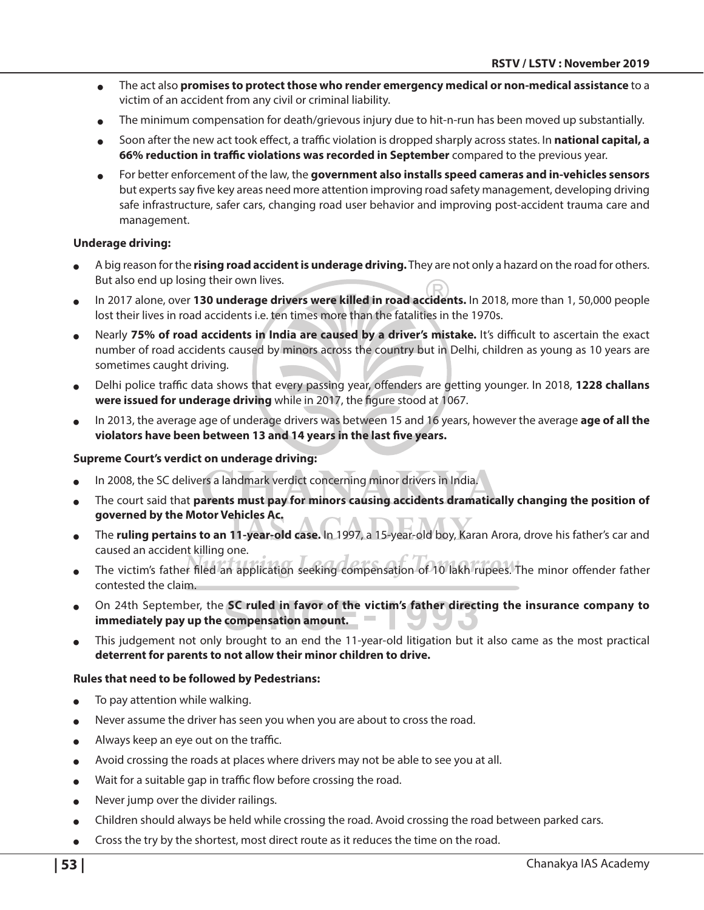- <sup>O</sup> The act also **promises to protect those who render emergency medical or non-medical assistance** to a victim of an accident from any civil or criminal liability.
- The minimum compensation for death/grievous injury due to hit-n-run has been moved up substantially.
- <sup>O</sup> Soon after the new act took effect, a traffic violation is dropped sharply across states. In **national capital, a 66% reduction in traffic violations was recorded in September** compared to the previous year.
- For better enforcement of the law, the **government also installs speed cameras and in-vehicles sensors** but experts say five key areas need more attention improving road safety management, developing driving safe infrastructure, safer cars, changing road user behavior and improving post-accident trauma care and management.

#### **Underage driving:**

- <sup>O</sup> A big reason for the **rising road accident is underage driving.** They are not only a hazard on the road for others. But also end up losing their own lives.
- <sup>O</sup> In 2017 alone, over **130 underage drivers were killed in road accidents.** In 2018, more than 1, 50,000 people lost their lives in road accidents i.e. ten times more than the fatalities in the 1970s.
- Nearly 75% of road accidents in India are caused by a driver's mistake. It's difficult to ascertain the exact number of road accidents caused by minors across the country but in Delhi, children as young as 10 years are sometimes caught driving.
- <sup>O</sup> Delhi police traffic data shows that every passing year, offenders are getting younger. In 2018, **1228 challans were issued for underage driving** while in 2017, the figure stood at 1067.
- <sup>O</sup> In 2013, the average age of underage drivers was between 15 and 16 years, however the average **age of all the violators have been between 13 and 14 years in the last five years.**

#### **Supreme Court's verdict on underage driving:**

- In 2008, the SC delivers a landmark verdict concerning minor drivers in India.
- The court said that **parents must pay for minors causing accidents dramatically changing the position of governed by the Motor Vehicles Ac.**
- <sup>O</sup> The **ruling pertains to an 11-year-old case.** In 1997, a 15-year-old boy, Karan Arora, drove his father's car and caused an accident killing one.
- The victim's father filed an application seeking compensation of 10 lakh rupees. The minor offender father contested the claim.
- <sup>O</sup> On 24th September, the **SC ruled in favor of the victim's father directing the insurance company to**   $\sim$ **immediately pay up the compensation amount.**
- This judgement not only brought to an end the 11-year-old litigation but it also came as the most practical **deterrent for parents to not allow their minor children to drive.**

#### **Rules that need to be followed by Pedestrians:**

- To pay attention while walking.
- Never assume the driver has seen you when you are about to cross the road.
- $\bullet$  Always keep an eye out on the traffic.
- Avoid crossing the roads at places where drivers may not be able to see you at all.
- Wait for a suitable gap in traffic flow before crossing the road.
- Never jump over the divider railings.
- Children should always be held while crossing the road. Avoid crossing the road between parked cars.
- Cross the try by the shortest, most direct route as it reduces the time on the road.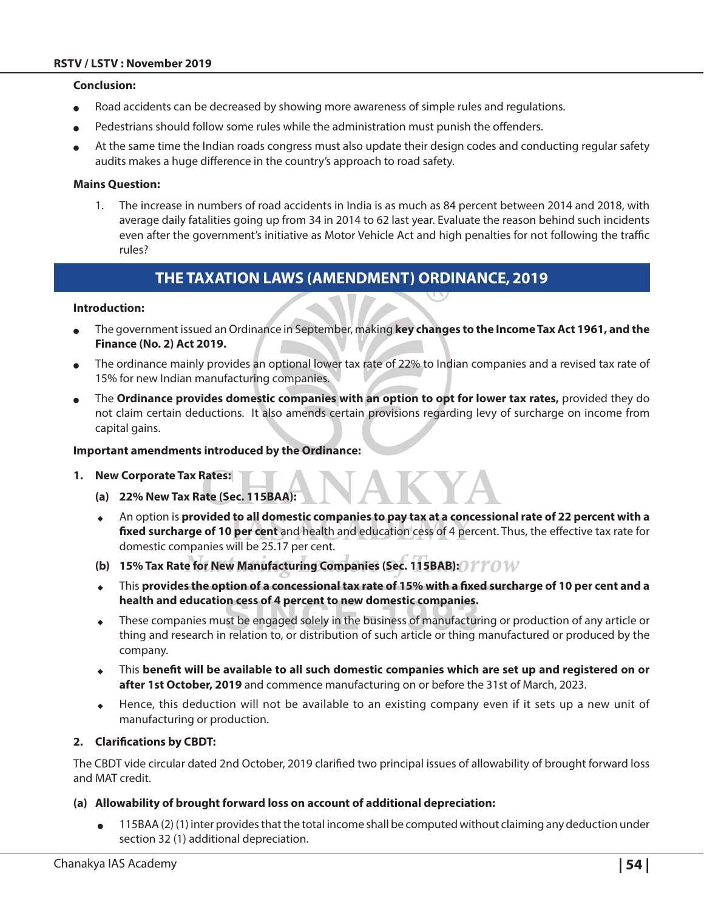#### **Conclusion:**

- Road accidents can be decreased by showing more awareness of simple rules and regulations.
- Pedestrians should follow some rules while the administration must punish the offenders.
- At the same time the Indian roads congress must also update their design codes and conducting regular safety audits makes a huge difference in the country's approach to road safety.

#### **Mains Question:**

1. The increase in numbers of road accidents in India is as much as 84 percent between 2014 and 2018, with average daily fatalities going up from 34 in 2014 to 62 last year. Evaluate the reason behind such incidents even after the government's initiative as Motor Vehicle Act and high penalties for not following the traffic rules?

## **The Taxation Laws (Amendment) Ordinance, 2019**

#### **Introduction:**

- <sup>O</sup> The government issued an Ordinance in September, making **key changes to the Income Tax Act 1961, and the Finance (No. 2) Act 2019.**
- The ordinance mainly provides an optional lower tax rate of 22% to Indian companies and a revised tax rate of 15% for new Indian manufacturing companies.
- The Ordinance provides domestic companies with an option to opt for lower tax rates, provided they do not claim certain deductions. It also amends certain provisions regarding levy of surcharge on income from capital gains.

#### **Important amendments introduced by the Ordinance:**

- **1. New Corporate Tax Rates:** 
	- **(a) 22% New Tax Rate (Sec. 115BAA):**
	- ◆ An option is **provided to all domestic companies to pay tax at a concessional rate of 22 percent with a fixed surcharge of 10 per cent** and health and education cess of 4 percent. Thus, the effective tax rate for domestic companies will be 25.17 per cent.
	- **(b) 15% Tax Rate for New Manufacturing Companies (Sec. 115BAB):**
	- <sup>X</sup> This **provides the option of a concessional tax rate of 15% with a fixed surcharge of 10 per cent and a health and education cess of 4 percent to new domestic companies.**
	- These companies must be engaged solely in the business of manufacturing or production of any article or thing and research in relation to, or distribution of such article or thing manufactured or produced by the company.
	- <sup>X</sup> This **benefit will be available to all such domestic companies which are set up and registered on or after 1st October, 2019** and commence manufacturing on or before the 31st of March, 2023.
	- Hence, this deduction will not be available to an existing company even if it sets up a new unit of manufacturing or production.

#### **2. Clarifications by CBDT:**

The CBDT vide circular dated 2nd October, 2019 clarified two principal issues of allowability of brought forward loss and MAT credit.

#### **(a) Allowability of brought forward loss on account of additional depreciation:**

 $\bullet$  115BAA (2) (1) inter provides that the total income shall be computed without claiming any deduction under section 32 (1) additional depreciation.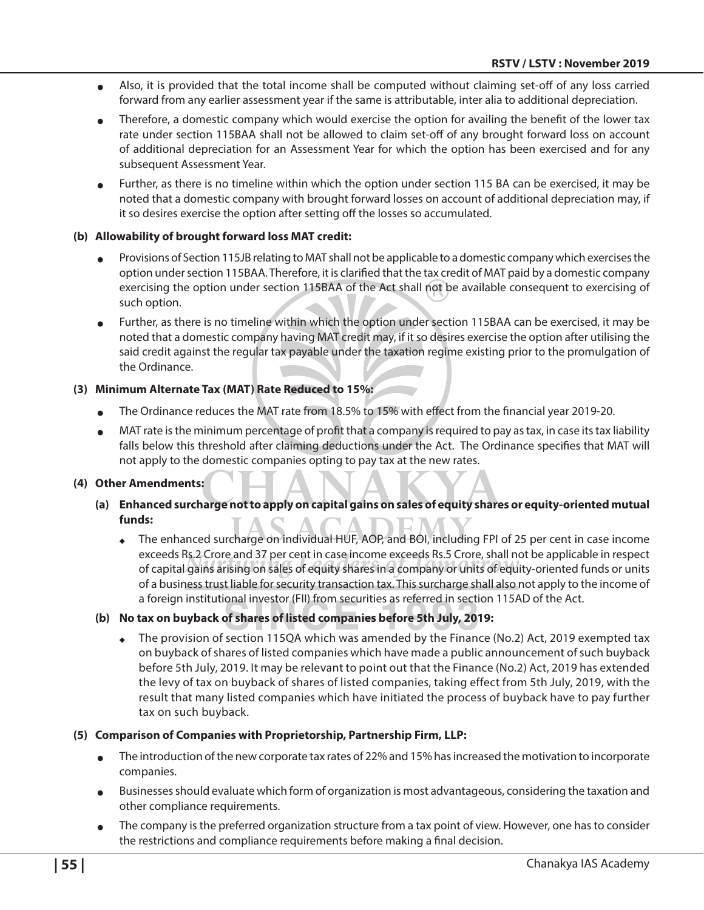- <sup>O</sup> Also, it is provided that the total income shall be computed without claiming set-off of any loss carried forward from any earlier assessment year if the same is attributable, inter alia to additional depreciation.
- Therefore, a domestic company which would exercise the option for availing the benefit of the lower tax rate under section 115BAA shall not be allowed to claim set-off of any brought forward loss on account of additional depreciation for an Assessment Year for which the option has been exercised and for any subsequent Assessment Year.
- Further, as there is no timeline within which the option under section 115 BA can be exercised, it may be noted that a domestic company with brought forward losses on account of additional depreciation may, if it so desires exercise the option after setting off the losses so accumulated.

#### **(b) Allowability of brought forward loss MAT credit:**

- Provisions of Section 115JB relating to MAT shall not be applicable to a domestic company which exercises the option under section 115BAA. Therefore, it is clarified that the tax credit of MAT paid by a domestic company exercising the option under section 115BAA of the Act shall not be available consequent to exercising of such option.
- Further, as there is no timeline within which the option under section 115BAA can be exercised, it may be noted that a domestic company having MAT credit may, if it so desires exercise the option after utilising the said credit against the regular tax payable under the taxation regime existing prior to the promulgation of the Ordinance.

#### **(3) Minimum Alternate Tax (MAT) Rate Reduced to 15%:**

- The Ordinance reduces the MAT rate from 18.5% to 15% with effect from the financial year 2019-20.
- $\bullet$  MAT rate is the minimum percentage of profit that a company is required to pay as tax, in case its tax liability falls below this threshold after claiming deductions under the Act. The Ordinance specifies that MAT will not apply to the domestic companies opting to pay tax at the new rates.

#### **(4) Other Amendments:**

- **(a) Enhanced surcharge not to apply on capital gains on sales of equity shares or equity-oriented mutual funds:**
	- The enhanced surcharge on individual HUF, AOP, and BOI, including FPI of 25 per cent in case income exceeds Rs.2 Crore and 37 per cent in case income exceeds Rs.5 Crore, shall not be applicable in respect of capital gains arising on sales of equity shares in a company or units of equity-oriented funds or units of a business trust liable for security transaction tax. This surcharge shall also not apply to the income of a foreign institutional investor (FII) from securities as referred in section 115AD of the Act.
- **(b) No tax on buyback of shares of listed companies before 5th July, 2019:**
	- The provision of section 115QA which was amended by the Finance (No.2) Act, 2019 exempted tax on buyback of shares of listed companies which have made a public announcement of such buyback before 5th July, 2019. It may be relevant to point out that the Finance (No.2) Act, 2019 has extended the levy of tax on buyback of shares of listed companies, taking effect from 5th July, 2019, with the result that many listed companies which have initiated the process of buyback have to pay further tax on such buyback.

#### **(5) Comparison of Companies with Proprietorship, Partnership Firm, LLP:**

- The introduction of the new corporate tax rates of 22% and 15% has increased the motivation to incorporate companies.
- Businesses should evaluate which form of organization is most advantageous, considering the taxation and other compliance requirements.
- The company is the preferred organization structure from a tax point of view. However, one has to consider the restrictions and compliance requirements before making a final decision.